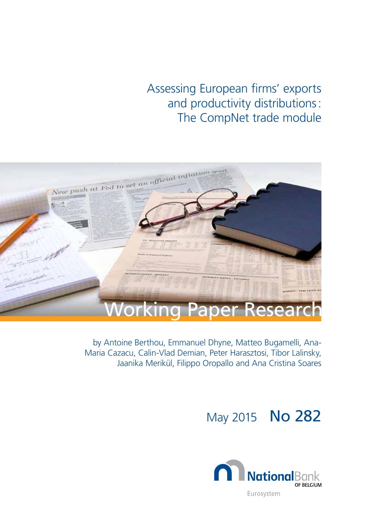Assessing European firms' exports and productivity distributions: The CompNet trade module



by Antoine Berthou, Emmanuel Dhyne, Matteo Bugamelli, Ana-Maria Cazacu, Calin-Vlad Demian, Peter Harasztosi, Tibor Lalinsky, Jaanika Merikül, Filippo Oropallo and Ana Cristina Soares

# May 2015 No 282

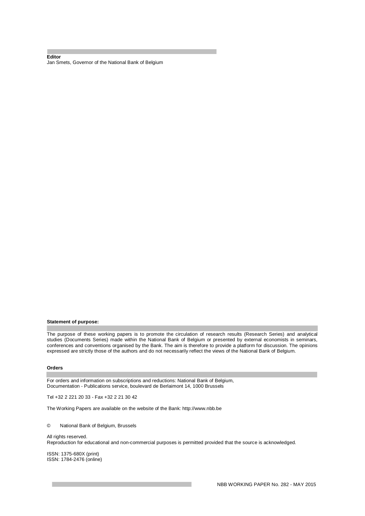#### **Editor**  Jan Smets, Governor of the National Bank of Belgium

#### **Statement of purpose:**

The purpose of these working papers is to promote the circulation of research results (Research Series) and analytical studies (Documents Series) made within the National Bank of Belgium or presented by external economists in seminars, conferences and conventions organised by the Bank. The aim is therefore to provide a platform for discussion. The opinions expressed are strictly those of the authors and do not necessarily reflect the views of the National Bank of Belgium.

#### **Orders**

For orders and information on subscriptions and reductions: National Bank of Belgium, Documentation - Publications service, boulevard de Berlaimont 14, 1000 Brussels

Tel +32 2 221 20 33 - Fax +32 2 21 30 42

The Working Papers are available on the website of the Bank: http://www.nbb.be

© National Bank of Belgium, Brussels

All rights reserved. Reproduction for educational and non-commercial purposes is permitted provided that the source is acknowledged.

ISSN: 1375-680X (print) ISSN: 1784-2476 (online)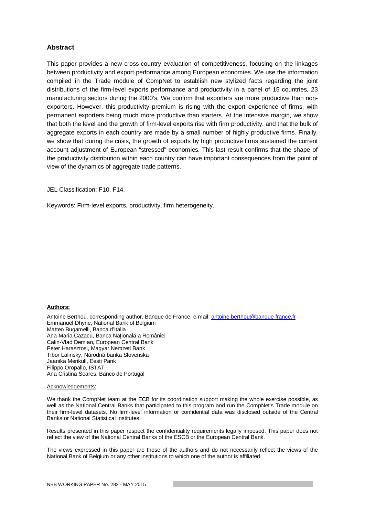# **Abstract**

This paper provides a new cross-country evaluation of competitiveness, focusing on the linkages between productivity and export performance among European economies. We use the information compiled in the Trade module of CompNet to establish new stylized facts regarding the joint distributions of the firm-level exports performance and productivity in a panel of 15 countries, 23 manufacturing sectors during the 2000's. We confirm that exporters are more productive than nonexporters. However, this productivity premium is rising with the export experience of firms, with permanent exporters being much more productive than starters. At the intensive margin, we show that both the level and the growth of firm-level exports rise with firm productivity, and that the bulk of aggregate exports in each country are made by a small number of highly productive firms. Finally, we show that during the crisis, the growth of exports by high productive firms sustained the current account adjustment of European "stressed" economies. This last result confirms that the shape of the productivity distribution within each country can have important consequences from the point of view of the dynamics of aggregate trade patterns.

JEL Classification: F10, F14.

Keywords: Firm-level exports, productivity, firm heterogeneity.

#### **Authors:**

Antoine Berthou, corresponding author, Banque de France, e-mail: antoine.berthou@banque-france.fr Emmanuel Dhyne, National Bank of Belgium Matteo Bugamelli, Banca d'Italia Ana-Maria Cazacu, Banca Natională a României Calin-Vlad Demian, European Central Bank Peter Harasztosi, Magyar Nemzeti Bank Tibor Lalinsky, Národná banka Slovenska Jaanika Meriküll, Eesti Pank Filippo Oropallo, ISTAT Ana Cristina Soares, Banco de Portugal

#### Acknowledgements:

We thank the CompNet team at the ECB for its coordination support making the whole exercise possible, as well as the National Central Banks that participated to this program and run the CompNet's Trade module on their firm-level datasets. No firm-level information or confidential data was disclosed outside of the Central Banks or National Statistical Institutes.

Results presented in this paper respect the confidentiality requirements legally imposed. This paper does not reflect the view of the National Central Banks of the ESCB or the European Central Bank.

The views expressed in this paper are those of the authors and do not necessarily reflect the views of the National Bank of Belgium or any other institutions to which one of the author is affiliated.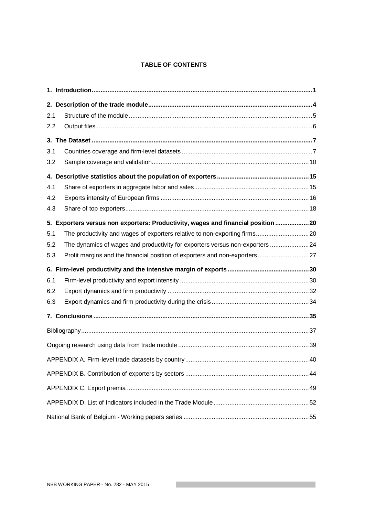# **TABLE OF CONTENTS**

| 2.1 |                                                                                  |     |
|-----|----------------------------------------------------------------------------------|-----|
| 2.2 |                                                                                  |     |
|     |                                                                                  |     |
| 3.1 |                                                                                  |     |
| 3.2 |                                                                                  |     |
|     |                                                                                  |     |
| 4.1 |                                                                                  |     |
| 4.2 |                                                                                  |     |
| 4.3 |                                                                                  |     |
|     | 5. Exporters versus non exporters: Productivity, wages and financial position 20 |     |
| 5.1 | The productivity and wages of exporters relative to non-exporting firms20        |     |
| 5.2 | The dynamics of wages and productivity for exporters versus non-exporters 24     |     |
| 5.3 | Profit margins and the financial position of exporters and non-exporters27       |     |
|     |                                                                                  |     |
| 6.1 |                                                                                  |     |
| 6.2 |                                                                                  |     |
| 6.3 |                                                                                  |     |
|     |                                                                                  |     |
|     |                                                                                  |     |
|     |                                                                                  |     |
|     |                                                                                  | .40 |
|     |                                                                                  |     |
|     |                                                                                  |     |
|     |                                                                                  |     |
|     |                                                                                  |     |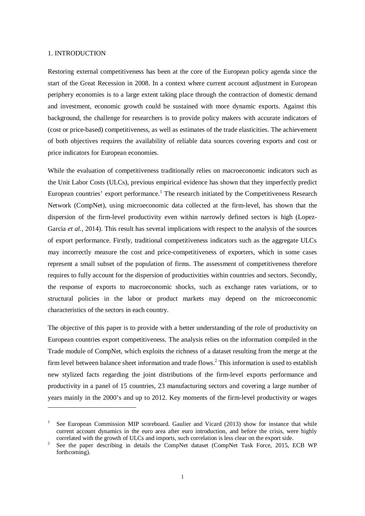#### 1. INTRODUCTION

-

Restoring external competitiveness has been at the core of the European policy agenda since the start of the Great Recession in 2008. In a context where current account adjustment in European periphery economies is to a large extent taking place through the contraction of domestic demand and investment, economic growth could be sustained with more dynamic exports. Against this background, the challenge for researchers is to provide policy makers with accurate indicators of (cost or price-based) competitiveness, as well as estimates of the trade elasticities. The achievement of both objectives requires the availability of reliable data sources covering exports and cost or price indicators for European economies.

While the evaluation of competitiveness traditionally relies on macroeconomic indicators such as the Unit Labor Costs (ULCs), previous empirical evidence has shown that they imperfectly predict European countries' export performance.<sup>1</sup> The research initiated by the Competitiveness Research Network (CompNet), using microeconomic data collected at the firm-level, has shown that the dispersion of the firm-level productivity even within narrowly defined sectors is high (Lopez-Garcia *et al.*, 2014). This result has several implications with respect to the analysis of the sources of export performance. Firstly, traditional competitiveness indicators such as the aggregate ULCs may incorrectly measure the cost and price-competitiveness of exporters, which in some cases represent a small subset of the population of firms. The assessment of competitiveness therefore requires to fully account for the dispersion of productivities within countries and sectors. Secondly, the response of exports to macroeconomic shocks, such as exchange rates variations, or to structural policies in the labor or product markets may depend on the microeconomic characteristics of the sectors in each country.

The objective of this paper is to provide with a better understanding of the role of productivity on European countries export competitiveness. The analysis relies on the information compiled in the Trade module of CompNet, which exploits the richness of a dataset resulting from the merge at the firm level between balance sheet information and trade flows.<sup>2</sup> This information is used to establish new stylized facts regarding the joint distributions of the firm-level exports performance and productivity in a panel of 15 countries, 23 manufacturing sectors and covering a large number of years mainly in the 2000's and up to 2012. Key moments of the firm-level productivity or wages

<sup>1</sup> See European Commission MIP scoreboard. Gaulier and Vicard (2013) show for instance that while current account dynamics in the euro area after euro introduction, and before the crisis, were highly correlated with the growth of ULCs and imports, such correlation is less clear on the export side.

<sup>2</sup> See the paper describing in details the CompNet dataset (CompNet Task Force, 2015, ECB WP forthcoming).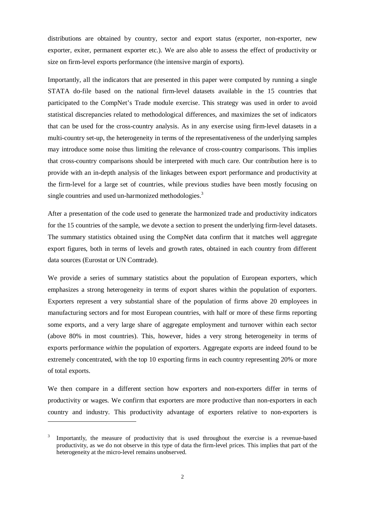distributions are obtained by country, sector and export status (exporter, non-exporter, new exporter, exiter, permanent exporter etc.). We are also able to assess the effect of productivity or size on firm-level exports performance (the intensive margin of exports).

Importantly, all the indicators that are presented in this paper were computed by running a single STATA do-file based on the national firm-level datasets available in the 15 countries that participated to the CompNet's Trade module exercise. This strategy was used in order to avoid statistical discrepancies related to methodological differences, and maximizes the set of indicators that can be used for the cross-country analysis. As in any exercise using firm-level datasets in a multi-country set-up, the heterogeneity in terms of the representativeness of the underlying samples may introduce some noise thus limiting the relevance of cross-country comparisons. This implies that cross-country comparisons should be interpreted with much care. Our contribution here is to provide with an in-depth analysis of the linkages between export performance and productivity at the firm-level for a large set of countries, while previous studies have been mostly focusing on single countries and used un-harmonized methodologies.<sup>3</sup>

After a presentation of the code used to generate the harmonized trade and productivity indicators for the 15 countries of the sample, we devote a section to present the underlying firm-level datasets. The summary statistics obtained using the CompNet data confirm that it matches well aggregate export figures, both in terms of levels and growth rates, obtained in each country from different data sources (Eurostat or UN Comtrade).

We provide a series of summary statistics about the population of European exporters, which emphasizes a strong heterogeneity in terms of export shares within the population of exporters. Exporters represent a very substantial share of the population of firms above 20 employees in manufacturing sectors and for most European countries, with half or more of these firms reporting some exports, and a very large share of aggregate employment and turnover within each sector (above 80% in most countries). This, however, hides a very strong heterogeneity in terms of exports performance *within* the population of exporters. Aggregate exports are indeed found to be extremely concentrated, with the top 10 exporting firms in each country representing 20% or more of total exports.

We then compare in a different section how exporters and non-exporters differ in terms of productivity or wages. We confirm that exporters are more productive than non-exporters in each country and industry. This productivity advantage of exporters relative to non-exporters is

-

<sup>3</sup> Importantly, the measure of productivity that is used throughout the exercise is a revenue-based productivity, as we do not observe in this type of data the firm-level prices. This implies that part of the heterogeneity at the micro-level remains unobserved.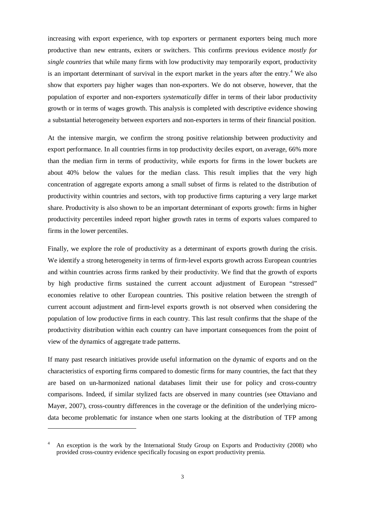increasing with export experience, with top exporters or permanent exporters being much more productive than new entrants, exiters or switchers. This confirms previous evidence *mostly for single countries* that while many firms with low productivity may temporarily export, productivity is an important determinant of survival in the export market in the years after the entry.<sup>4</sup> We also show that exporters pay higher wages than non-exporters. We do not observe, however, that the population of exporter and non-exporters *systematically* differ in terms of their labor productivity growth or in terms of wages growth. This analysis is completed with descriptive evidence showing a substantial heterogeneity between exporters and non-exporters in terms of their financial position.

At the intensive margin, we confirm the strong positive relationship between productivity and export performance. In all countries firms in top productivity deciles export, on average, 66% more than the median firm in terms of productivity, while exports for firms in the lower buckets are about 40% below the values for the median class. This result implies that the very high concentration of aggregate exports among a small subset of firms is related to the distribution of productivity within countries and sectors, with top productive firms capturing a very large market share. Productivity is also shown to be an important determinant of exports growth: firms in higher productivity percentiles indeed report higher growth rates in terms of exports values compared to firms in the lower percentiles.

Finally, we explore the role of productivity as a determinant of exports growth during the crisis. We identify a strong heterogeneity in terms of firm-level exports growth across European countries and within countries across firms ranked by their productivity. We find that the growth of exports by high productive firms sustained the current account adjustment of European "stressed" economies relative to other European countries. This positive relation between the strength of current account adjustment and firm-level exports growth is not observed when considering the population of low productive firms in each country. This last result confirms that the shape of the productivity distribution within each country can have important consequences from the point of view of the dynamics of aggregate trade patterns.

If many past research initiatives provide useful information on the dynamic of exports and on the characteristics of exporting firms compared to domestic firms for many countries, the fact that they are based on un-harmonized national databases limit their use for policy and cross-country comparisons. Indeed, if similar stylized facts are observed in many countries (see Ottaviano and Mayer, 2007), cross-country differences in the coverage or the definition of the underlying microdata become problematic for instance when one starts looking at the distribution of TFP among

1

<sup>4</sup> An exception is the work by the International Study Group on Exports and Productivity (2008) who provided cross-country evidence specifically focusing on export productivity premia.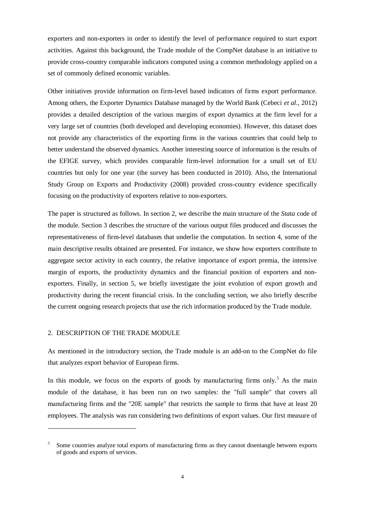exporters and non-exporters in order to identify the level of performance required to start export activities. Against this background, the Trade module of the CompNet database is an initiative to provide cross-country comparable indicators computed using a common methodology applied on a set of commonly defined economic variables.

Other initiatives provide information on firm-level based indicators of firms export performance. Among others, the Exporter Dynamics Database managed by the World Bank (Cebeci *et al.*, 2012) provides a detailed description of the various margins of export dynamics at the firm level for a very large set of countries (both developed and developing economies). However, this dataset does not provide any characteristics of the exporting firms in the various countries that could help to better understand the observed dynamics. Another interesting source of information is the results of the EFIGE survey, which provides comparable firm-level information for a small set of EU countries but only for one year (the survey has been conducted in 2010). Also, the International Study Group on Exports and Productivity (2008) provided cross-country evidence specifically focusing on the productivity of exporters relative to non-exporters.

The paper is structured as follows. In section 2, we describe the main structure of the *Stata* code of the module. Section 3 describes the structure of the various output files produced and discusses the representativeness of firm-level databases that underlie the computation. In section 4, some of the main descriptive results obtained are presented. For instance, we show how exporters contribute to aggregate sector activity in each country, the relative importance of export premia, the intensive margin of exports, the productivity dynamics and the financial position of exporters and nonexporters. Finally, in section 5, we briefly investigate the joint evolution of export growth and productivity during the recent financial crisis. In the concluding section, we also briefly describe the current ongoing research projects that use the rich information produced by the Trade module.

# 2. DESCRIPTION OF THE TRADE MODULE

1

As mentioned in the introductory section, the Trade module is an add-on to the CompNet do file that analyzes export behavior of European firms.

In this module, we focus on the exports of goods by manufacturing firms only.<sup>5</sup> As the main module of the database, it has been run on two samples: the "full sample" that covers all manufacturing firms and the "20E sample" that restricts the sample to firms that have at least 20 employees. The analysis was run considering two definitions of export values. Our first measure of

<sup>5</sup> Some countries analyze total exports of manufacturing firms as they cannot disentangle between exports of goods and exports of services.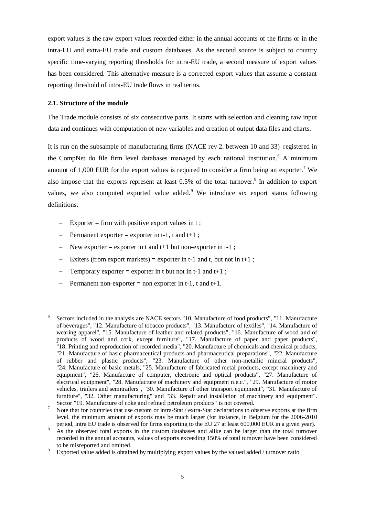export values is the raw export values recorded either in the annual accounts of the firms or in the intra-EU and extra-EU trade and custom databases. As the second source is subject to country specific time-varying reporting thresholds for intra-EU trade, a second measure of export values has been considered. This alternative measure is a corrected export values that assume a constant reporting threshold of intra-EU trade flows in real terms.

# **2.1. Structure of the module**

-

The Trade module consists of six consecutive parts. It starts with selection and cleaning raw input data and continues with computation of new variables and creation of output data files and charts.

It is run on the subsample of manufacturing firms (NACE rev 2. between 10 and 33) registered in the CompNet do file firm level databases managed by each national institution.<sup>6</sup> A minimum amount of 1,000 EUR for the export values is required to consider a firm being an exporter.<sup>7</sup> We also impose that the exports represent at least  $0.5\%$  of the total turnover.<sup>8</sup> In addition to export values, we also computed exported value added. We introduce six export status following definitions:

- $\overline{\phantom{a}}$  Exporter = firm with positive export values in t;
- Permanent exporter = exporter in t-1, t and t+1 ;
- New exporter = exporter in t and t+1 but non-exporter in t-1;
- $\overline{ }$  = Exiters (from export markets) = exporter in t-1 and t, but not in t+1;
- Temporary exporter = exporter in t but not in t-1 and t+1;
- Permanent non-exporter = non exporter in t-1, t and t+1.

<sup>6</sup> Sectors included in the analysis are NACE sectors "10. Manufacture of food products", "11. Manufacture of beverages", "12. Manufacture of tobacco products", "13. Manufacture of textiles", "14. Manufacture of wearing apparel", "15. Manufacture of leather and related products", "16. Manufacture of wood and of products of wood and cork, except furniture", "17. Manufacture of paper and paper products", "18. Printing and reproduction of recorded media", "20. Manufacture of chemicals and chemical products, "21. Manufacture of basic pharmaceutical products and pharmaceutical preparations", "22. Manufacture of rubber and plastic products", "23. Manufacture of other non-metallic mineral products", "24. Manufacture of basic metals, "25. Manufacture of fabricated metal products, except machinery and equipment", "26. Manufacture of computer, electronic and optical products", "27. Manufacture of electrical equipment", "28. Manufacture of machinery and equipment n.e.c.", "29. Manufacture of motor vehicles, trailers and semitrailers", "30. Manufacture of other transport equipment", "31. Manufacture of furniture", "32. Other manufacturing" and "33. Repair and installation of machinery and equipment". Sector "19. Manufacture of coke and refined petroleum products" is not covered.

<sup>7</sup> Note that for countries that use custom or intra-Stat / extra-Stat declarations to observe exports at the firm level, the minimum amount of exports may be much larger (for instance, in Belgium for the 2006-2010 period, intra EU trade is observed for firms exporting to the EU 27 at least 600,000 EUR in a given year).

<sup>8</sup> As the observed total exports in the custom databases and alike can be larger than the total turnover recorded in the annual accounts, values of exports exceeding 150% of total turnover have been considered to be misreported and omitted.

<sup>9</sup> Exported value added is obtained by multiplying export values by the valued added / turnover ratio.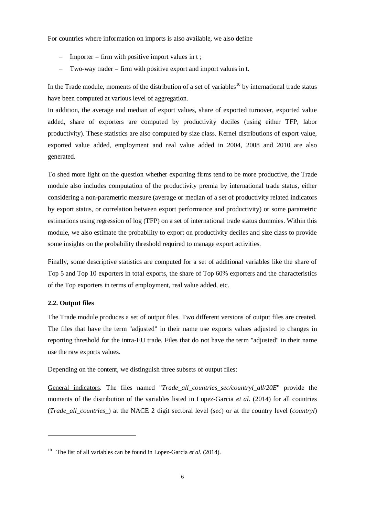For countries where information on imports is also available, we also define

- $-$  Importer = firm with positive import values in t;
- Two-way trader = firm with positive export and import values in t.

In the Trade module, moments of the distribution of a set of variables<sup>10</sup> by international trade status have been computed at various level of aggregation.

In addition, the average and median of export values, share of exported turnover, exported value added, share of exporters are computed by productivity deciles (using either TFP, labor productivity). These statistics are also computed by size class. Kernel distributions of export value, exported value added, employment and real value added in 2004, 2008 and 2010 are also generated.

To shed more light on the question whether exporting firms tend to be more productive, the Trade module also includes computation of the productivity premia by international trade status, either considering a non-parametric measure (average or median of a set of productivity related indicators by export status, or correlation between export performance and productivity) or some parametric estimations using regression of log (TFP) on a set of international trade status dummies. Within this module, we also estimate the probability to export on productivity deciles and size class to provide some insights on the probability threshold required to manage export activities.

Finally, some descriptive statistics are computed for a set of additional variables like the share of Top 5 and Top 10 exporters in total exports, the share of Top 60% exporters and the characteristics of the Top exporters in terms of employment, real value added, etc.

# **2.2. Output files**

1

The Trade module produces a set of output files. Two different versions of output files are created. The files that have the term "adjusted" in their name use exports values adjusted to changes in reporting threshold for the intra-EU trade. Files that do not have the term "adjusted" in their name use the raw exports values.

Depending on the content, we distinguish three subsets of output files:

General indicators. The files named "*Trade\_all\_countries\_sec/countryl\_all/20E*" provide the moments of the distribution of the variables listed in Lopez-Garcia *et al.* (2014) for all countries (*Trade\_all\_countries\_*) at the NACE 2 digit sectoral level (*sec*) or at the country level (*countryl*)

<sup>&</sup>lt;sup>10</sup> The list of all variables can be found in Lopez-Garcia *et al.* (2014).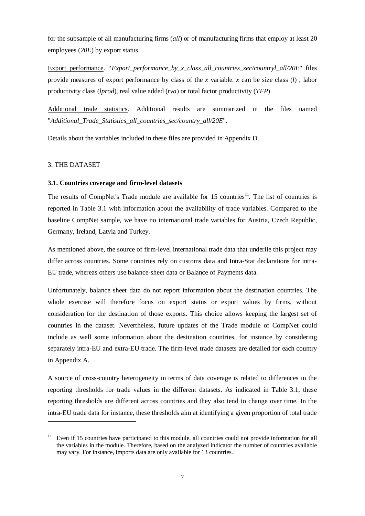for the subsample of all manufacturing firms (*all*) or of manufacturing firms that employ at least 20 employees (*20E*) by export status.

Export performance. "*Export\_performance\_by\_x\_class\_all\_countries\_sec/countryl\_all/20E*" files provide measures of export performance by class of the *x* variable. *x* can be size class (*l*) , labor productivity class (*lprod*), real value added (*rva*) or total factor productivity (*TFP*)

Additional trade statistics. Additional results are summarized in the files named "*Additional\_Trade\_Statistics\_all\_countries\_sec/country\_all/20E*".

Details about the variables included in these files are provided in Appendix D.

# 3. THE DATASET

-

#### **3.1. Countries coverage and firm-level datasets**

The results of CompNet's Trade module are available for  $15$  countries<sup>11</sup>. The list of countries is reported in Table 3.1 with information about the availability of trade variables. Compared to the baseline CompNet sample, we have no international trade variables for Austria, Czech Republic, Germany, Ireland, Latvia and Turkey.

As mentioned above, the source of firm-level international trade data that underlie this project may differ across countries. Some countries rely on customs data and Intra-Stat declarations for intra-EU trade, whereas others use balance-sheet data or Balance of Payments data.

Unfortunately, balance sheet data do not report information about the destination countries. The whole exercise will therefore focus on export status or export values by firms, without consideration for the destination of those exports. This choice allows keeping the largest set of countries in the dataset. Nevertheless, future updates of the Trade module of CompNet could include as well some information about the destination countries, for instance by considering separately intra-EU and extra-EU trade. The firm-level trade datasets are detailed for each country in Appendix A.

A source of cross-country heterogeneity in terms of data coverage is related to differences in the reporting thresholds for trade values in the different datasets. As indicated in Table 3.1, these reporting thresholds are different across countries and they also tend to change over time. In the intra-EU trade data for instance, these thresholds aim at identifying a given proportion of total trade

Even if 15 countries have participated to this module, all countries could not provide information for all the variables in the module. Therefore, based on the analyzed indicator the number of countries available may vary. For instance, imports data are only available for 13 countries.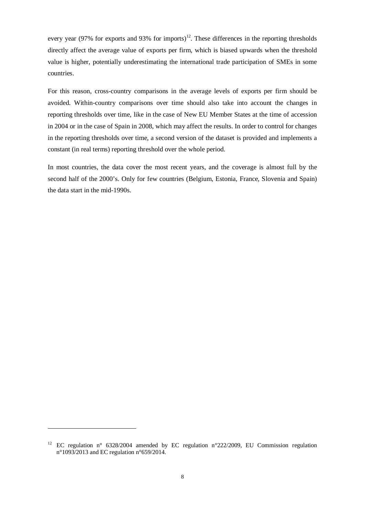every year (97% for exports and 93% for imports)<sup>12</sup>. These differences in the reporting thresholds directly affect the average value of exports per firm, which is biased upwards when the threshold value is higher, potentially underestimating the international trade participation of SMEs in some countries.

For this reason, cross-country comparisons in the average levels of exports per firm should be avoided. Within-country comparisons over time should also take into account the changes in reporting thresholds over time, like in the case of New EU Member States at the time of accession in 2004 or in the case of Spain in 2008, which may affect the results. In order to control for changes in the reporting thresholds over time, a second version of the dataset is provided and implements a constant (in real terms) reporting threshold over the whole period.

In most countries, the data cover the most recent years, and the coverage is almost full by the second half of the 2000's. Only for few countries (Belgium, Estonia, France, Slovenia and Spain) the data start in the mid-1990s.

1

<sup>&</sup>lt;sup>12</sup> EC regulation n° 6328/2004 amended by EC regulation n°222/2009, EU Commission regulation n°1093/2013 and EC regulation n°659/2014.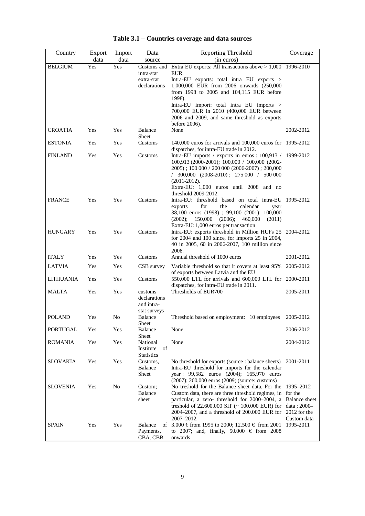| Country         | Export      | Import      | Data                                                     | Reporting Threshold                                                                                                                                                                                                                                                                           | Coverage                                                                 |
|-----------------|-------------|-------------|----------------------------------------------------------|-----------------------------------------------------------------------------------------------------------------------------------------------------------------------------------------------------------------------------------------------------------------------------------------------|--------------------------------------------------------------------------|
| <b>BELGIUM</b>  | data<br>Yes | data<br>Yes | source<br>Customs and                                    | (in euros)<br>Extra EU exports: All transactions above $> 1,000$                                                                                                                                                                                                                              | 1996-2010                                                                |
|                 |             |             | intra-stat<br>extra-stat<br>declarations                 | EUR.<br>Intra-EU exports: total intra EU exports ><br>1,000,000 EUR from 2006 onwards (250,000<br>from 1998 to 2005 and 104,115 EUR before<br>1998).                                                                                                                                          |                                                                          |
|                 |             |             |                                                          | Intra-EU import: total intra EU imports ><br>700,000 EUR in 2010 (400,000 EUR between<br>2006 and 2009, and same threshold as exports<br>before 2006).                                                                                                                                        |                                                                          |
| <b>CROATIA</b>  | Yes         | Yes         | <b>Balance</b><br>Sheet                                  | None                                                                                                                                                                                                                                                                                          | 2002-2012                                                                |
| <b>ESTONIA</b>  | Yes         | Yes         | Customs                                                  | 140,000 euros for arrivals and 100,000 euros for 1995-2012<br>dispatches, for intra-EU trade in 2012.                                                                                                                                                                                         |                                                                          |
| <b>FINLAND</b>  | Yes         | Yes         | Customs                                                  | Intra-EU imports / exports in euros : $100,913$ / 1999-2012<br>100,913 (2000-2001); 100,000 / 100,000 (2002-<br>$2005$ ; 100 000 / 200 000 (2006-2007); 200,000<br>$/$ 300,000 (2008-2010); 275 000 $/$ 500 000<br>$(2011-2012).$<br>Extra-EU: 1,000 euros until 2008 and no                  |                                                                          |
| <b>FRANCE</b>   | Yes         | Yes         | Customs                                                  | threshold 2009-2012.<br>Intra-EU: threshold based on total intra-EU 1995-2012<br>for<br>the<br>calendar<br>exports<br>year<br>38,100 euros (1998) ; 99,100 (2001); 100,000<br>150,000<br>(2006);<br>(2002);<br>460,000<br>(2011)<br>Extra-EU: 1,000 euros per transaction                     |                                                                          |
| HUNGARY         | Yes         | Yes         | Customs                                                  | Intra-EU: exports threshold in Million HUFs 25 2004-2012<br>for 2004 and 100 since, for imports 25 in 2004,<br>40 in 2005, 60 in 2006-2007, 100 million since<br>2008.                                                                                                                        |                                                                          |
| <b>ITALY</b>    | Yes         | Yes         | Customs                                                  | Annual threshold of 1000 euros                                                                                                                                                                                                                                                                | 2001-2012                                                                |
| <b>LATVIA</b>   | Yes         | Yes         | CSB survey                                               | Variable threshold so that it covers at least 95%<br>of exports between Latvia and the EU                                                                                                                                                                                                     | 2005-2012                                                                |
| LITHUANIA       | Yes         | Yes         | Customs                                                  | 550,000 LTL for arrivals and 600,000 LTL for 2000-2011<br>dispatches, for intra-EU trade in 2011.                                                                                                                                                                                             |                                                                          |
| MALTA           | Yes         | Yes         | customs<br>declarations<br>and intra-<br>stat surveys    | Thresholds of EUR700                                                                                                                                                                                                                                                                          | 2005-2011                                                                |
| <b>POLAND</b>   | Yes         | No          | <b>Balance</b><br>Sheet                                  | Threshold based on employment: $+10$ employees                                                                                                                                                                                                                                                | 2005-2012                                                                |
| <b>PORTUGAL</b> | Yes         | Yes         | <b>Balance</b><br>Sheet                                  | None                                                                                                                                                                                                                                                                                          | 2006-2012                                                                |
| <b>ROMANIA</b>  | Yes         | Yes         | National<br>Institute<br>of                              | None                                                                                                                                                                                                                                                                                          | 2004-2012                                                                |
| <b>SLOVAKIA</b> | Yes         | Yes         | <b>Statistics</b><br>Customs,<br><b>Balance</b><br>Sheet | No threshold for exports (source : balance sheets)<br>Intra-EU threshold for imports for the calendar<br>year: 99,582 euros (2004); 165,970 euros<br>$(2007); 200,000$ euros $(2009)$ (source: customs)                                                                                       | 2001-2011                                                                |
| <b>SLOVENIA</b> | Yes         | No          | Custom;<br><b>Balance</b><br>sheet                       | No treshold for the Balance sheet data. For the<br>Custom data, there are three threshold regimes, in for the<br>particular, a zero- threshold for 2000–2004, a<br>treshold of $22.600.000$ SIT ( $\sim 100.000$ EUR) for<br>$2004-2007$ , and a threshold of $200.000$ EUR for<br>2007-2012. | 1995–2012<br>Balance sheet<br>data; 2000-<br>2012 for the<br>Custom data |
| <b>SPAIN</b>    | Yes         | Yes         | <b>Balance</b><br>οf<br>Payments,<br>CBA, CBB            | 3.000 € from 1995 to 2000; 12.500 € from 2001<br>to 2007; and, finally, 50.000 € from 2008<br>onwards                                                                                                                                                                                         | 1995-2011                                                                |

| Table 3.1 – Countries coverage and data sources |  |
|-------------------------------------------------|--|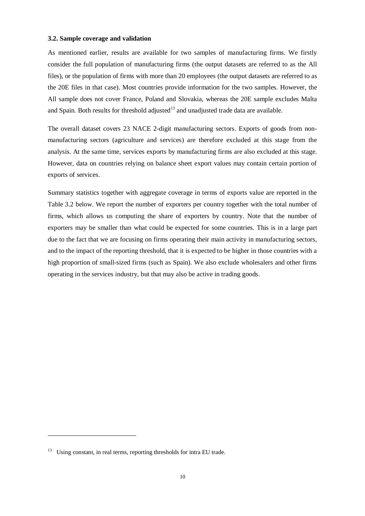#### **3.2. Sample coverage and validation**

As mentioned earlier, results are available for two samples of manufacturing firms. We firstly consider the full population of manufacturing firms (the output datasets are referred to as the All files), or the population of firms with more than 20 employees (the output datasets are referred to as the 20E files in that case). Most countries provide information for the two samples. However, the All sample does not cover France, Poland and Slovakia, whereas the 20E sample excludes Malta and Spain. Both results for threshold adjusted<sup>13</sup> and unadjusted trade data are available.

The overall dataset covers 23 NACE 2-digit manufacturing sectors. Exports of goods from nonmanufacturing sectors (agriculture and services) are therefore excluded at this stage from the analysis. At the same time, services exports by manufacturing firms are also excluded at this stage. However, data on countries relying on balance sheet export values may contain certain portion of exports of services.

Summary statistics together with aggregate coverage in terms of exports value are reported in the Table 3.2 below. We report the number of exporters per country together with the total number of firms, which allows us computing the share of exporters by country. Note that the number of exporters may be smaller than what could be expected for some countries. This is in a large part due to the fact that we are focusing on firms operating their main activity in manufacturing sectors, and to the impact of the reporting threshold, that it is expected to be higher in those countries with a high proportion of small-sized firms (such as Spain). We also exclude wholesalers and other firms operating in the services industry, but that may also be active in trading goods.

1

<sup>&</sup>lt;sup>13</sup> Using constant, in real terms, reporting thresholds for intra EU trade.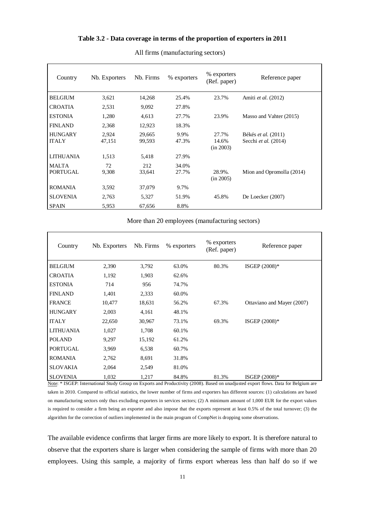# **Table 3.2 - Data coverage in terms of the proportion of exporters in 2011**

| Country                        | Nb. Exporters   | Nb. Firms        | % exporters    | % exporters<br>(Ref. paper) | Reference paper                             |
|--------------------------------|-----------------|------------------|----------------|-----------------------------|---------------------------------------------|
| <b>BELGIUM</b>                 | 3,621           | 14,268           | 25.4%          | 23.7%                       | Amiti et al. (2012)                         |
| <b>CROATIA</b>                 | 2,531           | 9,092            | 27.8%          |                             |                                             |
| <b>ESTONIA</b>                 | 1,280           | 4,613            | 27.7%          | 23.9%                       | Masso and Vahter (2015)                     |
| <b>FINLAND</b>                 | 2,368           | 12,923           | 18.3%          |                             |                                             |
| <b>HUNGARY</b><br><b>ITALY</b> | 2,924<br>47,151 | 29,665<br>99,593 | 9.9%<br>47.3%  | 27.7%<br>14.6%<br>(in 2003) | Békés et al. (2011)<br>Secchi et al. (2014) |
| <b>LITHUANIA</b>               | 1,513           | 5,418            | 27.9%          |                             |                                             |
| <b>MALTA</b><br>PORTUGAL       | 72<br>9,308     | 212<br>33,641    | 34.0%<br>27.7% | 28.9%.<br>(in 2005)         | Mion and Opromolla (2014)                   |
| <b>ROMANIA</b>                 | 3,592           | 37,079           | 9.7%           |                             |                                             |
| <b>SLOVENIA</b>                | 2,763           | 5,327            | 51.9%          | 45.8%                       | De Loecker (2007)                           |
| <b>SPAIN</b>                   | 5,953           | 67,656           | 8.8%           |                             |                                             |

All firms (manufacturing sectors)

More than 20 employees (manufacturing sectors)

| Country         | Nb. Exporters | Nb. Firms | % exporters | % exporters<br>(Ref. paper) | Reference paper            |
|-----------------|---------------|-----------|-------------|-----------------------------|----------------------------|
| <b>BELGIUM</b>  | 2,390         | 3,792     | 63.0%       | 80.3%                       | ISGEP $(2008)*$            |
| <b>CROATIA</b>  | 1,192         | 1,903     | 62.6%       |                             |                            |
| <b>ESTONIA</b>  | 714           | 956       | 74.7%       |                             |                            |
| <b>FINLAND</b>  | 1,401         | 2,333     | 60.0%       |                             |                            |
| <b>FRANCE</b>   | 10,477        | 18,631    | 56.2%       | 67.3%                       | Ottaviano and Mayer (2007) |
| <b>HUNGARY</b>  | 2,003         | 4,161     | 48.1%       |                             |                            |
| <b>ITALY</b>    | 22,650        | 30,967    | 73.1%       | 69.3%                       | ISGEP (2008)*              |
| LITHUANIA       | 1,027         | 1,708     | 60.1%       |                             |                            |
| <b>POLAND</b>   | 9,297         | 15,192    | 61.2%       |                             |                            |
| <b>PORTUGAL</b> | 3,969         | 6,538     | 60.7%       |                             |                            |
| <b>ROMANIA</b>  | 2,762         | 8,691     | 31.8%       |                             |                            |
| <b>SLOVAKIA</b> | 2,064         | 2,549     | 81.0%       |                             |                            |
| <b>SLOVENIA</b> | 1,032         | 1,217     | 84.8%       | 81.3%                       | ISGEP $(2008)*$            |

Note: \* ISGEP: International Study Group on Exports and Productivity (2008). Based on unadjusted export flows. Data for Belgium are taken in 2010. Compared to official statistics, the lower number of firms and exporters has different sources: (1) calculations are based

on manufacturing sectors only thus excluding exporters in services sectors; (2) A minimum amount of 1,000 EUR for the export values is required to consider a firm being an exporter and also impose that the exports represent at least 0.5% of the total turnover; (3) the algorithm for the correction of outliers implemented in the main program of CompNet is dropping some observations.

The available evidence confirms that larger firms are more likely to export. It is therefore natural to observe that the exporters share is larger when considering the sample of firms with more than 20 employees. Using this sample, a majority of firms export whereas less than half do so if we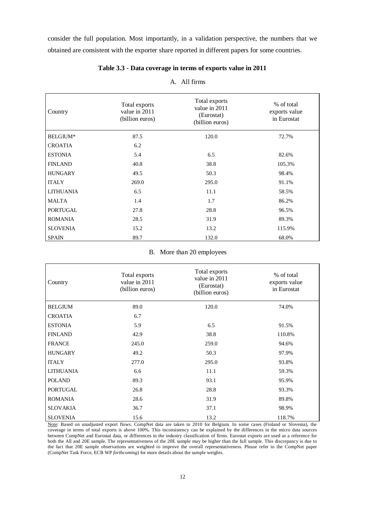consider the full population. Most importantly, in a validation perspective, the numbers that we obtained are consistent with the exporter share reported in different papers for some countries.

| Country          | Total exports<br>value in 2011<br>(billion euros) | Total exports<br>value in 2011<br>(Eurostat)<br>(billion euros) | % of total<br>exports value<br>in Eurostat |
|------------------|---------------------------------------------------|-----------------------------------------------------------------|--------------------------------------------|
| BELGIUM*         | 87.5                                              | 120.0                                                           | 72.7%                                      |
| <b>CROATIA</b>   | 6.2                                               |                                                                 |                                            |
| <b>ESTONIA</b>   | 5.4                                               | 6.5                                                             | 82.6%                                      |
| <b>FINLAND</b>   | 40.8                                              | 38.8                                                            | 105.3%                                     |
| <b>HUNGARY</b>   | 49.5                                              | 50.3                                                            | 98.4%                                      |
| <b>ITALY</b>     | 269.0                                             | 295.0                                                           | 91.1%                                      |
| <b>LITHUANIA</b> | 6.5                                               | 11.1                                                            | 58.5%                                      |
| <b>MALTA</b>     | 1.4                                               | 1.7                                                             | 86.2%                                      |
| PORTUGAL         | 27.8                                              | 28.8                                                            | 96.5%                                      |
| <b>ROMANIA</b>   | 28.5                                              | 31.9                                                            | 89.3%                                      |
| <b>SLOVENIA</b>  | 15.2                                              | 13.2                                                            | 115.9%                                     |
| <b>SPAIN</b>     | 89.7                                              | 132.0                                                           | 68.0%                                      |

# **Table 3.3 - Data coverage in terms of exports value in 2011**

# A. All firms

#### B. More than 20 employees

| Country          | Total exports<br>value in 2011<br>(billion euros) | Total exports<br>value in 2011<br>(Eurostat)<br>(billion euros) | % of total<br>exports value<br>in Eurostat |
|------------------|---------------------------------------------------|-----------------------------------------------------------------|--------------------------------------------|
| <b>BELGIUM</b>   | 89.0                                              | 120.0                                                           | 74.0%                                      |
| <b>CROATIA</b>   | 6.7                                               |                                                                 |                                            |
| <b>ESTONIA</b>   | 5.9                                               | 6.5                                                             | 91.5%                                      |
| <b>FINLAND</b>   | 42.9                                              | 38.8                                                            | 110.8%                                     |
| <b>FRANCE</b>    | 245.0                                             | 259.0                                                           | 94.6%                                      |
| <b>HUNGARY</b>   | 49.2                                              | 50.3                                                            | 97.9%                                      |
| <b>ITALY</b>     | 277.0                                             | 295.0                                                           | 93.8%                                      |
| <b>LITHUANIA</b> | 6.6                                               | 11.1                                                            | 59.3%                                      |
| <b>POLAND</b>    | 89.3                                              | 93.1                                                            | 95.9%                                      |
| <b>PORTUGAL</b>  | 26.8                                              | 28.8                                                            | 93.3%                                      |
| <b>ROMANIA</b>   | 28.6                                              | 31.9                                                            | 89.8%                                      |
| <b>SLOVAKIA</b>  | 36.7                                              | 37.1                                                            | 98.9%                                      |
| <b>SLOVENIA</b>  | 15.6                                              | 13.2                                                            | 118.7%                                     |

Note: Based on unadjusted export flows. CompNet data are taken in 2010 for Belgium. In some cases (Finland or Slovenia), the coverage in terms of total exports is above 100%. This inconsistency can be explained by the differences in the micro data sources between CompNet and Eurostat data, or differences in the industry classification of firms. Eurostat exports are used as a reference for both the All and 20E sample. The representativeness of the 20E sample may be higher than the full sample. This discrepancy is due to the fact that 20E sample observations are weighted to improve the overall representativeness. Please refer to the CompNet paper (CompNet Task Force, ECB WP *forthcoming*) for more details about the sample weights.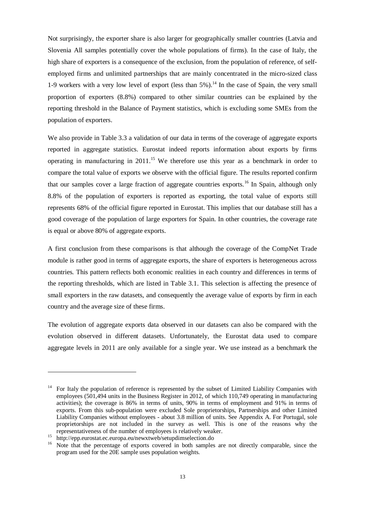Not surprisingly, the exporter share is also larger for geographically smaller countries (Latvia and Slovenia All samples potentially cover the whole populations of firms). In the case of Italy, the high share of exporters is a consequence of the exclusion, from the population of reference, of selfemployed firms and unlimited partnerships that are mainly concentrated in the micro-sized class 1-9 workers with a very low level of export (less than  $5\%$ ).<sup>14</sup> In the case of Spain, the very small proportion of exporters (8.8%) compared to other similar countries can be explained by the reporting threshold in the Balance of Payment statistics, which is excluding some SMEs from the population of exporters.

We also provide in Table 3.3 a validation of our data in terms of the coverage of aggregate exports reported in aggregate statistics. Eurostat indeed reports information about exports by firms operating in manufacturing in 2011.<sup>15</sup> We therefore use this year as a benchmark in order to compare the total value of exports we observe with the official figure. The results reported confirm that our samples cover a large fraction of aggregate countries exports.<sup>16</sup> In Spain, although only 8.8% of the population of exporters is reported as exporting, the total value of exports still represents 68% of the official figure reported in Eurostat. This implies that our database still has a good coverage of the population of large exporters for Spain. In other countries, the coverage rate is equal or above 80% of aggregate exports.

A first conclusion from these comparisons is that although the coverage of the CompNet Trade module is rather good in terms of aggregate exports, the share of exporters is heterogeneous across countries. This pattern reflects both economic realities in each country and differences in terms of the reporting thresholds, which are listed in Table 3.1. This selection is affecting the presence of small exporters in the raw datasets, and consequently the average value of exports by firm in each country and the average size of these firms.

The evolution of aggregate exports data observed in our datasets can also be compared with the evolution observed in different datasets. Unfortunately, the Eurostat data used to compare aggregate levels in 2011 are only available for a single year. We use instead as a benchmark the

1

<sup>&</sup>lt;sup>14</sup> For Italy the population of reference is represented by the subset of Limited Liability Companies with employees (501,494 units in the Business Register in 2012, of which 110,749 operating in manufacturing activities); the coverage is 86% in terms of units, 90% in terms of employment and 91% in terms of exports. From this sub-population were excluded Sole proprietorships, Partnerships and other Limited Liability Companies without employees - about 3.8 million of units. See Appendix A. For Portugal, sole proprietorships are not included in the survey as well. This is one of the reasons why the representativeness of the number of employees is relatively weaker.

<sup>15</sup> http://epp.eurostat.ec.europa.eu/newxtweb/setupdimselection.do

Note that the percentage of exports covered in both samples are not directly comparable, since the program used for the 20E sample uses population weights.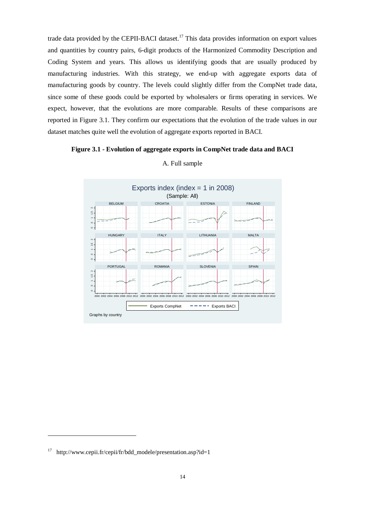trade data provided by the CEPII-BACI dataset.<sup>17</sup> This data provides information on export values and quantities by country pairs, 6-digit products of the Harmonized Commodity Description and Coding System and years. This allows us identifying goods that are usually produced by manufacturing industries. With this strategy, we end-up with aggregate exports data of manufacturing goods by country. The levels could slightly differ from the CompNet trade data, since some of these goods could be exported by wholesalers or firms operating in services. We expect, however, that the evolutions are more comparable. Results of these comparisons are reported in Figure 3.1. They confirm our expectations that the evolution of the trade values in our dataset matches quite well the evolution of aggregate exports reported in BACI.

## **Figure 3.1 - Evolution of aggregate exports in CompNet trade data and BACI**



#### A. Full sample

1

 $17$  http://www.cepii.fr/cepii/fr/bdd\_modele/presentation.asp?id=1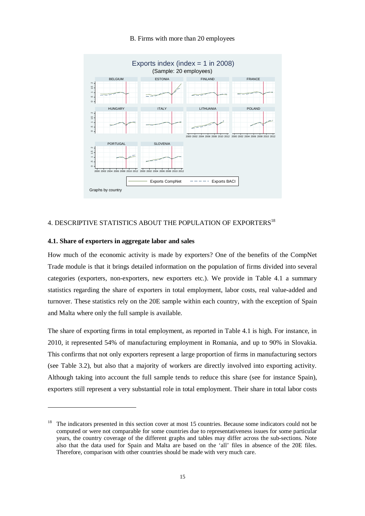# B. Firms with more than 20 employees



# 4. DESCRIPTIVE STATISTICS ABOUT THE POPULATION OF EXPORTERS<sup>18</sup>

#### **4.1. Share of exporters in aggregate labor and sales**

-

How much of the economic activity is made by exporters? One of the benefits of the CompNet Trade module is that it brings detailed information on the population of firms divided into several categories (exporters, non-exporters, new exporters etc.). We provide in Table 4.1 a summary statistics regarding the share of exporters in total employment, labor costs, real value-added and turnover. These statistics rely on the 20E sample within each country, with the exception of Spain and Malta where only the full sample is available.

The share of exporting firms in total employment, as reported in Table 4.1 is high. For instance, in 2010, it represented 54% of manufacturing employment in Romania, and up to 90% in Slovakia. This confirms that not only exporters represent a large proportion of firms in manufacturing sectors (see Table 3.2), but also that a majority of workers are directly involved into exporting activity. Although taking into account the full sample tends to reduce this share (see for instance Spain), exporters still represent a very substantial role in total employment. Their share in total labor costs

<sup>&</sup>lt;sup>18</sup> The indicators presented in this section cover at most 15 countries. Because some indicators could not be computed or were not comparable for some countries due to representativeness issues for some particular years, the country coverage of the different graphs and tables may differ across the sub-sections. Note also that the data used for Spain and Malta are based on the 'all' files in absence of the 20E files. Therefore, comparison with other countries should be made with very much care.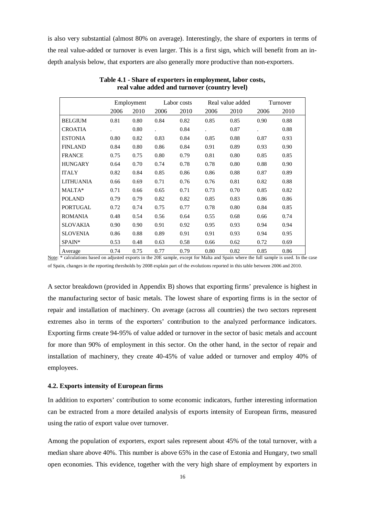is also very substantial (almost 80% on average). Interestingly, the share of exporters in terms of the real value-added or turnover is even larger. This is a first sign, which will benefit from an indepth analysis below, that exporters are also generally more productive than non-exporters.

|                  |      | Employment |      | Labor costs |      | Real value added |      | Turnover |
|------------------|------|------------|------|-------------|------|------------------|------|----------|
|                  | 2006 | 2010       | 2006 | 2010        | 2006 | 2010             | 2006 | 2010     |
| <b>BELGIUM</b>   | 0.81 | 0.80       | 0.84 | 0.82        | 0.85 | 0.85             | 0.90 | 0.88     |
| <b>CROATIA</b>   |      | 0.80       |      | 0.84        |      | 0.87             |      | 0.88     |
| <b>ESTONIA</b>   | 0.80 | 0.82       | 0.83 | 0.84        | 0.85 | 0.88             | 0.87 | 0.93     |
| <b>FINLAND</b>   | 0.84 | 0.80       | 0.86 | 0.84        | 0.91 | 0.89             | 0.93 | 0.90     |
| <b>FRANCE</b>    | 0.75 | 0.75       | 0.80 | 0.79        | 0.81 | 0.80             | 0.85 | 0.85     |
| <b>HUNGARY</b>   | 0.64 | 0.70       | 0.74 | 0.78        | 0.78 | 0.80             | 0.88 | 0.90     |
| <b>ITALY</b>     | 0.82 | 0.84       | 0.85 | 0.86        | 0.86 | 0.88             | 0.87 | 0.89     |
| <b>LITHUANIA</b> | 0.66 | 0.69       | 0.71 | 0.76        | 0.76 | 0.81             | 0.82 | 0.88     |
| MALTA*           | 0.71 | 0.66       | 0.65 | 0.71        | 0.73 | 0.70             | 0.85 | 0.82     |
| <b>POLAND</b>    | 0.79 | 0.79       | 0.82 | 0.82        | 0.85 | 0.83             | 0.86 | 0.86     |
| <b>PORTUGAL</b>  | 0.72 | 0.74       | 0.75 | 0.77        | 0.78 | 0.80             | 0.84 | 0.85     |
| <b>ROMANIA</b>   | 0.48 | 0.54       | 0.56 | 0.64        | 0.55 | 0.68             | 0.66 | 0.74     |
| <b>SLOVAKIA</b>  | 0.90 | 0.90       | 0.91 | 0.92        | 0.95 | 0.93             | 0.94 | 0.94     |
| <b>SLOVENIA</b>  | 0.86 | 0.88       | 0.89 | 0.91        | 0.91 | 0.93             | 0.94 | 0.95     |
| SPAIN*           | 0.53 | 0.48       | 0.63 | 0.58        | 0.66 | 0.62             | 0.72 | 0.69     |
| Average          | 0.74 | 0.75       | 0.77 | 0.79        | 0.80 | 0.82             | 0.85 | 0.86     |

**Table 4.1 - Share of exporters in employment, labor costs, real value added and turnover (country level)** 

Note: \* calculations based on adjusted exports in the 20E sample, except for Malta and Spain where the full sample is used. In the case of Spain, changes in the reporting thresholds by 2008 explain part of the evolutions reported in this table between 2006 and 2010.

A sector breakdown (provided in Appendix B) shows that exporting firms' prevalence is highest in the manufacturing sector of basic metals. The lowest share of exporting firms is in the sector of repair and installation of machinery. On average (across all countries) the two sectors represent extremes also in terms of the exporters' contribution to the analyzed performance indicators. Exporting firms create 94-95% of value added or turnover in the sector of basic metals and account for more than 90% of employment in this sector. On the other hand, in the sector of repair and installation of machinery, they create 40-45% of value added or turnover and employ 40% of employees.

# **4.2. Exports intensity of European firms**

In addition to exporters' contribution to some economic indicators, further interesting information can be extracted from a more detailed analysis of exports intensity of European firms, measured using the ratio of export value over turnover.

Among the population of exporters, export sales represent about 45% of the total turnover, with a median share above 40%. This number is above 65% in the case of Estonia and Hungary, two small open economies. This evidence, together with the very high share of employment by exporters in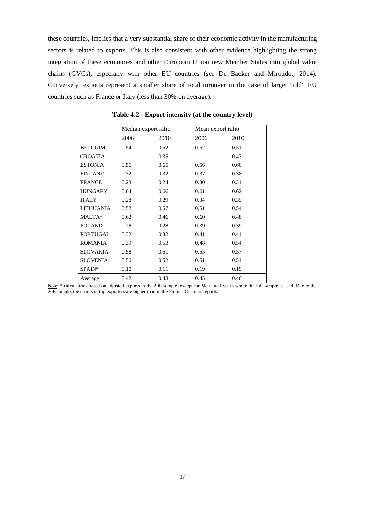these countries, implies that a very substantial share of their economic activity in the manufacturing sectors is related to exports. This is also consistent with other evidence highlighting the strong integration of these economies and other European Union new Member States into global value chains (GVCs), especially with other EU countries (see De Backer and Miroudot, 2014). Conversely, exports represent a smaller share of total turnover in the case of larger "old" EU countries such as France or Italy (less than 30% on average).

|                  | Median export ratio |      | Mean export ratio    |      |
|------------------|---------------------|------|----------------------|------|
|                  | 2006                | 2010 | 2006                 | 2010 |
| <b>BELGIUM</b>   | 0.54                | 0.52 | 0.52                 | 0.51 |
| <b>CROATIA</b>   |                     | 0.35 | $\ddot{\phantom{0}}$ | 0.43 |
| <b>ESTONIA</b>   | 0.56                | 0.65 | 0.56                 | 0.60 |
| <b>FINLAND</b>   | 0.32                | 0.32 | 0.37                 | 0.38 |
| <b>FRANCE</b>    | 0.23                | 0.24 | 0.30                 | 0.31 |
| <b>HUNGARY</b>   | 0.64                | 0.66 | 0.61                 | 0.62 |
| <b>ITALY</b>     | 0.28                | 0.29 | 0.34                 | 0.35 |
| <b>LITHUANIA</b> | 0.52                | 0.57 | 0.51                 | 0.54 |
| MALTA*           | 0.62                | 0.46 | 0.60                 | 0.48 |
| <b>POLAND</b>    | 0.28                | 0.28 | 0.39                 | 0.39 |
| <b>PORTUGAL</b>  | 0.32                | 0.32 | 0.41                 | 0.41 |
| <b>ROMANIA</b>   | 0.39                | 0.53 | 0.48                 | 0.54 |
| <b>SLOVAKIA</b>  | 0.58                | 0.61 | 0.55                 | 0.57 |
| <b>SLOVENIA</b>  | 0.50                | 0.52 | 0.51                 | 0.51 |
| SPAIN*           | 0.10                | 0.11 | 0.19                 | 0.19 |
| Average          | 0.42                | 0.43 | 0.45                 | 0.46 |

**Table 4.2 - Export intensity (at the country level)** 

Note: \* calculations based on adjusted exports in the 20E sample, except for Malta and Spain where the full sample is used. Due to the 20E sample, the shares of top exporters are higher than in the Finnish Customs reports.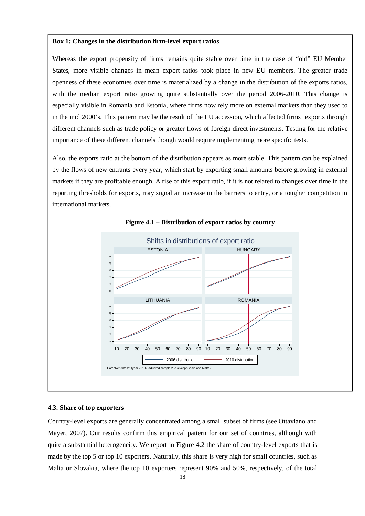#### **Box 1: Changes in the distribution firm-level export ratios**

Whereas the export propensity of firms remains quite stable over time in the case of "old" EU Member States, more visible changes in mean export ratios took place in new EU members. The greater trade openness of these economies over time is materialized by a change in the distribution of the exports ratios, with the median export ratio growing quite substantially over the period 2006-2010. This change is especially visible in Romania and Estonia, where firms now rely more on external markets than they used to in the mid 2000's. This pattern may be the result of the EU accession, which affected firms' exports through different channels such as trade policy or greater flows of foreign direct investments. Testing for the relative importance of these different channels though would require implementing more specific tests.

Also, the exports ratio at the bottom of the distribution appears as more stable. This pattern can be explained by the flows of new entrants every year, which start by exporting small amounts before growing in external markets if they are profitable enough. A rise of this export ratio, if it is not related to changes over time in the reporting thresholds for exports, may signal an increase in the barriers to entry, or a tougher competition in international markets.



#### **Figure 4.1 – Distribution of export ratios by country**

#### **4.3. Share of top exporters**

Country-level exports are generally concentrated among a small subset of firms (see Ottaviano and Mayer, 2007). Our results confirm this empirical pattern for our set of countries, although with quite a substantial heterogeneity. We report in Figure 4.2 the share of country-level exports that is made by the top 5 or top 10 exporters. Naturally, this share is very high for small countries, such as Malta or Slovakia, where the top 10 exporters represent 90% and 50%, respectively, of the total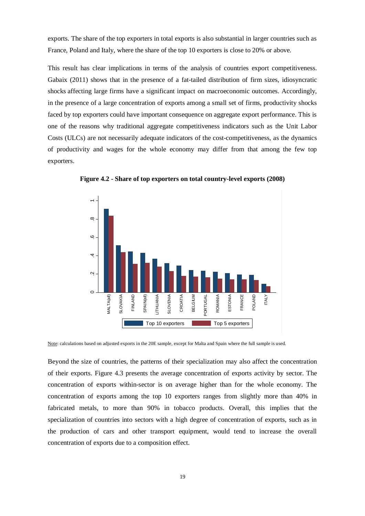exports. The share of the top exporters in total exports is also substantial in larger countries such as France, Poland and Italy, where the share of the top 10 exporters is close to 20% or above.

This result has clear implications in terms of the analysis of countries export competitiveness. Gabaix (2011) shows that in the presence of a fat-tailed distribution of firm sizes, idiosyncratic shocks affecting large firms have a significant impact on macroeconomic outcomes. Accordingly, in the presence of a large concentration of exports among a small set of firms, productivity shocks faced by top exporters could have important consequence on aggregate export performance. This is one of the reasons why traditional aggregate competitiveness indicators such as the Unit Labor Costs (ULCs) are not necessarily adequate indicators of the cost-competitiveness, as the dynamics of productivity and wages for the whole economy may differ from that among the few top exporters.



**Figure 4.2 - Share of top exporters on total country-level exports (2008)** 

Note: calculations based on adjusted exports in the 20E sample, except for Malta and Spain where the full sample is used.

Beyond the size of countries, the patterns of their specialization may also affect the concentration of their exports. Figure 4.3 presents the average concentration of exports activity by sector. The concentration of exports within-sector is on average higher than for the whole economy. The concentration of exports among the top 10 exporters ranges from slightly more than 40% in fabricated metals, to more than 90% in tobacco products. Overall, this implies that the specialization of countries into sectors with a high degree of concentration of exports, such as in the production of cars and other transport equipment, would tend to increase the overall concentration of exports due to a composition effect.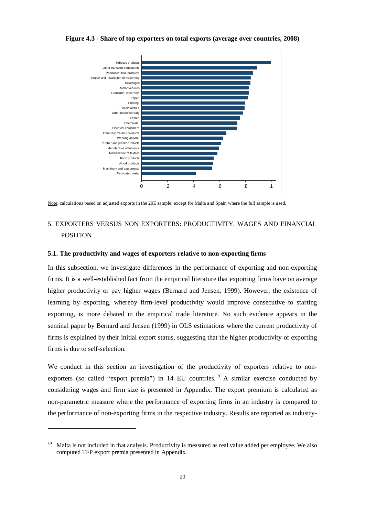

**Figure 4.3 - Share of top exporters on total exports (average over countries, 2008)** 

Note: calculations based on adjusted exports in the 20E sample, except for Malta and Spain where the full sample is used.

# 5. EXPORTERS VERSUS NON EXPORTERS: PRODUCTIVITY, WAGES AND FINANCIAL POSITION

#### **5.1. The productivity and wages of exporters relative to non-exporting firms**

In this subsection, we investigate differences in the performance of exporting and non-exporting firms. It is a well-established fact from the empirical literature that exporting firms have on average higher productivity or pay higher wages (Bernard and Jensen, 1999). However, the existence of learning by exporting, whereby firm-level productivity would improve consecutive to starting exporting, is more debated in the empirical trade literature. No such evidence appears in the seminal paper by Bernard and Jensen (1999) in OLS estimations where the current productivity of firms is explained by their initial export status, suggesting that the higher productivity of exporting firms is due to self-selection.

We conduct in this section an investigation of the productivity of exporters relative to nonexporters (so called "export premia") in  $14$  EU countries.<sup>19</sup> A similar exercise conducted by considering wages and firm size is presented in Appendix. The export premium is calculated as non-parametric measure where the performance of exporting firms in an industry is compared to the performance of non-exporting firms in the respective industry. Results are reported as industry-

1

<sup>19</sup> Malta is not included in that analysis. Productivity is measured as real value added per employee. We also computed TFP export premia presented in Appendix.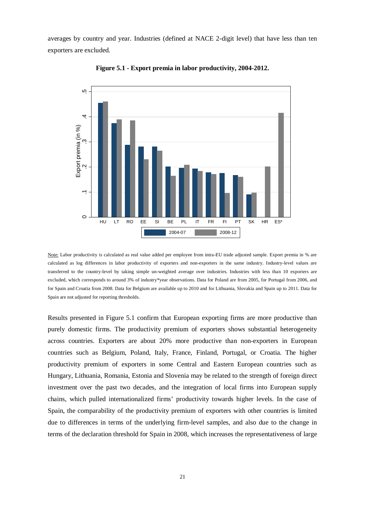averages by country and year. Industries (defined at NACE 2-digit level) that have less than ten exporters are excluded.



**Figure 5.1 - Export premia in labor productivity, 2004-2012.** 

Results presented in Figure 5.1 confirm that European exporting firms are more productive than purely domestic firms. The productivity premium of exporters shows substantial heterogeneity across countries. Exporters are about 20% more productive than non-exporters in European countries such as Belgium, Poland, Italy, France, Finland, Portugal, or Croatia. The higher productivity premium of exporters in some Central and Eastern European countries such as Hungary, Lithuania, Romania, Estonia and Slovenia may be related to the strength of foreign direct investment over the past two decades, and the integration of local firms into European supply chains, which pulled internationalized firms' productivity towards higher levels. In the case of Spain, the comparability of the productivity premium of exporters with other countries is limited due to differences in terms of the underlying firm-level samples, and also due to the change in terms of the declaration threshold for Spain in 2008, which increases the representativeness of large

Note: Labor productivity is calculated as real value added per employee from intra-EU trade adjusted sample. Export premia in % are calculated as log differences in labor productivity of exporters and non-exporters in the same industry. Industry-level values are transferred to the country-level by taking simple un-weighted average over industries. Industries with less than 10 exporters are excluded, which corresponds to around 3% of industry\*year observations. Data for Poland are from 2005, for Portugal from 2006, and for Spain and Croatia from 2008. Data for Belgium are available up to 2010 and for Lithuania, Slovakia and Spain up to 2011. Data for Spain are not adjusted for reporting thresholds.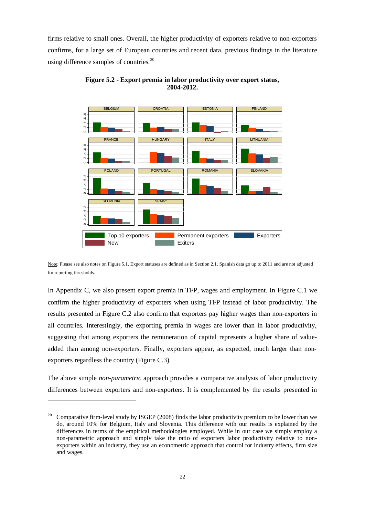firms relative to small ones. Overall, the higher productivity of exporters relative to non-exporters confirms, for a large set of European countries and recent data, previous findings in the literature using difference samples of countries. $^{20}$ 



**Figure 5.2 - Export premia in labor productivity over export status, 2004-2012.** 

In Appendix C, we also present export premia in TFP, wages and employment. In Figure C.1 we confirm the higher productivity of exporters when using TFP instead of labor productivity. The results presented in Figure C.2 also confirm that exporters pay higher wages than non-exporters in all countries. Interestingly, the exporting premia in wages are lower than in labor productivity, suggesting that among exporters the remuneration of capital represents a higher share of valueadded than among non-exporters. Finally, exporters appear, as expected, much larger than nonexporters regardless the country (Figure C.3).

The above simple *non-parametric* approach provides a comparative analysis of labor productivity differences between exporters and non-exporters. It is complemented by the results presented in

1

Note: Please see also notes on Figure 5.1. Export statuses are defined as in Section 2.1. Spanish data go up to 2011 and are not adjusted for reporting thresholds.

<sup>&</sup>lt;sup>20</sup> Comparative firm-level study by ISGEP (2008) finds the labor productivity premium to be lower than we do, around 10% for Belgium, Italy and Slovenia. This difference with our results is explained by the differences in terms of the empirical methodologies employed. While in our case we simply employ a non-parametric approach and simply take the ratio of exporters labor productivity relative to nonexporters within an industry, they use an econometric approach that control for industry effects, firm size and wages.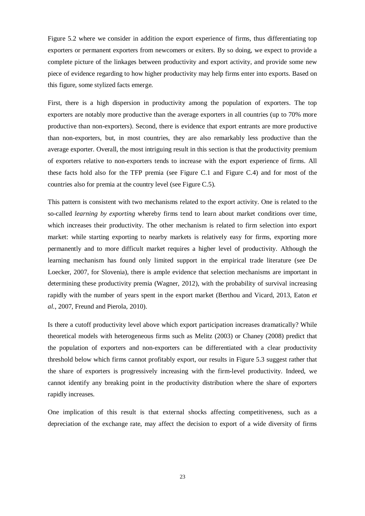Figure 5.2 where we consider in addition the export experience of firms, thus differentiating top exporters or permanent exporters from newcomers or exiters. By so doing, we expect to provide a complete picture of the linkages between productivity and export activity, and provide some new piece of evidence regarding to how higher productivity may help firms enter into exports. Based on this figure, some stylized facts emerge.

First, there is a high dispersion in productivity among the population of exporters. The top exporters are notably more productive than the average exporters in all countries (up to 70% more productive than non-exporters). Second, there is evidence that export entrants are more productive than non-exporters, but, in most countries, they are also remarkably less productive than the average exporter. Overall, the most intriguing result in this section is that the productivity premium of exporters relative to non-exporters tends to increase with the export experience of firms. All these facts hold also for the TFP premia (see Figure C.1 and Figure C.4) and for most of the countries also for premia at the country level (see Figure C.5).

This pattern is consistent with two mechanisms related to the export activity. One is related to the so-called *learning by exporting* whereby firms tend to learn about market conditions over time, which increases their productivity. The other mechanism is related to firm selection into export market: while starting exporting to nearby markets is relatively easy for firms, exporting more permanently and to more difficult market requires a higher level of productivity. Although the learning mechanism has found only limited support in the empirical trade literature (see De Loecker, 2007, for Slovenia), there is ample evidence that selection mechanisms are important in determining these productivity premia (Wagner, 2012), with the probability of survival increasing rapidly with the number of years spent in the export market (Berthou and Vicard, 2013, Eaton *et al.*, 2007, Freund and Pierola, 2010).

Is there a cutoff productivity level above which export participation increases dramatically? While theoretical models with heterogeneous firms such as Melitz (2003) or Chaney (2008) predict that the population of exporters and non-exporters can be differentiated with a clear productivity threshold below which firms cannot profitably export, our results in Figure 5.3 suggest rather that the share of exporters is progressively increasing with the firm-level productivity. Indeed, we cannot identify any breaking point in the productivity distribution where the share of exporters rapidly increases.

One implication of this result is that external shocks affecting competitiveness, such as a depreciation of the exchange rate, may affect the decision to export of a wide diversity of firms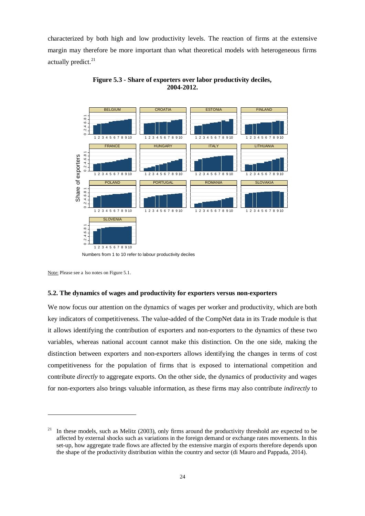characterized by both high and low productivity levels. The reaction of firms at the extensive margin may therefore be more important than what theoretical models with heterogeneous firms actually predict.<sup>21</sup>



**Figure 5.3 - Share of exporters over labor productivity deciles, 2004-2012.** 

-

#### **5.2. The dynamics of wages and productivity for exporters versus non-exporters**

We now focus our attention on the dynamics of wages per worker and productivity, which are both key indicators of competitiveness. The value-added of the CompNet data in its Trade module is that it allows identifying the contribution of exporters and non-exporters to the dynamics of these two variables, whereas national account cannot make this distinction. On the one side, making the distinction between exporters and non-exporters allows identifying the changes in terms of cost competitiveness for the population of firms that is exposed to international competition and contribute *directly* to aggregate exports. On the other side, the dynamics of productivity and wages for non-exporters also brings valuable information, as these firms may also contribute *indirectly* to

Numbers from 1 to 10 refer to labour productivity deciles

Note: Please see a lso notes on Figure 5.1.

In these models, such as Melitz (2003), only firms around the productivity threshold are expected to be affected by external shocks such as variations in the foreign demand or exchange rates movements. In this set-up, how aggregate trade flows are affected by the extensive margin of exports therefore depends upon the shape of the productivity distribution within the country and sector (di Mauro and Pappada, 2014).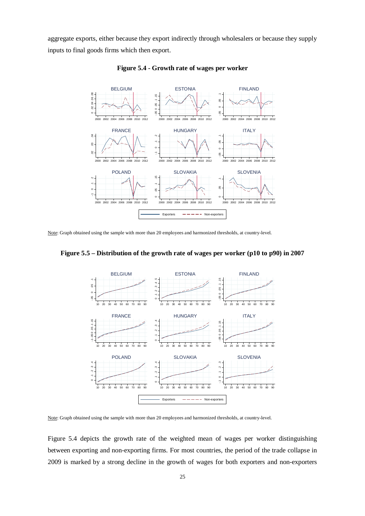aggregate exports, either because they export indirectly through wholesalers or because they supply inputs to final goods firms which then export.



**Figure 5.4 - Growth rate of wages per worker** 

Note: Graph obtained using the sample with more than 20 employees and harmonized thresholds, at country-level.



**Figure 5.5 – Distribution of the growth rate of wages per worker (p10 to p90) in 2007** 

Note: Graph obtained using the sample with more than 20 employees and harmonized thresholds, at country-level.

Figure 5.4 depicts the growth rate of the weighted mean of wages per worker distinguishing between exporting and non-exporting firms. For most countries, the period of the trade collapse in 2009 is marked by a strong decline in the growth of wages for both exporters and non-exporters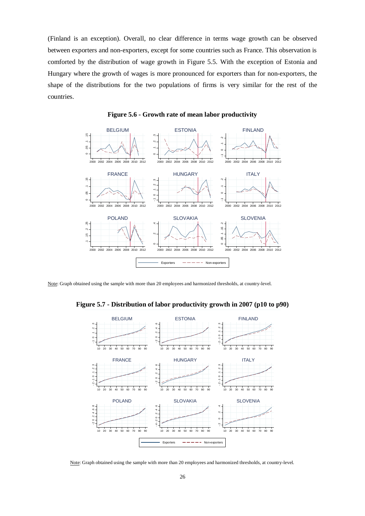(Finland is an exception). Overall, no clear difference in terms wage growth can be observed between exporters and non-exporters, except for some countries such as France. This observation is comforted by the distribution of wage growth in Figure 5.5. With the exception of Estonia and Hungary where the growth of wages is more pronounced for exporters than for non-exporters, the shape of the distributions for the two populations of firms is very similar for the rest of the countries.



**Figure 5.6 - Growth rate of mean labor productivity** 

Note: Graph obtained using the sample with more than 20 employees and harmonized thresholds, at country-level.





Note: Graph obtained using the sample with more than 20 employees and harmonized thresholds, at country-level.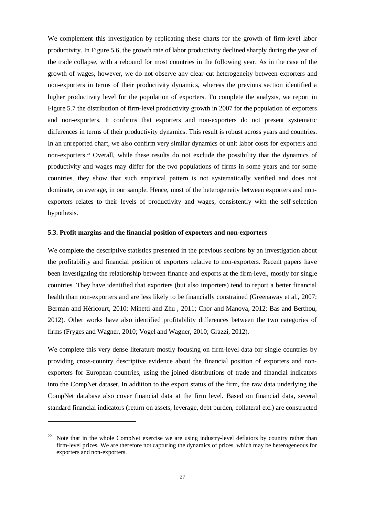We complement this investigation by replicating these charts for the growth of firm-level labor productivity. In Figure 5.6, the growth rate of labor productivity declined sharply during the year of the trade collapse, with a rebound for most countries in the following year. As in the case of the growth of wages, however, we do not observe any clear-cut heterogeneity between exporters and non-exporters in terms of their productivity dynamics, whereas the previous section identified a higher productivity level for the population of exporters. To complete the analysis, we report in Figure 5.7 the distribution of firm-level productivity growth in 2007 for the population of exporters and non-exporters. It confirms that exporters and non-exporters do not present systematic differences in terms of their productivity dynamics. This result is robust across years and countries. In an unreported chart, we also confirm very similar dynamics of unit labor costs for exporters and non-exporters.<sup>22</sup> Overall, while these results do not exclude the possibility that the dynamics of productivity and wages may differ for the two populations of firms in some years and for some countries, they show that such empirical pattern is not systematically verified and does not dominate, on average, in our sample. Hence, most of the heterogeneity between exporters and nonexporters relates to their levels of productivity and wages, consistently with the self-selection hypothesis.

#### **5.3. Profit margins and the financial position of exporters and non-exporters**

We complete the descriptive statistics presented in the previous sections by an investigation about the profitability and financial position of exporters relative to non-exporters. Recent papers have been investigating the relationship between finance and exports at the firm-level, mostly for single countries. They have identified that exporters (but also importers) tend to report a better financial health than non-exporters and are less likely to be financially constrained (Greenaway et al., 2007; Berman and Héricourt, 2010; Minetti and Zhu , 2011; Chor and Manova, 2012; Bas and Berthou, 2012). Other works have also identified profitability differences between the two categories of firms (Fryges and Wagner, 2010; Vogel and Wagner, 2010; Grazzi, 2012).

We complete this very dense literature mostly focusing on firm-level data for single countries by providing cross-country descriptive evidence about the financial position of exporters and nonexporters for European countries, using the joined distributions of trade and financial indicators into the CompNet dataset. In addition to the export status of the firm, the raw data underlying the CompNet database also cover financial data at the firm level. Based on financial data, several standard financial indicators (return on assets, leverage, debt burden, collateral etc.) are constructed

-

Note that in the whole CompNet exercise we are using industry-level deflators by country rather than firm-level prices. We are therefore not capturing the dynamics of prices, which may be heterogeneous for exporters and non-exporters.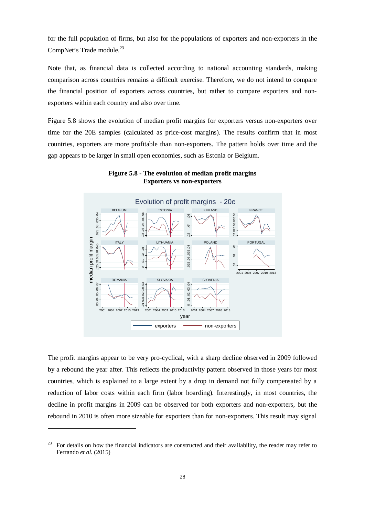for the full population of firms, but also for the populations of exporters and non-exporters in the CompNet's Trade module.<sup>23</sup>

Note that, as financial data is collected according to national accounting standards, making comparison across countries remains a difficult exercise. Therefore, we do not intend to compare the financial position of exporters across countries, but rather to compare exporters and nonexporters within each country and also over time.

Figure 5.8 shows the evolution of median profit margins for exporters versus non-exporters over time for the 20E samples (calculated as price-cost margins). The results confirm that in most countries, exporters are more profitable than non-exporters. The pattern holds over time and the gap appears to be larger in small open economies, such as Estonia or Belgium.



**Figure 5.8 - The evolution of median profit margins Exporters vs non-exporters** 

The profit margins appear to be very pro-cyclical, with a sharp decline observed in 2009 followed by a rebound the year after. This reflects the productivity pattern observed in those years for most countries, which is explained to a large extent by a drop in demand not fully compensated by a reduction of labor costs within each firm (labor hoarding). Interestingly, in most countries, the decline in profit margins in 2009 can be observed for both exporters and non-exporters, but the rebound in 2010 is often more sizeable for exporters than for non-exporters. This result may signal

1

<sup>23</sup> For details on how the financial indicators are constructed and their availability, the reader may refer to Ferrando *et al.* (2015)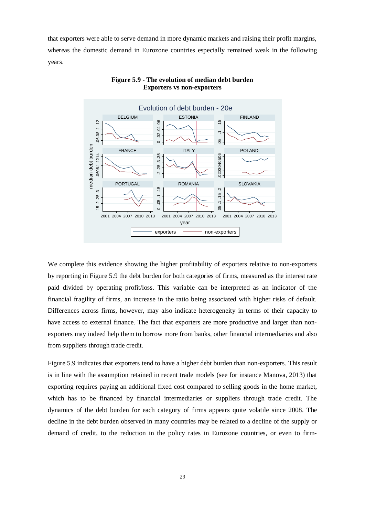that exporters were able to serve demand in more dynamic markets and raising their profit margins, whereas the domestic demand in Eurozone countries especially remained weak in the following years.



# **Figure 5.9 - The evolution of median debt burden Exporters vs non-exporters**

We complete this evidence showing the higher profitability of exporters relative to non-exporters by reporting in Figure 5.9 the debt burden for both categories of firms, measured as the interest rate paid divided by operating profit/loss. This variable can be interpreted as an indicator of the financial fragility of firms, an increase in the ratio being associated with higher risks of default. Differences across firms, however, may also indicate heterogeneity in terms of their capacity to have access to external finance. The fact that exporters are more productive and larger than nonexporters may indeed help them to borrow more from banks, other financial intermediaries and also from suppliers through trade credit.

Figure 5.9 indicates that exporters tend to have a higher debt burden than non-exporters. This result is in line with the assumption retained in recent trade models (see for instance Manova, 2013) that exporting requires paying an additional fixed cost compared to selling goods in the home market, which has to be financed by financial intermediaries or suppliers through trade credit. The dynamics of the debt burden for each category of firms appears quite volatile since 2008. The decline in the debt burden observed in many countries may be related to a decline of the supply or demand of credit, to the reduction in the policy rates in Eurozone countries, or even to firm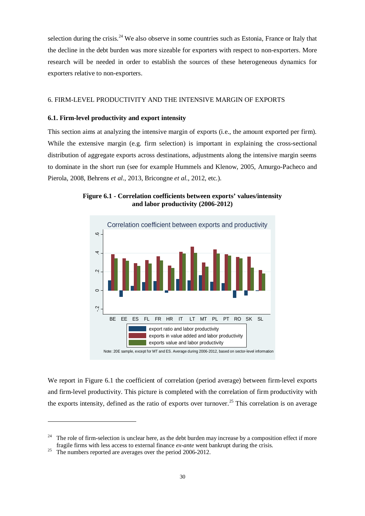selection during the crisis.<sup>24</sup> We also observe in some countries such as Estonia, France or Italy that the decline in the debt burden was more sizeable for exporters with respect to non-exporters. More research will be needed in order to establish the sources of these heterogeneous dynamics for exporters relative to non-exporters.

# 6. FIRM-LEVEL PRODUCTIVITY AND THE INTENSIVE MARGIN OF EXPORTS

# **6.1. Firm-level productivity and export intensity**

This section aims at analyzing the intensive margin of exports (i.e., the amount exported per firm). While the extensive margin (e.g. firm selection) is important in explaining the cross-sectional distribution of aggregate exports across destinations, adjustments along the intensive margin seems to dominate in the short run (see for example Hummels and Klenow, 2005, Amurgo-Pacheco and Pierola, 2008, Behrens *et al.*, 2013, Bricongne *et al.*, 2012, etc.).





We report in Figure 6.1 the coefficient of correlation (period average) between firm-level exports and firm-level productivity. This picture is completed with the correlation of firm productivity with the exports intensity, defined as the ratio of exports over turnover.<sup>25</sup> This correlation is on average

-

<sup>&</sup>lt;sup>24</sup> The role of firm-selection is unclear here, as the debt burden may increase by a composition effect if more fragile firms with less access to external finance *ex-ante* went bankrupt during the crisis.

<sup>&</sup>lt;sup>25</sup> The numbers reported are averages over the period 2006-2012.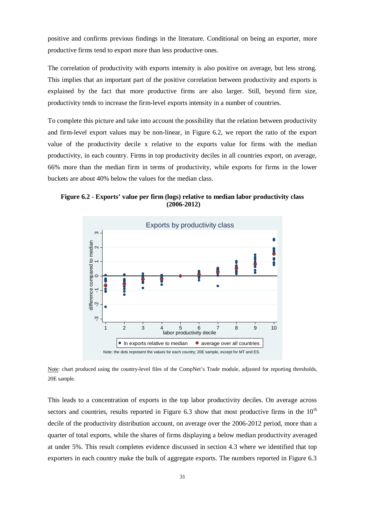positive and confirms previous findings in the literature. Conditional on being an exporter, more productive firms tend to export more than less productive ones.

The correlation of productivity with exports intensity is also positive on average, but less strong. This implies that an important part of the positive correlation between productivity and exports is explained by the fact that more productive firms are also larger. Still, beyond firm size, productivity tends to increase the firm-level exports intensity in a number of countries.

To complete this picture and take into account the possibility that the relation between productivity and firm-level export values may be non-linear, in Figure 6.2, we report the ratio of the export value of the productivity decile x relative to the exports value for firms with the median productivity, in each country. Firms in top productivity deciles in all countries export, on average, 66% more than the median firm in terms of productivity, while exports for firms in the lower buckets are about 40% below the values for the median class.

**Figure 6.2 - Exports' value per firm (logs) relative to median labor productivity class (2006-2012)**



Note: chart produced using the country-level files of the CompNet's Trade module, adjusted for reporting thresholds, 20E sample.

This leads to a concentration of exports in the top labor productivity deciles. On average across sectors and countries, results reported in Figure 6.3 show that most productive firms in the  $10<sup>th</sup>$ decile of the productivity distribution account, on average over the 2006-2012 period, more than a quarter of total exports, while the shares of firms displaying a below median productivity averaged at under 5%. This result completes evidence discussed in section 4.3 where we identified that top exporters in each country make the bulk of aggregate exports. The numbers reported in Figure 6.3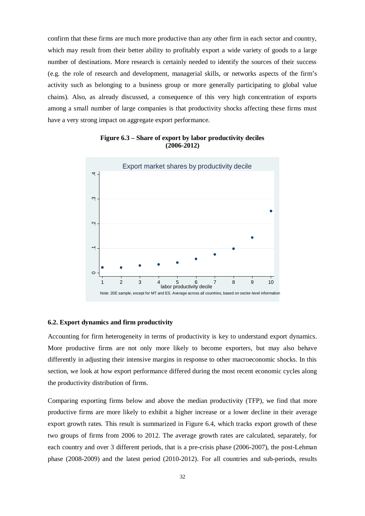confirm that these firms are much more productive than any other firm in each sector and country, which may result from their better ability to profitably export a wide variety of goods to a large number of destinations. More research is certainly needed to identify the sources of their success (e.g. the role of research and development, managerial skills, or networks aspects of the firm's activity such as belonging to a business group or more generally participating to global value chains). Also, as already discussed, a consequence of this very high concentration of exports among a small number of large companies is that productivity shocks affecting these firms must have a very strong impact on aggregate export performance.



**Figure 6.3 – Share of export by labor productivity deciles (2006-2012)** 

#### **6.2. Export dynamics and firm productivity**

Accounting for firm heterogeneity in terms of productivity is key to understand export dynamics. More productive firms are not only more likely to become exporters, but may also behave differently in adjusting their intensive margins in response to other macroeconomic shocks. In this section, we look at how export performance differed during the most recent economic cycles along the productivity distribution of firms.

Comparing exporting firms below and above the median productivity (TFP), we find that more productive firms are more likely to exhibit a higher increase or a lower decline in their average export growth rates. This result is summarized in Figure 6.4, which tracks export growth of these two groups of firms from 2006 to 2012. The average growth rates are calculated, separately, for each country and over 3 different periods, that is a pre-crisis phase (2006-2007), the post-Lehman phase (2008-2009) and the latest period (2010-2012). For all countries and sub-periods, results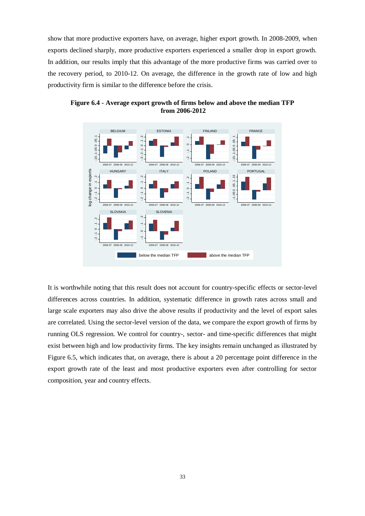show that more productive exporters have, on average, higher export growth. In 2008-2009, when exports declined sharply, more productive exporters experienced a smaller drop in export growth. In addition, our results imply that this advantage of the more productive firms was carried over to the recovery period, to 2010-12. On average, the difference in the growth rate of low and high productivity firm is similar to the difference before the crisis.



**Figure 6.4 - Average export growth of firms below and above the median TFP from 2006-2012** 

It is worthwhile noting that this result does not account for country-specific effects or sector-level differences across countries. In addition, systematic difference in growth rates across small and large scale exporters may also drive the above results if productivity and the level of export sales are correlated. Using the sector-level version of the data, we compare the export growth of firms by running OLS regression. We control for country-, sector- and time-specific differences that might exist between high and low productivity firms. The key insights remain unchanged as illustrated by Figure 6.5, which indicates that, on average, there is about a 20 percentage point difference in the export growth rate of the least and most productive exporters even after controlling for sector composition, year and country effects.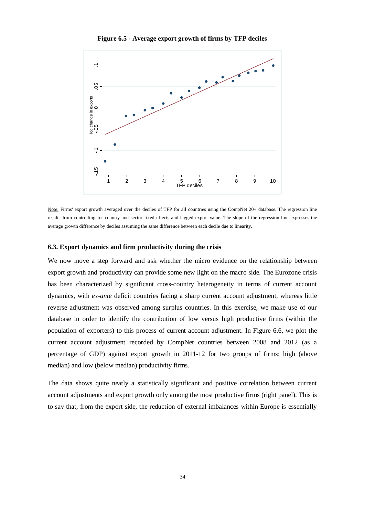

**Figure 6.5 - Average export growth of firms by TFP deciles** 

Note: Firms' export growth averaged over the deciles of TFP for all countries using the CompNet 20+ database. The regression line results from controlling for country and sector fixed effects and lagged export value. The slope of the regression line expresses the average growth difference by deciles assuming the same difference between each decile due to linearity.

#### **6.3. Export dynamics and firm productivity during the crisis**

We now move a step forward and ask whether the micro evidence on the relationship between export growth and productivity can provide some new light on the macro side. The Eurozone crisis has been characterized by significant cross-country heterogeneity in terms of current account dynamics, with *ex-ante* deficit countries facing a sharp current account adjustment, whereas little reverse adjustment was observed among surplus countries. In this exercise, we make use of our database in order to identify the contribution of low versus high productive firms (within the population of exporters) to this process of current account adjustment. In Figure 6.6, we plot the current account adjustment recorded by CompNet countries between 2008 and 2012 (as a percentage of GDP) against export growth in 2011-12 for two groups of firms: high (above median) and low (below median) productivity firms.

The data shows quite neatly a statistically significant and positive correlation between current account adjustments and export growth only among the most productive firms (right panel). This is to say that, from the export side, the reduction of external imbalances within Europe is essentially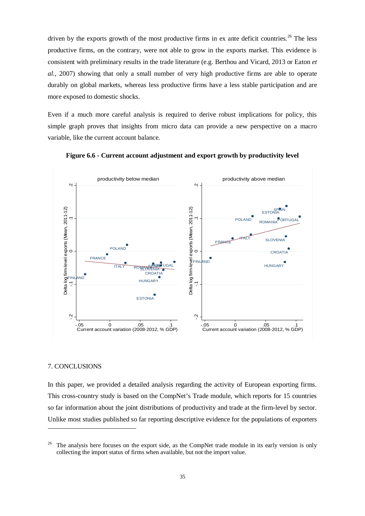driven by the exports growth of the most productive firms in ex ante deficit countries.<sup>26</sup> The less productive firms, on the contrary, were not able to grow in the exports market. This evidence is consistent with preliminary results in the trade literature (e.g. Berthou and Vicard, 2013 or Eaton *et al.*, 2007) showing that only a small number of very high productive firms are able to operate durably on global markets, whereas less productive firms have a less stable participation and are more exposed to domestic shocks.

Even if a much more careful analysis is required to derive robust implications for policy, this simple graph proves that insights from micro data can provide a new perspective on a macro variable, like the current account balance.





# 7. CONCLUSIONS

1

In this paper, we provided a detailed analysis regarding the activity of European exporting firms. This cross-country study is based on the CompNet's Trade module, which reports for 15 countries so far information about the joint distributions of productivity and trade at the firm-level by sector. Unlike most studies published so far reporting descriptive evidence for the populations of exporters

<sup>26</sup> The analysis here focuses on the export side, as the CompNet trade module in its early version is only collecting the import status of firms when available, but not the import value.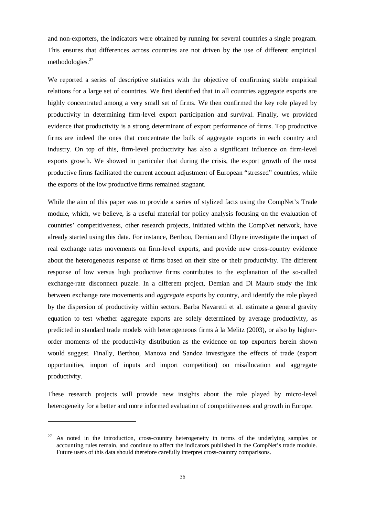and non-exporters, the indicators were obtained by running for several countries a single program. This ensures that differences across countries are not driven by the use of different empirical methodologies. $27$ 

We reported a series of descriptive statistics with the objective of confirming stable empirical relations for a large set of countries. We first identified that in all countries aggregate exports are highly concentrated among a very small set of firms. We then confirmed the key role played by productivity in determining firm-level export participation and survival. Finally, we provided evidence that productivity is a strong determinant of export performance of firms. Top productive firms are indeed the ones that concentrate the bulk of aggregate exports in each country and industry. On top of this, firm-level productivity has also a significant influence on firm-level exports growth. We showed in particular that during the crisis, the export growth of the most productive firms facilitated the current account adjustment of European "stressed" countries, while the exports of the low productive firms remained stagnant.

While the aim of this paper was to provide a series of stylized facts using the CompNet's Trade module, which, we believe, is a useful material for policy analysis focusing on the evaluation of countries' competitiveness, other research projects, initiated within the CompNet network, have already started using this data. For instance, Berthou, Demian and Dhyne investigate the impact of real exchange rates movements on firm-level exports, and provide new cross-country evidence about the heterogeneous response of firms based on their size or their productivity. The different response of low versus high productive firms contributes to the explanation of the so-called exchange-rate disconnect puzzle. In a different project, Demian and Di Mauro study the link between exchange rate movements and *aggregate* exports by country, and identify the role played by the dispersion of productivity within sectors. Barba Navaretti et al. estimate a general gravity equation to test whether aggregate exports are solely determined by average productivity, as predicted in standard trade models with heterogeneous firms à la Melitz (2003), or also by higherorder moments of the productivity distribution as the evidence on top exporters herein shown would suggest. Finally, Berthou, Manova and Sandoz investigate the effects of trade (export opportunities, import of inputs and import competition) on misallocation and aggregate productivity.

These research projects will provide new insights about the role played by micro-level heterogeneity for a better and more informed evaluation of competitiveness and growth in Europe.

-

<sup>27</sup> As noted in the introduction, cross-country heterogeneity in terms of the underlying samples or accounting rules remain, and continue to affect the indicators published in the CompNet's trade module. Future users of this data should therefore carefully interpret cross-country comparisons.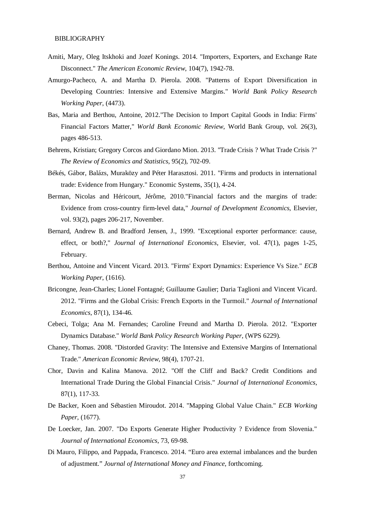## BIBLIOGRAPHY

- Amiti, Mary, Oleg Itskhoki and Jozef Konings. 2014. "Importers, Exporters, and Exchange Rate Disconnect." *The American Economic Review*, 104(7), 1942-78.
- Amurgo-Pacheco, A. and Martha D. Pierola. 2008. "Patterns of Export Diversification in Developing Countries: Intensive and Extensive Margins." *World Bank Policy Research Working Paper*, (4473).
- Bas, Maria and Berthou, Antoine, 2012."The Decision to Import Capital Goods in India: Firms' Financial Factors Matter," *World Bank Economic Review*, World Bank Group, vol. 26(3), pages 486-513.
- Behrens, Kristian; Gregory Corcos and Giordano Mion. 2013. "Trade Crisis ? What Trade Crisis ?" *The Review of Economics and Statistics*, 95(2), 702-09.
- Békés, Gábor, Balázs, Muraközy and Péter Harasztosi. 2011. "Firms and products in international trade: Evidence from Hungary." Economic Systems, 35(1), 4-24.
- Berman, Nicolas and Héricourt, Jérôme, 2010."Financial factors and the margins of trade: Evidence from cross-country firm-level data," *Journal of Development Economics*, Elsevier, vol. 93(2), pages 206-217, November.
- Bernard, Andrew B. and Bradford Jensen, J., 1999. "Exceptional exporter performance: cause, effect, or both?," *Journal of International Economics*, Elsevier, vol. 47(1), pages 1-25, February.
- Berthou, Antoine and Vincent Vicard. 2013. "Firms' Export Dynamics: Experience Vs Size." *ECB Working Paper*, (1616).
- Bricongne, Jean-Charles; Lionel Fontagné; Guillaume Gaulier; Daria Taglioni and Vincent Vicard. 2012. "Firms and the Global Crisis: French Exports in the Turmoil." *Journal of International Economics*, 87(1), 134-46.
- Cebeci, Tolga; Ana M. Fernandes; Caroline Freund and Martha D. Pierola. 2012. "Exporter Dynamics Database." *World Bank Policy Research Working Paper*, (WPS 6229).
- Chaney, Thomas. 2008. "Distorded Gravity: The Intensive and Extensive Margins of International Trade." *American Economic Review*, 98(4), 1707-21.
- Chor, Davin and Kalina Manova. 2012. "Off the Cliff and Back? Credit Conditions and International Trade During the Global Financial Crisis." *Journal of International Economics*, 87(1), 117-33.
- De Backer, Koen and Sébastien Miroudot. 2014. "Mapping Global Value Chain." *ECB Working Paper*, (1677).
- De Loecker, Jan. 2007. "Do Exports Generate Higher Productivity ? Evidence from Slovenia." *Journal of International Economics*, 73, 69-98.
- Di Mauro, Filippo, and Pappada, Francesco. 2014. "Euro area external imbalances and the burden of adjustment." *Journal of International Money and Finance*, forthcoming.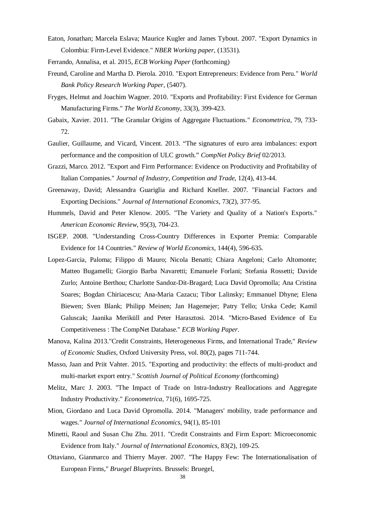- Eaton, Jonathan; Marcela Eslava; Maurice Kugler and James Tybout. 2007. "Export Dynamics in Colombia: Firm-Level Evidence." *NBER Working paper*, (13531).
- Ferrando, Annalisa, et al. 2015, *ECB Working Paper* (forthcoming)
- Freund, Caroline and Martha D. Pierola. 2010. "Export Entrepreneurs: Evidence from Peru." *World Bank Policy Research Working Paper*, (5407).
- Fryges, Helmut and Joachim Wagner. 2010. "Exports and Profitability: First Evidence for German Manufacturing Firms." *The World Economy*, 33(3), 399-423.
- Gabaix, Xavier. 2011. "The Granular Origins of Aggregate Fluctuations." *Econometrica*, 79, 733- 72.
- Gaulier, Guillaume, and Vicard, Vincent. 2013. "The signatures of euro area imbalances: export performance and the composition of ULC growth." *CompNet Policy Brief* 02/2013.
- Grazzi, Marco. 2012. "Export and Firm Performance: Evidence on Productivity and Profitability of Italian Companies." *Journal of Industry, Competition and Trade*, 12(4), 413-44.
- Greenaway, David; Alessandra Guariglia and Richard Kneller. 2007. "Financial Factors and Exporting Decisions." *Journal of International Economics*, 73(2), 377-95.
- Hummels, David and Peter Klenow. 2005. "The Variety and Quality of a Nation's Exports." *American Economic Review*, 95(3), 704-23.
- ISGEP. 2008. "Understanding Cross-Country Differences in Exporter Premia: Comparable Evidence for 14 Countries." *Review of World Economics*, 144(4), 596-635.
- Lopez-Garcia, Paloma; Filippo di Mauro; Nicola Benatti; Chiara Angeloni; Carlo Altomonte; Matteo Bugamelli; Giorgio Barba Navaretti; Emanuele Forlani; Stefania Rossetti; Davide Zurlo; Antoine Berthou; Charlotte Sandoz-Dit-Bragard; Luca David Opromolla; Ana Cristina Soares; Bogdan Chiriacescu; Ana-Maria Cazacu; Tibor Lalinsky; Emmanuel Dhyne; Elena Biewen; Sven Blank; Philipp Meinen; Jan Hagemejer; Patry Tello; Urska Cede; Kamil Galuscak; Jaanika Meriküll and Peter Harasztosi. 2014. "Micro-Based Evidence of Eu Competitiveness : The CompNet Database." *ECB Working Paper*.
- Manova, Kalina 2013."Credit Constraints, Heterogeneous Firms, and International Trade," *Review of Economic Studies*, Oxford University Press, vol. 80(2), pages 711-744.
- Masso, Jaan and Priit Vahter. 2015. "Exporting and productivity: the effects of multi-product and multi-market export entry." *Scottish Journal of Political Economy* (forthcoming)
- Melitz, Marc J. 2003. "The Impact of Trade on Intra-Industry Reallocations and Aggregate Industry Productivity." *Econometrica*, 71(6), 1695-725.
- Mion, Giordano and Luca David Opromolla. 2014. "Managers' mobility, trade performance and wages." *Journal of International Economics*, 94(1), 85-101
- Minetti, Raoul and Susan Chu Zhu. 2011. "Credit Constraints and Firm Export: Microeconomic Evidence from Italy." *Journal of International Economics*, 83(2), 109-25.
- Ottaviano, Gianmarco and Thierry Mayer. 2007. "The Happy Few: The Internationalisation of European Firms," *Bruegel Blueprints.* Brussels: Bruegel,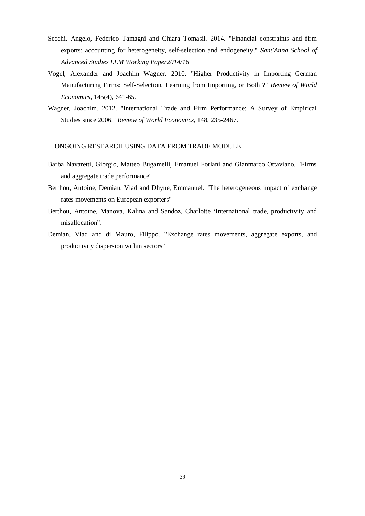- Secchi, Angelo, Federico Tamagni and Chiara Tomasil. 2014. "Financial constraints and firm exports: accounting for heterogeneity, self-selection and endogeneity," *Sant'Anna School of Advanced Studies LEM Working Paper2014/16*
- Vogel, Alexander and Joachim Wagner. 2010. "Higher Productivity in Importing German Manufacturing Firms: Self-Selection, Learning from Importing, or Both ?" *Review of World Economics*, 145(4), 641-65.
- Wagner, Joachim. 2012. "International Trade and Firm Performance: A Survey of Empirical Studies since 2006." *Review of World Economics*, 148, 235-2467.

# ONGOING RESEARCH USING DATA FROM TRADE MODULE

- Barba Navaretti, Giorgio, Matteo Bugamelli, Emanuel Forlani and Gianmarco Ottaviano. "Firms and aggregate trade performance"
- Berthou, Antoine, Demian, Vlad and Dhyne, Emmanuel. "The heterogeneous impact of exchange rates movements on European exporters"
- Berthou, Antoine, Manova, Kalina and Sandoz, Charlotte 'International trade, productivity and misallocation".
- Demian, Vlad and di Mauro, Filippo. "Exchange rates movements, aggregate exports, and productivity dispersion within sectors"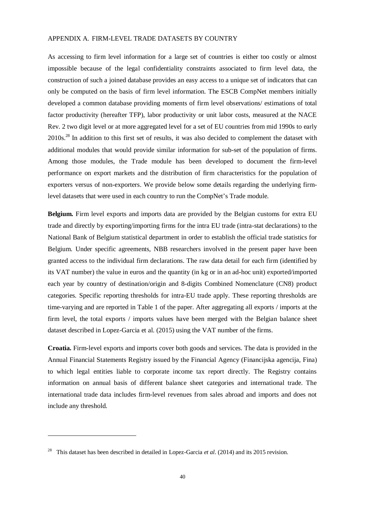# APPENDIX A. FIRM-LEVEL TRADE DATASETS BY COUNTRY

As accessing to firm level information for a large set of countries is either too costly or almost impossible because of the legal confidentiality constraints associated to firm level data, the construction of such a joined database provides an easy access to a unique set of indicators that can only be computed on the basis of firm level information. The ESCB CompNet members initially developed a common database providing moments of firm level observations/ estimations of total factor productivity (hereafter TFP), labor productivity or unit labor costs, measured at the NACE Rev. 2 two digit level or at more aggregated level for a set of EU countries from mid 1990s to early 2010s.<sup>28</sup> In addition to this first set of results, it was also decided to complement the dataset with additional modules that would provide similar information for sub-set of the population of firms. Among those modules, the Trade module has been developed to document the firm-level performance on export markets and the distribution of firm characteristics for the population of exporters versus of non-exporters. We provide below some details regarding the underlying firmlevel datasets that were used in each country to run the CompNet's Trade module.

**Belgium.** Firm level exports and imports data are provided by the Belgian customs for extra EU trade and directly by exporting/importing firms for the intra EU trade (intra-stat declarations) to the National Bank of Belgium statistical department in order to establish the official trade statistics for Belgium. Under specific agreements, NBB researchers involved in the present paper have been granted access to the individual firm declarations. The raw data detail for each firm (identified by its VAT number) the value in euros and the quantity (in kg or in an ad-hoc unit) exported/imported each year by country of destination/origin and 8-digits Combined Nomenclature (CN8) product categories. Specific reporting thresholds for intra-EU trade apply. These reporting thresholds are time-varying and are reported in Table 1 of the paper. After aggregating all exports / imports at the firm level, the total exports / imports values have been merged with the Belgian balance sheet dataset described in Lopez-Garcia et al. (2015) using the VAT number of the firms.

**Croatia.** Firm-level exports and imports cover both goods and services. The data is provided in the Annual Financial Statements Registry issued by the Financial Agency (Financijska agencija, Fina) to which legal entities liable to corporate income tax report directly. The Registry contains information on annual basis of different balance sheet categories and international trade. The international trade data includes firm-level revenues from sales abroad and imports and does not include any threshold.

1

<sup>28</sup> This dataset has been described in detailed in Lopez-Garcia *et al.* (2014) and its 2015 revision.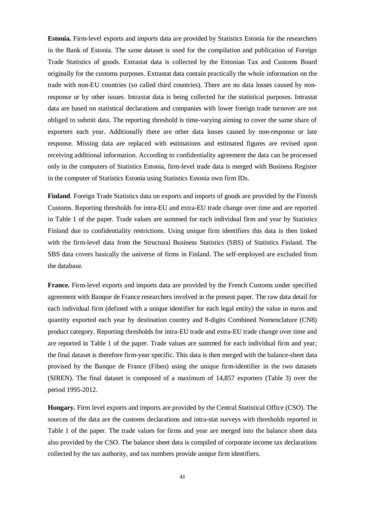**Estonia.** Firm-level exports and imports data are provided by Statistics Estonia for the researchers in the Bank of Estonia. The same dataset is used for the compilation and publication of Foreign Trade Statistics of goods. Extrastat data is collected by the Estonian Tax and Customs Board originally for the customs purposes. Extrastat data contain practically the whole information on the trade with non-EU countries (so called third countries). There are no data losses caused by nonresponse or by other issues. Intrastat data is being collected for the statistical purposes. Intrastat data are based on statistical declarations and companies with lower foreign trade turnover are not obliged to submit data. The reporting threshold is time-varying aiming to cover the same share of exporters each year. Additionally there are other data losses caused by non-response or late response. Missing data are replaced with estimations and estimated figures are revised upon receiving additional information. According to confidentiality agreement the data can be processed only in the computers of Statistics Estonia, firm-level trade data is merged with Business Register in the computer of Statistics Estonia using Statistics Estonia own firm IDs.

**Finland**. Foreign Trade Statistics data on exports and imports of goods are provided by the Finnish Customs. Reporting thresholds for intra-EU and extra-EU trade change over time and are reported in Table 1 of the paper. Trade values are summed for each individual firm and year by Statistics Finland due to confidentiality restrictions. Using unique firm identifiers this data is then linked with the firm-level data from the Structural Business Statistics (SBS) of Statistics Finland. The SBS data covers basically the universe of firms in Finland. The self-employed are excluded from the database.

**France.** Firm-level exports and imports data are provided by the French Customs under specified agreement with Banque de France researchers involved in the present paper. The raw data detail for each individual firm (defined with a unique identifier for each legal entity) the value in euros and quantity exported each year by destination country and 8-digits Combined Nomenclature (CN8) product category. Reporting thresholds for intra-EU trade and extra-EU trade change over time and are reported in Table 1 of the paper. Trade values are summed for each individual firm and year; the final dataset is therefore firm-year specific. This data is then merged with the balance-sheet data provised by the Banque de France (Fiben) using the unique firm-identifier in the two datasets (SIREN). The final dataset is composed of a maximum of 14,857 exporters (Table 3) over the period 1995-2012.

**Hungary.** Firm level exports and imports are provided by the Central Statistical Office (CSO). The sources of the data are the customs declarations and intra-stat surveys with thresholds reported in Table 1 of the paper. The trade values for firms and year are merged into the balance sheet data also provided by the CSO. The balance sheet data is compiled of corporate income tax declarations collected by the tax authority, and tax numbers provide unique firm identifiers.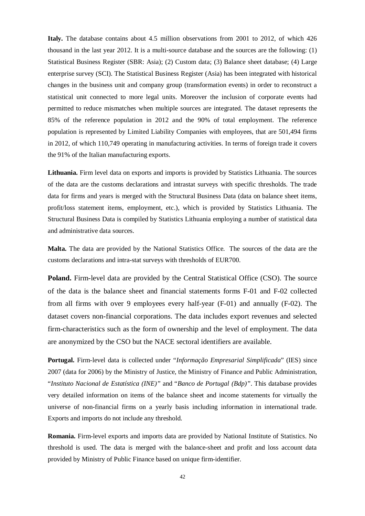**Italy.** The database contains about 4.5 million observations from 2001 to 2012, of which 426 thousand in the last year 2012. It is a multi-source database and the sources are the following: (1) Statistical Business Register (SBR: Asia); (2) Custom data; (3) Balance sheet database; (4) Large enterprise survey (SCI). The Statistical Business Register (Asia) has been integrated with historical changes in the business unit and company group (transformation events) in order to reconstruct a statistical unit connected to more legal units. Moreover the inclusion of corporate events had permitted to reduce mismatches when multiple sources are integrated. The dataset represents the 85% of the reference population in 2012 and the 90% of total employment. The reference population is represented by Limited Liability Companies with employees, that are 501,494 firms in 2012, of which 110,749 operating in manufacturing activities. In terms of foreign trade it covers the 91% of the Italian manufacturing exports.

**Lithuania.** Firm level data on exports and imports is provided by Statistics Lithuania. The sources of the data are the customs declarations and intrastat surveys with specific thresholds. The trade data for firms and years is merged with the Structural Business Data (data on balance sheet items, profit/loss statement items, employment, etc.), which is provided by Statistics Lithuania. The Structural Business Data is compiled by Statistics Lithuania employing a number of statistical data and administrative data sources.

**Malta.** The data are provided by the National Statistics Office. The sources of the data are the customs declarations and intra-stat surveys with thresholds of EUR700.

**Poland.** Firm-level data are provided by the Central Statistical Office (CSO). The source of the data is the balance sheet and financial statements forms F-01 and F-02 collected from all firms with over 9 employees every half-year (F-01) and annually (F-02). The dataset covers non-financial corporations. The data includes export revenues and selected firm-characteristics such as the form of ownership and the level of employment. The data are anonymized by the CSO but the NACE sectoral identifiers are available.

**Portugal.** Firm-level data is collected under "*Informação Empresarial Simplificada*" (IES) since 2007 (data for 2006) by the Ministry of Justice, the Ministry of Finance and Public Administration, "*Instituto Nacional de Estatística (INE)"* and "*Banco de Portugal (Bdp)"*. This database provides very detailed information on items of the balance sheet and income statements for virtually the universe of non-financial firms on a yearly basis including information in international trade. Exports and imports do not include any threshold.

**Romania.** Firm-level exports and imports data are provided by National Institute of Statistics. No threshold is used. The data is merged with the balance-sheet and profit and loss account data provided by Ministry of Public Finance based on unique firm-identifier.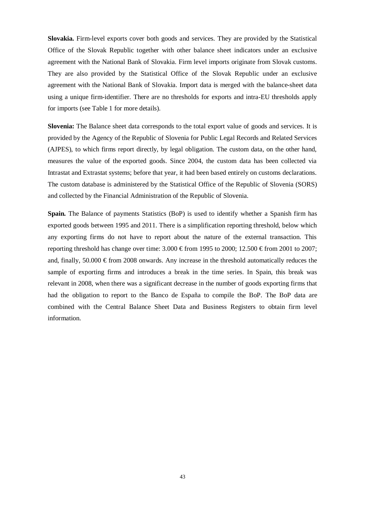**Slovakia.** Firm-level exports cover both goods and services. They are provided by the Statistical Office of the Slovak Republic together with other balance sheet indicators under an exclusive agreement with the National Bank of Slovakia. Firm level imports originate from Slovak customs. They are also provided by the Statistical Office of the Slovak Republic under an exclusive agreement with the National Bank of Slovakia. Import data is merged with the balance-sheet data using a unique firm-identifier. There are no thresholds for exports and intra-EU thresholds apply for imports (see Table 1 for more details).

**Slovenia:** The Balance sheet data corresponds to the total export value of goods and services. It is provided by the Agency of the Republic of Slovenia for Public Legal Records and Related Services (AJPES), to which firms report directly, by legal obligation. The custom data, on the other hand, measures the value of the exported goods. Since 2004, the custom data has been collected via Intrastat and Extrastat systems; before that year, it had been based entirely on customs declarations. The custom database is administered by the Statistical Office of the Republic of Slovenia (SORS) and collected by the Financial Administration of the Republic of Slovenia.

**Spain.** The Balance of payments Statistics (BoP) is used to identify whether a Spanish firm has exported goods between 1995 and 2011. There is a simplification reporting threshold, below which any exporting firms do not have to report about the nature of the external transaction. This reporting threshold has change over time:  $3.000 \text{ } \text{from} 1995 \text{ to } 2000$ ;  $12.500 \text{ } \text{from} 2001 \text{ to } 2007$ ; and, finally, 50.000  $\epsilon$  from 2008 onwards. Any increase in the threshold automatically reduces the sample of exporting firms and introduces a break in the time series. In Spain, this break was relevant in 2008, when there was a significant decrease in the number of goods exporting firms that had the obligation to report to the Banco de España to compile the BoP. The BoP data are combined with the Central Balance Sheet Data and Business Registers to obtain firm level information.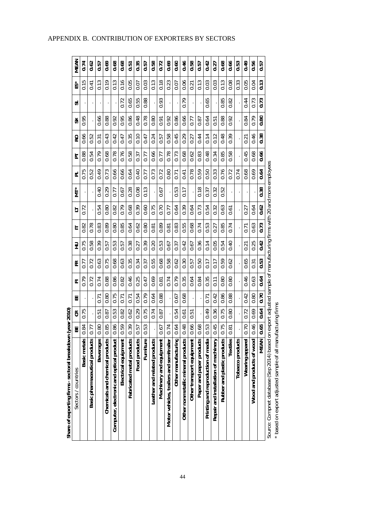| 0.46<br>0.66<br>0.62<br>0.69<br>0.68<br>0.68<br>0.35<br>0.58<br>0.72<br>0.69<br>0.60<br>0.58<br>0.42<br>0.68<br>0.53<br>0.49<br>0.56<br>0.74<br>0.57<br>0.27<br><u>r</u><br>0.57<br>0.57<br>0.51<br>ö<br>0.13<br>0.15<br>0.13<br>0.16<br>0.18<br>0.06<br>0.03<br>0.08<br>0.05<br>0.13<br>0.19<br>0.05<br>0.03<br>0.13<br>0.23<br>0.13<br>0.03<br>0.13<br>0.33<br>0.04<br>0.07<br>0.07<br>0.41<br>0.21<br>0.55<br>0.93<br>0.79<br>0.72<br>0.65<br>0.88<br>0.65<br>0.85<br>0.82<br>0.44<br>0.73<br>0.73<br>0.78<br>0.48<br>0.92<br>0.86<br>0.66<br>0.88<br>0.92<br>0.79<br>0.80<br>0.95<br>0.66<br>0.88<br>0.92<br>0.95<br>0.86<br>0.64<br>0.80<br>0.84<br>0.77<br>0.87<br>0.91<br>5.0<br>0.38<br>0.66<br>0.43<br>0.42<br>0.35<br>0.10<br>0.58<br>0.45<br>0.29<br>0.14<br>0.12<br>0.48<br>0.46<br>0.52<br>0.24<br>0.27<br>0.44<br>0.39<br>0.47<br>0.47<br>0.57<br><u>ธู</u><br>0.21<br>0.78<br>0.76<br>0.68<br>0.48<br>0.66<br>0.88<br>0.79<br>0.68<br>0.58<br>0.66<br>0.78<br>0.73<br>0.83<br>0.85<br>0.58<br>0.45<br>0.68<br>0.54<br>0.37<br>0.77<br>0.62<br>0.34<br>0.77<br>0.64<br>0.52<br>0.49<br>0.73<br>0.66<br>0.66<br>0.40<br>0.73<br>0.78<br>0.59<br>0.50<br>0.33<br>0.76<br>0.72<br>0.68<br>0.69<br>0.75<br>0.72<br>0.80<br>0.74<br>0.64<br>0.77<br>0.41<br>0.71<br>0.28<br>0.08<br>0.13<br>0.18<br>0.38<br>0.40<br>0.29<br>0.67<br>0.53<br>0.32<br>0.52<br>0.77<br>0.67<br>0.17<br>0.37<br>0.62<br>0.68<br>0.39<br>0.75<br>0.70<br>0.39<br>0.73<br>0.54<br>0.80<br>0.82<br>0.79<br>0.60<br>0.64<br>0.32<br>0.63<br>0.64<br>0.72<br>0.54<br>0.64<br>0.77<br>0.61<br>0.27<br>0.73<br>0.80<br>0.78<br>0.89<br>0.85<br>0.62<br>0.89<br>0.55<br>0.68<br>0.74<br>0.53<br>0.63<br>0.82<br>0.83<br>0.80<br>0.83<br>0.85<br>0.74<br>0.64<br>0.27<br>$\frac{81}{2}$<br>0.81<br>0.71<br>0.42<br>0.75<br>0.53<br>0.53<br>0.36<br>0.14<br>0.05<br>0.25<br>0.58<br>0.39<br>0.38<br>0.39<br>0.20<br>0.42<br>0.40<br>0.54<br>0.27<br>0.67<br>0.37<br>0.67<br>0.57<br>0.57<br>0.21<br>0.53<br>0.72<br>0.75<br>0.68<br>0.63<br>0.34<br>0.55<br>0.68<br>0.62<br>0.63<br>0.35<br>0.58<br>0.62<br>0.30<br>0.50<br>0.17<br>0.59<br>0.65<br>0.57<br>0.37<br>0.17<br>0.31<br>5.0<br>0.86<br>0.64<br>0.88<br>0.46<br>0.25<br>0.69<br>0.79<br>0.35<br>0.35<br>0.46<br>0.63<br>0.79<br>0.72<br>0.74<br>0.74<br>0.84<br>0.80<br>0.80<br>0.82<br>0.64<br>0.47<br>こ<br>こ<br>0.81<br>0.70<br>0.75<br>0.54<br>0.88<br>0.68<br>0.88<br>0.42<br>0.79<br>0.64<br>0.42<br>0.86<br>0.80<br>0.80<br>0.67<br>0.71<br>0.71<br>0.71<br>0.71<br>0.64<br>0.29<br>0.36<br>0.75<br>0.69<br>0.53<br>0.75<br>0.49<br>0.80<br>0.75<br>0.82<br>0.62<br>0.74<br>0.54<br>0.72<br>0.87<br>0.87<br>0.51<br>0.61<br>ن<br>0.5<br>0.65<br>0.46<br>0.45<br>0.70<br>86<br>148<br>0.75<br>80<br>1.85<br>59<br>39<br>53<br>0.66<br>1.53<br>57<br>57<br>0.64<br>0.68<br>$\overline{8}$<br>0.74<br>177<br>.81<br>MEAN<br><b>Beverages</b><br>Food products<br>Furniture<br>Basic metals<br><b>Textiles</b><br>Tobacco products<br>Wearing apparel | Share of exporting firms - sectoral breakdown                |    | (year 2010) |   |   |   |   |   |   |   |   |    |   |   |     |      |
|-----------------------------------------------------------------------------------------------------------------------------------------------------------------------------------------------------------------------------------------------------------------------------------------------------------------------------------------------------------------------------------------------------------------------------------------------------------------------------------------------------------------------------------------------------------------------------------------------------------------------------------------------------------------------------------------------------------------------------------------------------------------------------------------------------------------------------------------------------------------------------------------------------------------------------------------------------------------------------------------------------------------------------------------------------------------------------------------------------------------------------------------------------------------------------------------------------------------------------------------------------------------------------------------------------------------------------------------------------------------------------------------------------------------------------------------------------------------------------------------------------------------------------------------------------------------------------------------------------------------------------------------------------------------------------------------------------------------------------------------------------------------------------------------------------------------------------------------------------------------------------------------------------------------------------------------------------------------------------------------------------------------------------------------------------------------------------------------------------------------------------------------------------------------------------------------------------------------------------------------------------------------------------------------------------------------------------------------------------------------------------------------------------------------------------------------------------------------------------------------------------------------------------------------------------------------------------------------------------------------------------------------------------------------------------------------------------------------------------------------------------------------------------------------------------------------------------------------------------------------------------------------------------------------------------------------------------------------------------------------------|--------------------------------------------------------------|----|-------------|---|---|---|---|---|---|---|---|----|---|---|-----|------|
|                                                                                                                                                                                                                                                                                                                                                                                                                                                                                                                                                                                                                                                                                                                                                                                                                                                                                                                                                                                                                                                                                                                                                                                                                                                                                                                                                                                                                                                                                                                                                                                                                                                                                                                                                                                                                                                                                                                                                                                                                                                                                                                                                                                                                                                                                                                                                                                                                                                                                                                                                                                                                                                                                                                                                                                                                                                                                                                                                                                               | Sectors/countries                                            | ΒË | ජි          | 出 | 匸 | 匥 | 긒 | ⊟ | ₹ | 군 | 运 | RO | ⋇ | ದ | ÉŠ* | MEAN |
|                                                                                                                                                                                                                                                                                                                                                                                                                                                                                                                                                                                                                                                                                                                                                                                                                                                                                                                                                                                                                                                                                                                                                                                                                                                                                                                                                                                                                                                                                                                                                                                                                                                                                                                                                                                                                                                                                                                                                                                                                                                                                                                                                                                                                                                                                                                                                                                                                                                                                                                                                                                                                                                                                                                                                                                                                                                                                                                                                                                               |                                                              |    |             |   |   |   |   |   |   |   |   |    |   |   |     |      |
|                                                                                                                                                                                                                                                                                                                                                                                                                                                                                                                                                                                                                                                                                                                                                                                                                                                                                                                                                                                                                                                                                                                                                                                                                                                                                                                                                                                                                                                                                                                                                                                                                                                                                                                                                                                                                                                                                                                                                                                                                                                                                                                                                                                                                                                                                                                                                                                                                                                                                                                                                                                                                                                                                                                                                                                                                                                                                                                                                                                               | Basic pharmaceutical products                                |    |             |   |   |   |   |   |   |   |   |    |   |   |     |      |
|                                                                                                                                                                                                                                                                                                                                                                                                                                                                                                                                                                                                                                                                                                                                                                                                                                                                                                                                                                                                                                                                                                                                                                                                                                                                                                                                                                                                                                                                                                                                                                                                                                                                                                                                                                                                                                                                                                                                                                                                                                                                                                                                                                                                                                                                                                                                                                                                                                                                                                                                                                                                                                                                                                                                                                                                                                                                                                                                                                                               |                                                              |    |             |   |   |   |   |   |   |   |   |    |   |   |     |      |
|                                                                                                                                                                                                                                                                                                                                                                                                                                                                                                                                                                                                                                                                                                                                                                                                                                                                                                                                                                                                                                                                                                                                                                                                                                                                                                                                                                                                                                                                                                                                                                                                                                                                                                                                                                                                                                                                                                                                                                                                                                                                                                                                                                                                                                                                                                                                                                                                                                                                                                                                                                                                                                                                                                                                                                                                                                                                                                                                                                                               | Chemicals and chemical products                              |    |             |   |   |   |   |   |   |   |   |    |   |   |     |      |
|                                                                                                                                                                                                                                                                                                                                                                                                                                                                                                                                                                                                                                                                                                                                                                                                                                                                                                                                                                                                                                                                                                                                                                                                                                                                                                                                                                                                                                                                                                                                                                                                                                                                                                                                                                                                                                                                                                                                                                                                                                                                                                                                                                                                                                                                                                                                                                                                                                                                                                                                                                                                                                                                                                                                                                                                                                                                                                                                                                                               | Computer, electronic and optical product                     |    |             |   |   |   |   |   |   |   |   |    |   |   |     |      |
|                                                                                                                                                                                                                                                                                                                                                                                                                                                                                                                                                                                                                                                                                                                                                                                                                                                                                                                                                                                                                                                                                                                                                                                                                                                                                                                                                                                                                                                                                                                                                                                                                                                                                                                                                                                                                                                                                                                                                                                                                                                                                                                                                                                                                                                                                                                                                                                                                                                                                                                                                                                                                                                                                                                                                                                                                                                                                                                                                                                               | Electrical equipment                                         |    |             |   |   |   |   |   |   |   |   |    |   |   |     |      |
|                                                                                                                                                                                                                                                                                                                                                                                                                                                                                                                                                                                                                                                                                                                                                                                                                                                                                                                                                                                                                                                                                                                                                                                                                                                                                                                                                                                                                                                                                                                                                                                                                                                                                                                                                                                                                                                                                                                                                                                                                                                                                                                                                                                                                                                                                                                                                                                                                                                                                                                                                                                                                                                                                                                                                                                                                                                                                                                                                                                               | Fabricated metal products                                    |    |             |   |   |   |   |   |   |   |   |    |   |   |     |      |
|                                                                                                                                                                                                                                                                                                                                                                                                                                                                                                                                                                                                                                                                                                                                                                                                                                                                                                                                                                                                                                                                                                                                                                                                                                                                                                                                                                                                                                                                                                                                                                                                                                                                                                                                                                                                                                                                                                                                                                                                                                                                                                                                                                                                                                                                                                                                                                                                                                                                                                                                                                                                                                                                                                                                                                                                                                                                                                                                                                                               |                                                              |    |             |   |   |   |   |   |   |   |   |    |   |   |     |      |
|                                                                                                                                                                                                                                                                                                                                                                                                                                                                                                                                                                                                                                                                                                                                                                                                                                                                                                                                                                                                                                                                                                                                                                                                                                                                                                                                                                                                                                                                                                                                                                                                                                                                                                                                                                                                                                                                                                                                                                                                                                                                                                                                                                                                                                                                                                                                                                                                                                                                                                                                                                                                                                                                                                                                                                                                                                                                                                                                                                                               |                                                              |    |             |   |   |   |   |   |   |   |   |    |   |   |     |      |
|                                                                                                                                                                                                                                                                                                                                                                                                                                                                                                                                                                                                                                                                                                                                                                                                                                                                                                                                                                                                                                                                                                                                                                                                                                                                                                                                                                                                                                                                                                                                                                                                                                                                                                                                                                                                                                                                                                                                                                                                                                                                                                                                                                                                                                                                                                                                                                                                                                                                                                                                                                                                                                                                                                                                                                                                                                                                                                                                                                                               | Leather and related products                                 |    |             |   |   |   |   |   |   |   |   |    |   |   |     |      |
|                                                                                                                                                                                                                                                                                                                                                                                                                                                                                                                                                                                                                                                                                                                                                                                                                                                                                                                                                                                                                                                                                                                                                                                                                                                                                                                                                                                                                                                                                                                                                                                                                                                                                                                                                                                                                                                                                                                                                                                                                                                                                                                                                                                                                                                                                                                                                                                                                                                                                                                                                                                                                                                                                                                                                                                                                                                                                                                                                                                               | Machinery and equipment                                      |    |             |   |   |   |   |   |   |   |   |    |   |   |     |      |
|                                                                                                                                                                                                                                                                                                                                                                                                                                                                                                                                                                                                                                                                                                                                                                                                                                                                                                                                                                                                                                                                                                                                                                                                                                                                                                                                                                                                                                                                                                                                                                                                                                                                                                                                                                                                                                                                                                                                                                                                                                                                                                                                                                                                                                                                                                                                                                                                                                                                                                                                                                                                                                                                                                                                                                                                                                                                                                                                                                                               | Motor vehicles, trailers and semitrailer                     |    |             |   |   |   |   |   |   |   |   |    |   |   |     |      |
|                                                                                                                                                                                                                                                                                                                                                                                                                                                                                                                                                                                                                                                                                                                                                                                                                                                                                                                                                                                                                                                                                                                                                                                                                                                                                                                                                                                                                                                                                                                                                                                                                                                                                                                                                                                                                                                                                                                                                                                                                                                                                                                                                                                                                                                                                                                                                                                                                                                                                                                                                                                                                                                                                                                                                                                                                                                                                                                                                                                               | Other manufacturing                                          |    |             |   |   |   |   |   |   |   |   |    |   |   |     |      |
|                                                                                                                                                                                                                                                                                                                                                                                                                                                                                                                                                                                                                                                                                                                                                                                                                                                                                                                                                                                                                                                                                                                                                                                                                                                                                                                                                                                                                                                                                                                                                                                                                                                                                                                                                                                                                                                                                                                                                                                                                                                                                                                                                                                                                                                                                                                                                                                                                                                                                                                                                                                                                                                                                                                                                                                                                                                                                                                                                                                               | Other nonmetallic mineral products                           |    |             |   |   |   |   |   |   |   |   |    |   |   |     |      |
|                                                                                                                                                                                                                                                                                                                                                                                                                                                                                                                                                                                                                                                                                                                                                                                                                                                                                                                                                                                                                                                                                                                                                                                                                                                                                                                                                                                                                                                                                                                                                                                                                                                                                                                                                                                                                                                                                                                                                                                                                                                                                                                                                                                                                                                                                                                                                                                                                                                                                                                                                                                                                                                                                                                                                                                                                                                                                                                                                                                               | Other transport equipment                                    |    |             |   |   |   |   |   |   |   |   |    |   |   |     |      |
|                                                                                                                                                                                                                                                                                                                                                                                                                                                                                                                                                                                                                                                                                                                                                                                                                                                                                                                                                                                                                                                                                                                                                                                                                                                                                                                                                                                                                                                                                                                                                                                                                                                                                                                                                                                                                                                                                                                                                                                                                                                                                                                                                                                                                                                                                                                                                                                                                                                                                                                                                                                                                                                                                                                                                                                                                                                                                                                                                                                               | Paper and paper products                                     |    |             |   |   |   |   |   |   |   |   |    |   |   |     |      |
|                                                                                                                                                                                                                                                                                                                                                                                                                                                                                                                                                                                                                                                                                                                                                                                                                                                                                                                                                                                                                                                                                                                                                                                                                                                                                                                                                                                                                                                                                                                                                                                                                                                                                                                                                                                                                                                                                                                                                                                                                                                                                                                                                                                                                                                                                                                                                                                                                                                                                                                                                                                                                                                                                                                                                                                                                                                                                                                                                                                               | Printing and reproduction of media                           |    |             |   |   |   |   |   |   |   |   |    |   |   |     |      |
|                                                                                                                                                                                                                                                                                                                                                                                                                                                                                                                                                                                                                                                                                                                                                                                                                                                                                                                                                                                                                                                                                                                                                                                                                                                                                                                                                                                                                                                                                                                                                                                                                                                                                                                                                                                                                                                                                                                                                                                                                                                                                                                                                                                                                                                                                                                                                                                                                                                                                                                                                                                                                                                                                                                                                                                                                                                                                                                                                                                               | Repair and installation of machinery                         |    |             |   |   |   |   |   |   |   |   |    |   |   |     |      |
|                                                                                                                                                                                                                                                                                                                                                                                                                                                                                                                                                                                                                                                                                                                                                                                                                                                                                                                                                                                                                                                                                                                                                                                                                                                                                                                                                                                                                                                                                                                                                                                                                                                                                                                                                                                                                                                                                                                                                                                                                                                                                                                                                                                                                                                                                                                                                                                                                                                                                                                                                                                                                                                                                                                                                                                                                                                                                                                                                                                               | Rubber and plastic products                                  |    |             |   |   |   |   |   |   |   |   |    |   |   |     |      |
|                                                                                                                                                                                                                                                                                                                                                                                                                                                                                                                                                                                                                                                                                                                                                                                                                                                                                                                                                                                                                                                                                                                                                                                                                                                                                                                                                                                                                                                                                                                                                                                                                                                                                                                                                                                                                                                                                                                                                                                                                                                                                                                                                                                                                                                                                                                                                                                                                                                                                                                                                                                                                                                                                                                                                                                                                                                                                                                                                                                               |                                                              |    |             |   |   |   |   |   |   |   |   |    |   |   |     |      |
|                                                                                                                                                                                                                                                                                                                                                                                                                                                                                                                                                                                                                                                                                                                                                                                                                                                                                                                                                                                                                                                                                                                                                                                                                                                                                                                                                                                                                                                                                                                                                                                                                                                                                                                                                                                                                                                                                                                                                                                                                                                                                                                                                                                                                                                                                                                                                                                                                                                                                                                                                                                                                                                                                                                                                                                                                                                                                                                                                                                               |                                                              |    |             |   |   |   |   |   |   |   |   |    |   |   |     |      |
|                                                                                                                                                                                                                                                                                                                                                                                                                                                                                                                                                                                                                                                                                                                                                                                                                                                                                                                                                                                                                                                                                                                                                                                                                                                                                                                                                                                                                                                                                                                                                                                                                                                                                                                                                                                                                                                                                                                                                                                                                                                                                                                                                                                                                                                                                                                                                                                                                                                                                                                                                                                                                                                                                                                                                                                                                                                                                                                                                                                               |                                                              |    |             |   |   |   |   |   |   |   |   |    |   |   |     |      |
|                                                                                                                                                                                                                                                                                                                                                                                                                                                                                                                                                                                                                                                                                                                                                                                                                                                                                                                                                                                                                                                                                                                                                                                                                                                                                                                                                                                                                                                                                                                                                                                                                                                                                                                                                                                                                                                                                                                                                                                                                                                                                                                                                                                                                                                                                                                                                                                                                                                                                                                                                                                                                                                                                                                                                                                                                                                                                                                                                                                               | Wood and products of wood                                    |    |             |   |   |   |   |   |   |   |   |    |   |   |     |      |
|                                                                                                                                                                                                                                                                                                                                                                                                                                                                                                                                                                                                                                                                                                                                                                                                                                                                                                                                                                                                                                                                                                                                                                                                                                                                                                                                                                                                                                                                                                                                                                                                                                                                                                                                                                                                                                                                                                                                                                                                                                                                                                                                                                                                                                                                                                                                                                                                                                                                                                                                                                                                                                                                                                                                                                                                                                                                                                                                                                                               |                                                              |    |             |   |   |   |   |   |   |   |   |    |   |   |     |      |
|                                                                                                                                                                                                                                                                                                                                                                                                                                                                                                                                                                                                                                                                                                                                                                                                                                                                                                                                                                                                                                                                                                                                                                                                                                                                                                                                                                                                                                                                                                                                                                                                                                                                                                                                                                                                                                                                                                                                                                                                                                                                                                                                                                                                                                                                                                                                                                                                                                                                                                                                                                                                                                                                                                                                                                                                                                                                                                                                                                                               | * based on export adjusted sample of all manufacturing firms |    |             |   |   |   |   |   |   |   |   |    |   |   |     |      |

APPENDIX B. CONTRIBUTION OF EXPORTERS BY SECTORS

 $^\star$  based on export adjusted sample of all manufacturing firms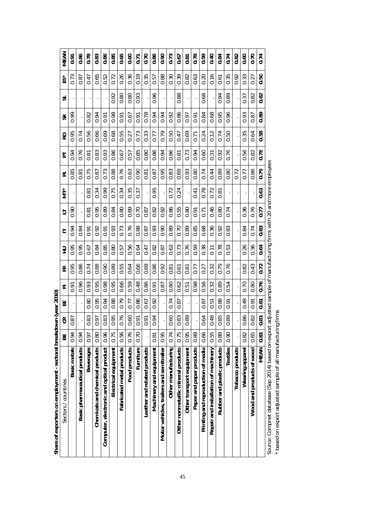| 0.78<br>0.74<br>0.83<br>0.86<br>0.85<br>0.65<br>0.70<br>0.86<br>0.90<br>0.73<br>0.78<br>0.59<br>0.40<br>0.84<br>0.74<br>0.60<br>0.70<br>0.86<br>0.60<br>0.82<br>$\overline{0.81}$<br>$\overline{0.71}$<br>0.67<br>0.65<br>0.52<br>0.26<br>0.36<br>0.19<br>0.35<br>0.88<br>0.82<br>0.63<br>0.16<br>0.35<br>0.33<br>0.50<br>0.72<br>0.30<br>0.39<br>0.20<br>0.92<br>0.87<br>0.47<br>0.57<br>0.61<br>0.27<br>0.82<br>0.80<br>0.96<br>0.88<br>0.68<br>0.82<br>0.92<br>0.93<br>0.94<br>0.89<br>0.80<br>0.37<br>0.78<br>0.94<br>0.68<br>0.96<br>0.98<br>0.94<br>0.86<br>0.84<br>0.95<br>0.93<br>0.89<br>0.82<br>0.94<br>0.67<br>0.92<br>0.97<br>0.91<br>0.91<br>0.91<br>0.87<br>0.91<br>0.56<br>0.69<br>0.69<br>0.35<br>0.58<br>0.66<br>0.68<br>0.55<br>0.73<br>0.33<br>0.79<br>0.24<br>0.74<br>0.64<br>0.74<br>0.50<br>0.12<br>0.50<br>0.27<br>0.47<br>$\overline{0.71}$<br>0.77<br>0.80<br>0.93<br>0.94<br>0.60<br>0.56<br>0.78<br>0.83<br>0.86<br>0.85<br>0.86<br>0.86<br>0.73<br>0.76<br>0.76<br>0.94<br>0.92<br>0.82<br>0.67<br>0.57<br>0.81<br>0.31<br>0.81<br>0.73<br>0.76<br>0.95<br>0.93<br>0.79<br>0.75<br>0.88<br>0.63<br>0.90<br>0.69<br>0.74<br>0.44<br>0.89<br>0.86<br>0.83<br>0.80<br>0.80<br>0.72<br>0.77<br>0.81<br>0.87<br>0.87<br>0.81<br>0.99<br>0.75<br>0.34<br>0.35<br>0.95<br>0.78<br>0.34<br>0.24<br>0.72<br>0.37<br>0.72<br>0.81<br>0.41<br>0.81<br>0.61<br>0.46<br>0.89<br>0.92<br>0.86<br>0.36<br>0.76<br>0.69<br>0.82<br>0.80<br>0.95<br>0.84<br>0.80<br>0.70<br>0.55<br>0.80<br>0.87<br>0.74<br>0.77<br>0.71<br>0.81<br>0.91<br>0.76<br>0.83<br>0.88<br>0.89<br>0.85<br>0.68<br>0.36<br>0.93<br>0.73<br>0.93<br>0.90<br>0.89<br>0.92<br>0.74<br>0.92<br>0.70<br>0.83<br>0.84<br>0.84<br>0.87<br>0.91<br>0.91<br>0.64<br>0.76<br>0.85<br>0.56<br>0.64<br>0.59<br>0.38<br>0.26<br>0.36<br>0.84<br>0.47<br>0.82<br>0.63<br>0.73<br>0.78<br>0.53<br>0.95<br>0.67<br>0.80<br>0.57<br>0.87<br>$\overline{0.11}$<br>0.72<br>0.69<br>0.90<br>0.55<br>0.66<br>0.86<br>0.92<br>0.79<br>0.76<br>0.82<br>0.43<br>0.86<br>0.74<br>0.88<br>0.89<br>0.64<br>0.32<br>0.77<br>0.27<br>0.81<br>0.61<br>0.81<br>0.76<br>0.98<br>0.66<br>0.48<br>0.86<br>0.56<br>0.95<br>0.95<br>0.59<br>0.98<br>0.70<br>0.96<br>0.93<br>0.89<br>0.54<br>0.87<br>0.80<br>0.62<br>0.32<br>0.80<br>0.51<br>0.91<br>0.67<br>0.94<br>0.86<br>0.49<br>0.80<br>0.95<br>0.88<br>0.92<br>0.79<br>0.74<br>0.88<br>0.81<br>0.77<br>0.87<br>0.87<br>0.91<br>$-51$<br>5.0 | Share of exporters on employment - sectoral breakdown (year 2010)<br>$\mathfrak{S}$<br>벎 |      |               | Ш | ᄄ    | 뚠    | 긒    |      | 与    | к<br>JT | $\overline{\mathbf{r}}$ | 눕    | RO   | ⋇    | ದ | ĚŠ   | MEAN |
|--------------------------------------------------------------------------------------------------------------------------------------------------------------------------------------------------------------------------------------------------------------------------------------------------------------------------------------------------------------------------------------------------------------------------------------------------------------------------------------------------------------------------------------------------------------------------------------------------------------------------------------------------------------------------------------------------------------------------------------------------------------------------------------------------------------------------------------------------------------------------------------------------------------------------------------------------------------------------------------------------------------------------------------------------------------------------------------------------------------------------------------------------------------------------------------------------------------------------------------------------------------------------------------------------------------------------------------------------------------------------------------------------------------------------------------------------------------------------------------------------------------------------------------------------------------------------------------------------------------------------------------------------------------------------------------------------------------------------------------------------------------------------------------------------------------------------------------------------------------------------------------------------------------------------------------------------------------------------------------------------------------------------------------------------------------------------------------------------------------------------------------------------------------------------------------------------------------------------------------------------------------------------------------------------------------------------------------------------------------------------------------------------------------------------------------------------|------------------------------------------------------------------------------------------|------|---------------|---|------|------|------|------|------|---------|-------------------------|------|------|------|---|------|------|
| 83<br>76<br>48<br>83<br>95<br>$\mathcal{S}$<br>$\overline{6}$<br>$\mathcal{S}^{\mathcal{O}}$<br>85<br>86<br>82<br>83<br>89<br>64<br>89<br>57<br>5<br>$\overline{5}$<br>$\overline{5}$<br>Ö<br>Ö<br>O<br>Ö<br>Ö<br>Ö<br>Ö<br>Õ<br>Õ<br>Õ<br>Ö<br>Ö<br>O<br>$\circ$<br>$\circ$<br>Õ<br>Ö<br>Ö<br>$\circ$<br>0.66<br>0.65<br>0.55<br>0.96<br>0.75<br>0.56<br>0.95<br>0.82<br>0.80<br>0.76<br>0.95<br>0.75<br>0.89<br>0.89<br>0.74<br>0.97<br>0.70<br>0.90<br>0.94<br>0.81<br>0.81<br>Food products<br>MEAN<br>Beverages<br>Electrical equipment<br>Furniture<br>Textiles<br>Tobacco products<br>Other manufacturing<br>Wearing apparel                                                                                                                                                                                                                                                                                                                                                                                                                                                                                                                                                                                                                                                                                                                                                                                                                                                                                                                                                                                                                                                                                                                                                                                                                                                                                                                                                                                                                                                                                                                                                                                                                                                                                                                                                                                                              | Basic metals                                                                             | 0.94 | 87<br>$\circ$ |   | 0.91 | 0.95 | 0.95 | 0.94 | 0.90 |         | 0.85                    | 0.94 | 0.95 | 0.99 |   | 0.73 | 5.0  |
|                                                                                                                                                                                                                                                                                                                                                                                                                                                                                                                                                                                                                                                                                                                                                                                                                                                                                                                                                                                                                                                                                                                                                                                                                                                                                                                                                                                                                                                                                                                                                                                                                                                                                                                                                                                                                                                                                                                                                                                                                                                                                                                                                                                                                                                                                                                                                                                                                                                  | Basic pharmaceutical products                                                            |      |               |   |      |      |      |      |      |         |                         |      |      |      |   |      |      |
| Chemicals and chemical products<br>Computer, electronic and optical product                                                                                                                                                                                                                                                                                                                                                                                                                                                                                                                                                                                                                                                                                                                                                                                                                                                                                                                                                                                                                                                                                                                                                                                                                                                                                                                                                                                                                                                                                                                                                                                                                                                                                                                                                                                                                                                                                                                                                                                                                                                                                                                                                                                                                                                                                                                                                                      |                                                                                          |      |               |   |      |      |      |      |      |         |                         |      |      |      |   |      |      |
|                                                                                                                                                                                                                                                                                                                                                                                                                                                                                                                                                                                                                                                                                                                                                                                                                                                                                                                                                                                                                                                                                                                                                                                                                                                                                                                                                                                                                                                                                                                                                                                                                                                                                                                                                                                                                                                                                                                                                                                                                                                                                                                                                                                                                                                                                                                                                                                                                                                  |                                                                                          |      |               |   |      |      |      |      |      |         |                         |      |      |      |   |      |      |
|                                                                                                                                                                                                                                                                                                                                                                                                                                                                                                                                                                                                                                                                                                                                                                                                                                                                                                                                                                                                                                                                                                                                                                                                                                                                                                                                                                                                                                                                                                                                                                                                                                                                                                                                                                                                                                                                                                                                                                                                                                                                                                                                                                                                                                                                                                                                                                                                                                                  |                                                                                          |      |               |   |      |      |      |      |      |         |                         |      |      |      |   |      |      |
|                                                                                                                                                                                                                                                                                                                                                                                                                                                                                                                                                                                                                                                                                                                                                                                                                                                                                                                                                                                                                                                                                                                                                                                                                                                                                                                                                                                                                                                                                                                                                                                                                                                                                                                                                                                                                                                                                                                                                                                                                                                                                                                                                                                                                                                                                                                                                                                                                                                  |                                                                                          |      |               |   |      |      |      |      |      |         |                         |      |      |      |   |      |      |
|                                                                                                                                                                                                                                                                                                                                                                                                                                                                                                                                                                                                                                                                                                                                                                                                                                                                                                                                                                                                                                                                                                                                                                                                                                                                                                                                                                                                                                                                                                                                                                                                                                                                                                                                                                                                                                                                                                                                                                                                                                                                                                                                                                                                                                                                                                                                                                                                                                                  | Fabricated metal products                                                                |      |               |   |      |      |      |      |      |         |                         |      |      |      |   |      |      |
| Leather and related products<br>Machinery and equipment<br>Motor vehicles, trailers and semitrailer                                                                                                                                                                                                                                                                                                                                                                                                                                                                                                                                                                                                                                                                                                                                                                                                                                                                                                                                                                                                                                                                                                                                                                                                                                                                                                                                                                                                                                                                                                                                                                                                                                                                                                                                                                                                                                                                                                                                                                                                                                                                                                                                                                                                                                                                                                                                              |                                                                                          |      |               |   |      |      |      |      |      |         |                         |      |      |      |   |      |      |
|                                                                                                                                                                                                                                                                                                                                                                                                                                                                                                                                                                                                                                                                                                                                                                                                                                                                                                                                                                                                                                                                                                                                                                                                                                                                                                                                                                                                                                                                                                                                                                                                                                                                                                                                                                                                                                                                                                                                                                                                                                                                                                                                                                                                                                                                                                                                                                                                                                                  |                                                                                          |      |               |   |      |      |      |      |      |         |                         |      |      |      |   |      |      |
|                                                                                                                                                                                                                                                                                                                                                                                                                                                                                                                                                                                                                                                                                                                                                                                                                                                                                                                                                                                                                                                                                                                                                                                                                                                                                                                                                                                                                                                                                                                                                                                                                                                                                                                                                                                                                                                                                                                                                                                                                                                                                                                                                                                                                                                                                                                                                                                                                                                  |                                                                                          |      |               |   |      |      |      |      |      |         |                         |      |      |      |   |      |      |
|                                                                                                                                                                                                                                                                                                                                                                                                                                                                                                                                                                                                                                                                                                                                                                                                                                                                                                                                                                                                                                                                                                                                                                                                                                                                                                                                                                                                                                                                                                                                                                                                                                                                                                                                                                                                                                                                                                                                                                                                                                                                                                                                                                                                                                                                                                                                                                                                                                                  |                                                                                          |      |               |   |      |      |      |      |      |         |                         |      |      |      |   |      |      |
|                                                                                                                                                                                                                                                                                                                                                                                                                                                                                                                                                                                                                                                                                                                                                                                                                                                                                                                                                                                                                                                                                                                                                                                                                                                                                                                                                                                                                                                                                                                                                                                                                                                                                                                                                                                                                                                                                                                                                                                                                                                                                                                                                                                                                                                                                                                                                                                                                                                  |                                                                                          |      |               |   |      |      |      |      |      |         |                         |      |      |      |   |      |      |
|                                                                                                                                                                                                                                                                                                                                                                                                                                                                                                                                                                                                                                                                                                                                                                                                                                                                                                                                                                                                                                                                                                                                                                                                                                                                                                                                                                                                                                                                                                                                                                                                                                                                                                                                                                                                                                                                                                                                                                                                                                                                                                                                                                                                                                                                                                                                                                                                                                                  |                                                                                          |      |               |   |      |      |      |      |      |         |                         |      |      |      |   |      |      |
| Other transport equipment<br>Paper and paper products<br>Rubber and plastic products<br>Printing and reproduction of media<br>Wood and products of wood<br>Repair and installation of machinery                                                                                                                                                                                                                                                                                                                                                                                                                                                                                                                                                                                                                                                                                                                                                                                                                                                                                                                                                                                                                                                                                                                                                                                                                                                                                                                                                                                                                                                                                                                                                                                                                                                                                                                                                                                                                                                                                                                                                                                                                                                                                                                                                                                                                                                  | Other nonmetallic mineral products                                                       |      |               |   |      |      |      |      |      |         |                         |      |      |      |   |      |      |
|                                                                                                                                                                                                                                                                                                                                                                                                                                                                                                                                                                                                                                                                                                                                                                                                                                                                                                                                                                                                                                                                                                                                                                                                                                                                                                                                                                                                                                                                                                                                                                                                                                                                                                                                                                                                                                                                                                                                                                                                                                                                                                                                                                                                                                                                                                                                                                                                                                                  |                                                                                          |      |               |   |      |      |      |      |      |         |                         |      |      |      |   |      |      |
|                                                                                                                                                                                                                                                                                                                                                                                                                                                                                                                                                                                                                                                                                                                                                                                                                                                                                                                                                                                                                                                                                                                                                                                                                                                                                                                                                                                                                                                                                                                                                                                                                                                                                                                                                                                                                                                                                                                                                                                                                                                                                                                                                                                                                                                                                                                                                                                                                                                  |                                                                                          |      |               |   |      |      |      |      |      |         |                         |      |      |      |   |      |      |
|                                                                                                                                                                                                                                                                                                                                                                                                                                                                                                                                                                                                                                                                                                                                                                                                                                                                                                                                                                                                                                                                                                                                                                                                                                                                                                                                                                                                                                                                                                                                                                                                                                                                                                                                                                                                                                                                                                                                                                                                                                                                                                                                                                                                                                                                                                                                                                                                                                                  |                                                                                          |      |               |   |      |      |      |      |      |         |                         |      |      |      |   |      |      |
|                                                                                                                                                                                                                                                                                                                                                                                                                                                                                                                                                                                                                                                                                                                                                                                                                                                                                                                                                                                                                                                                                                                                                                                                                                                                                                                                                                                                                                                                                                                                                                                                                                                                                                                                                                                                                                                                                                                                                                                                                                                                                                                                                                                                                                                                                                                                                                                                                                                  |                                                                                          |      |               |   |      |      |      |      |      |         |                         |      |      |      |   |      |      |
|                                                                                                                                                                                                                                                                                                                                                                                                                                                                                                                                                                                                                                                                                                                                                                                                                                                                                                                                                                                                                                                                                                                                                                                                                                                                                                                                                                                                                                                                                                                                                                                                                                                                                                                                                                                                                                                                                                                                                                                                                                                                                                                                                                                                                                                                                                                                                                                                                                                  |                                                                                          |      |               |   |      |      |      |      |      |         |                         |      |      |      |   |      |      |
|                                                                                                                                                                                                                                                                                                                                                                                                                                                                                                                                                                                                                                                                                                                                                                                                                                                                                                                                                                                                                                                                                                                                                                                                                                                                                                                                                                                                                                                                                                                                                                                                                                                                                                                                                                                                                                                                                                                                                                                                                                                                                                                                                                                                                                                                                                                                                                                                                                                  |                                                                                          |      |               |   |      |      |      |      |      |         |                         |      |      |      |   |      |      |
|                                                                                                                                                                                                                                                                                                                                                                                                                                                                                                                                                                                                                                                                                                                                                                                                                                                                                                                                                                                                                                                                                                                                                                                                                                                                                                                                                                                                                                                                                                                                                                                                                                                                                                                                                                                                                                                                                                                                                                                                                                                                                                                                                                                                                                                                                                                                                                                                                                                  |                                                                                          |      |               |   |      |      |      |      |      |         |                         |      |      |      |   |      |      |
|                                                                                                                                                                                                                                                                                                                                                                                                                                                                                                                                                                                                                                                                                                                                                                                                                                                                                                                                                                                                                                                                                                                                                                                                                                                                                                                                                                                                                                                                                                                                                                                                                                                                                                                                                                                                                                                                                                                                                                                                                                                                                                                                                                                                                                                                                                                                                                                                                                                  |                                                                                          |      |               |   |      |      |      |      |      |         |                         |      |      |      |   |      |      |
|                                                                                                                                                                                                                                                                                                                                                                                                                                                                                                                                                                                                                                                                                                                                                                                                                                                                                                                                                                                                                                                                                                                                                                                                                                                                                                                                                                                                                                                                                                                                                                                                                                                                                                                                                                                                                                                                                                                                                                                                                                                                                                                                                                                                                                                                                                                                                                                                                                                  |                                                                                          |      |               |   |      |      |      |      |      |         |                         |      |      |      |   |      |      |
|                                                                                                                                                                                                                                                                                                                                                                                                                                                                                                                                                                                                                                                                                                                                                                                                                                                                                                                                                                                                                                                                                                                                                                                                                                                                                                                                                                                                                                                                                                                                                                                                                                                                                                                                                                                                                                                                                                                                                                                                                                                                                                                                                                                                                                                                                                                                                                                                                                                  |                                                                                          |      |               |   |      |      |      |      |      |         |                         |      |      |      |   |      |      |

Source: Compnet database (Sep 2014) based on export adjusted sample of manufacturing firms with 20 and more employees Source: Compnet database (Sep 2014) based on export adjusted sample of manufacturing firms with 20 and more employees<br>\* based on export adjusted sample of all manufacturing firms

 $^\star$  based on export adjusted sample of all manufacturing firms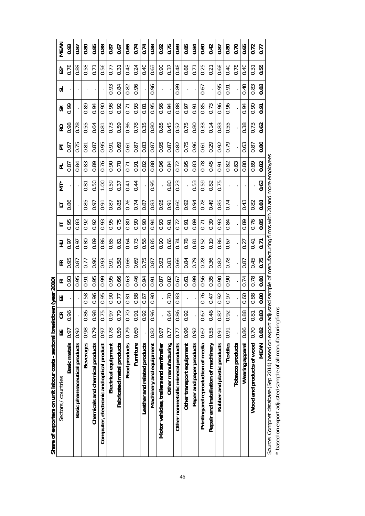|                                                          | 벎    | $\mathfrak{S}$ | 出    | ᆮ    | 뚠    | 긒    | ╘                 | 与    | $\sum^*$                                                      | ᆮ                 | 능              | œ    | ⋇    | ದ    | ĚŠ   | MEAN |
|----------------------------------------------------------|------|----------------|------|------|------|------|-------------------|------|---------------------------------------------------------------|-------------------|----------------|------|------|------|------|------|
| Sectors / countries                                      |      |                |      |      |      |      |                   |      |                                                               |                   |                |      |      |      |      |      |
| Basic metals                                             | (6.0 | 0.96           |      | 0.93 | 0.95 | (6.0 | 0.95              | 0.86 |                                                               | 0.87              | 0.97           | 0.98 | 0.99 |      | 0.78 | 0.93 |
| Basic pharmaceutical products                            | 0.92 |                |      | 0.95 | 0.87 | 6.0  | 0.83              |      |                                                               | 0.84              | 0.75           | 0.78 |      |      | 0.89 | 0.87 |
| Beverages                                                | 0.98 | 0.86           | 0.58 | 0.91 | 0.77 | 0.80 | 0.92              | 0.85 | 0.81                                                          | 0.83              | 0.81           | 0.55 | 0.89 |      | 0.58 | 0.80 |
| Chemicals and chemical products                          | 0.79 | 0.98           | 0.96 | 0.95 | 0.90 | 0.89 | 0.92              | 0.97 | 0.50                                                          | 0.89              | 0.87           | 0.64 | 0.94 |      | 0.71 | 0.85 |
| Computer, electronic and optical product                 | 0.97 | 0.75           | 0.95 | 0.99 | 0.93 | 0.86 | 0.93              | 0.91 | 1.00                                                          | 0.76              | 0.95           | 0.81 | 0.90 |      | 0.56 | 0.88 |
| Electrical equipment                                     | 0.78 | 0.97           | 0.90 | 0.95 | 0.91 | 0.85 | 0.95              | 0.87 | 0.59                                                          | 0.90              | 0.91           | 0.73 | 0.98 | 0.93 | 0.77 | 0.87 |
| Fabricated metal products                                | 0.59 | 0.79           | 0.77 | 0.66 | 0.58 | 0.61 | 0.75              | 0.85 | 0.37                                                          | 0.78              | 0.69           | 0.59 | 0.92 | 0.84 | 0.31 | 0.67 |
| Food products                                            | 0.79 | 0.70           | 0.81 | 0.63 | 0.66 | 0.64 | 0.80              | 0.76 | 0.41                                                          | $\overline{0.71}$ | 0.61           | 0.36 | 0.71 | 0.82 | 0.43 | 0.66 |
| Furniture                                                | 0.69 | 0.91           | 0.88 | 0.46 | 0.69 | 0.73 | 0.90              | 0.74 | 0.44                                                          | 0.91              | 0.87           | 0.78 | 0.93 | 0.96 | 0.24 | 0.74 |
| Leather and related products                             |      | 0.92           | 0.67 | 0.94 | 0.75 | 0.56 | 0.90              | 0.87 |                                                               | 0.82              | 0.83           | 0.35 | 0.81 |      | 0.40 | 0.74 |
| Machinery and equipment                                  | 0.82 | 0.96           | 0.90 | 0.91 | 0.87 | 0.85 | 0.94              | 0.83 | 0.95                                                          | 0.88              | 0.87           | 0.80 | 0.95 | 0.96 | 0.63 | 0.88 |
| Motor vehicles, trailers and semitrailer                 | 0.97 |                |      | 0.87 | 0.93 | 0.90 | 0.93              | 0.95 |                                                               | 0.96              | 0.95           | 0.85 | 0.96 |      | 0.90 | 0.92 |
| Other manufacturing                                      | 0.77 | 0.64           | 0.70 | 0.82 | 0.83 | 0.66 | 0.91              | 0.91 | 0.80                                                          | 0.84              | 0.87           | 0.45 | 0.94 |      | 0.37 | 0.75 |
| Other nonmetallic mineral products                       | 0.77 | 0.86           | 0.83 | 0.67 | 0.66 | 0.74 | 0.72              | 0.60 | 0.23                                                          | 0.72              | 0.82           | 0.52 | 0.88 | 0.89 | 0.48 | 0.69 |
| Other transport equipment                                | 0.96 | 0.92           |      | 0.61 | 0.84 | 0.78 | 0.91              | 0.92 |                                                               | 0.95              | 0.75           | 0.75 | 6.0  |      | 0.88 | 0.85 |
| Paper and paper products                                 | 0.92 |                |      | 0.99 | 0.79 | 0.81 | 0.89              | 0.94 | 0.53                                                          | 0.83              | 0.96           | 0.80 | 0.91 |      | 0.71 | 0.84 |
| Printing and reproduction of media                       | 0.67 | 0.67           | 0.76 | 0.56 | 0.28 | 0.52 | $\overline{0.71}$ | 0.78 | 0.59                                                          | 0.78              | 0.61           | 0.33 | 0.85 | 0.67 | 0.25 | 0.60 |
| Repair and installation of machinery                     | 0.55 | 0.46           | 0.47 | 0.35 | 0.36 | 0.19 | 0.39              | 0.49 | 0.82                                                          | 0.45              | 0.29           | 0.14 | 0.73 |      | 0.21 | 0.42 |
| Rubber and plastic products                              | 0.91 | 0.87           | 0.92 | 0.90 | 0.82 | 0.86 | 0.93              | 0.85 | 0.75                                                          | 0.91              | 0.92           | 0.83 | 0.96 | 0.95 | 0.68 | 0.87 |
| Textiles                                                 | 0.91 | 0.92           | 0.97 | 0.90 | 0.78 | 0.67 | 0.84              | 0.74 |                                                               | 0.82              | 0.79           | 0.55 | 0.96 | 0.91 | 0.40 | 0.80 |
| Tobacco products                                         |      |                |      |      |      |      |                   |      |                                                               | 0.63              |                |      |      |      | 0.78 | 0.70 |
| Wearing apparel                                          | 0.86 | 0.88           | 0.60 | 0.74 | 0.87 | 0.27 | 0.89              | 0.43 |                                                               | 0.80              | 0.63           | 0.38 | 0.94 | 0.40 | 0.40 | 0.65 |
| Wood and products of wood                                | 0.70 | 0.81           | 0.88 | 0.78 | 0.45 | 0.41 | 0.76              | 0.82 |                                                               | 0.89              | 0.87           | 0.73 | 0.90 | 0.83 | 0.31 | 0.72 |
| MEAN                                                     | 0.82 | 0.83           | 0.80 | 0.80 | 0.75 | 0.71 | 0.85              | 0.81 | 0.63                                                          | 0.82              | $\frac{80}{2}$ | 0.62 | 0.91 | 0.83 | 0.55 | 0.77 |
| Source: Compnet database (Sep 2014) based on export adju |      |                |      |      |      |      |                   |      | sted sample of manufacturing firms with 20 and more employees |                   |                |      |      |      |      |      |

Share of exporters on unit labour costs - sectoral breakdown (year 2010) **Share of exporters on unit labour costs - sectoral breakdown (year 2010)**

\* based on export adjusted sample of all manufacturing firms based on export adjusted sample of all manufacturing firms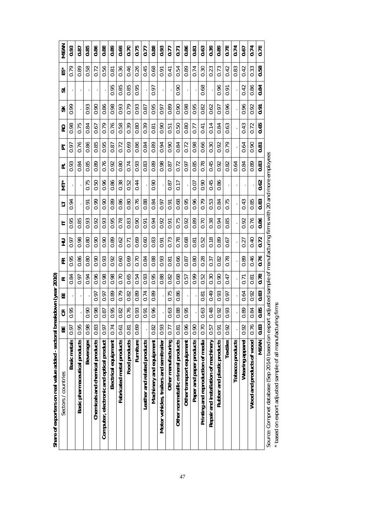|                                                          | MEAN                | 0.93         | 0.87                          | 0.85                | 0.86                            | 0.88                                     | 0.89                 | 0.69                      | 0.70           | 0.75      | 0.77                         | 0.88                    | 0.93                                     | 0.77                | 0.71                               | 0.86                      | 0.81                     | 0.63                               | 0.39                                 | 0.89                        | 0.78      | 0.74             | 0.67            | 0.74                      | 0.78 |                                                                                                                       |
|----------------------------------------------------------|---------------------|--------------|-------------------------------|---------------------|---------------------------------|------------------------------------------|----------------------|---------------------------|----------------|-----------|------------------------------|-------------------------|------------------------------------------|---------------------|------------------------------------|---------------------------|--------------------------|------------------------------------|--------------------------------------|-----------------------------|-----------|------------------|-----------------|---------------------------|------|-----------------------------------------------------------------------------------------------------------------------|
|                                                          | řS3                 | 0.79         | 0.89                          | 0.58                | 0.72                            | 0.56                                     | $\overline{0.81}$    | 0.36                      | 0.46           | 0.26      | 0.45                         | 0.68                    | 0.91                                     | 0.41                | 0.54                               | 0.89                      | 0.74                     | 0.30                               | 0.23                                 | 0.73                        | 0.42      | 0.83             | 0.42            | 0.33                      | 0.58 |                                                                                                                       |
|                                                          | ದ                   |              |                               |                     |                                 |                                          | 0.95                 | 0.85                      | 0.85           | 0.95      |                              | 0.97                    |                                          |                     | 0.90                               |                           |                          | 0.68                               |                                      | 0.96                        | 0.91      |                  | 0.42            | 0.86                      | 0.84 |                                                                                                                       |
|                                                          | ⋇                   | 0.99         |                               | 0.93                | 0.90                            | 0.86                                     | 0.98                 | 0.93                      | 0.79           | 0.93      | 0.87                         | 0.95                    | 0.97                                     | 0.89                | 0.90                               | 0.98                      | 0.95                     | 0.82                               | 0.62                                 | 0.97                        | 0.96      |                  | 0.96            | 0.92                      | 0.91 |                                                                                                                       |
|                                                          | RO                  | 0.98         | 0.75                          | 0.84                | 0.67                            | 0.79                                     | 0.76                 | 0.58                      | 0.39           | 0.80      | 0.39                         | 0.81                    | 0.90                                     | 0.51                | 0.50                               | 0.80                      | 0.77                     | 0.41                               | 0.14                                 | 0.84                        | 0.63      |                  | 0.43            | 0.72                      | 0.65 |                                                                                                                       |
|                                                          | 눈                   | 0.97         | 0.76                          | 0.86                | 0.85                            | 0.95                                     | 0.87                 | 0.72                      | 0.69           | 0.86      | 0.84                         | 0.89                    | 0.94                                     | 0.90                | 0.84                               | 0.72                      | 0.98                     | 0.66                               | 0.30                                 | 0.92                        | 0.79      |                  | 0.64            | 0.90                      | 0.81 |                                                                                                                       |
|                                                          | ದ                   | 0.93         | 0.84                          | 0.85                | 0.89                            | 0.76                                     | 0.92                 | 0.80                      | 0.74           | 0.93      | 0.83                         | 0.89                    | 0.98                                     | 0.87                | 0.72                               | 0.97                      | 0.85                     | 0.78                               | 0.45                                 | 0.92                        | 0.82      | 0.64             | 0.84            | 0.89                      | 0.83 |                                                                                                                       |
|                                                          | МŤ*                 |              |                               | 0.75                | 0.50                            | 0.96                                     | 0.86                 | 0.38                      | 0.52           | 0.44      |                              | 0.90                    |                                          | 0.87                | 0.17                               |                           | 0.07                     | 0.90                               | 0.45                                 | 0.86                        |           |                  |                 |                           | 0.62 |                                                                                                                       |
|                                                          | 与                   | 0.94         |                               | 0.91                | 0.99                            | 0.90                                     | 0.89                 | 0.86                      | 0.80           | 0.76      | 0.88                         | 0.84                    | 6.0                                      | 0.91                | 0.68                               | 0.95                      | 0.96                     | 0.79                               | 0.53                                 | 0.84                        | 0.75      |                  | 0.43            | 0.85                      | 0.83 |                                                                                                                       |
|                                                          |                     | 0.95         | 0.85                          | 0.93                | 0.92                            | 0.93                                     | 0.95                 | 0.78                      | 0.83           | 0.90      | 0.91                         | 0.94                    | 0.92                                     | 0.91                | 0.75                               | 0.92                      | 0.89                     | 0.70                               | 0.38                                 | 0.94                        | 85        |                  | 0.92            | 0.76                      | 0.86 |                                                                                                                       |
|                                                          | 긒                   | 0.97         | 0.98                          | 0.80                | 0.90                            | 0.90                                     | 0.89                 | 0.62                      | 0.71           | 0.69      | 0.60                         | 0.83                    | 0.91                                     | 0.73                | 0.78                               | 0.68                      | 0.81                     | 0.52                               | 0.18                                 | 0.89                        | ö<br>0.67 |                  | 0.27            | 0.40                      | 0.72 |                                                                                                                       |
|                                                          |                     |              |                               |                     |                                 |                                          |                      |                           |                |           |                              |                         |                                          |                     |                                    |                           |                          |                                    |                                      |                             |           |                  |                 |                           |      |                                                                                                                       |
|                                                          | 뚠                   | 0.95         | 0.86                          | 0.80                | 0.90                            | 0.93                                     | 0.92                 | 0.60                      | 0.69           | 0.70      | 0.84                         | 0.88                    | 0.93                                     | 0.81                | 0.66                               | 0.87                      | 0.80                     | 0.28                               | 0.37                                 | 0.82                        | 0.78      |                  | 0.89            | 0.46                      | 0.76 |                                                                                                                       |
| lown (year 2010)                                         | ᆮ                   | 0.84         | 0.97                          | 0.94                | 0.96                            | 0.98                                     | 0.98                 | 0.70                      | 0.65           | 0.54      | 0.93                         | 0.95                    | 0.88                                     | 0.82                | 0.68                               | 0.57                      | 0.99                     | 0.52                               | 0.30                                 | 0.90                        | 47<br>ö   |                  | 0.71            | 0.81                      | 0.78 |                                                                                                                       |
|                                                          | 出                   |              |                               |                     | 0.97                            | 0.97                                     | 0.89                 | 0.79                      | 0.82           | 0.89      | 0.74                         | 0.89                    |                                          | 0.75                | 0.86                               |                           |                          | 0.81                               | 0.49                                 | 0.93                        | 0.97      |                  | 0.64            | 0.92                      | 0.83 |                                                                                                                       |
|                                                          | $\Im$               | 0.95         |                               | 90<br>$\bar{\circ}$ | 0.98                            | 0.87                                     | 0.95                 | 0.82                      | 76<br>$\sigma$ | 0.93      | 0.91                         | 0.96                    |                                          | 0.63                | 0.88                               | 0.95                      |                          | 0.63                               | 0.48                                 | 0.92                        | 0.93      |                  | 0.89            | 0.84                      | 0.85 |                                                                                                                       |
|                                                          | 쑮                   | 0.97         | 0.95                          | 0.98                | 0.83                            | 0.97                                     | 0.74                 | 0.61                      | 0.81           | 0.69      |                              | 0.82                    | 0.93                                     | 0.77                | 0.81                               | 0.96                      | 0.90                     | 0.70                               | 0.57                                 | 0.91                        | 0.92      |                  | 0.92            | 0.76                      | 0.83 |                                                                                                                       |
| Share of exporters on real value added - sectoral breakd | Sectors / countries | Basic metals | Basic pharmaceutical products | Beverages           | Chemicals and chemical products | Computer, electronic and optical product | Electrical equipment | Fabricated metal products | Food products  | Furniture | Leather and related products | Machinery and equipment | Motor vehicles, trailers and semitrailer | Other manufacturing | Other nonmetallic mineral products | Other transport equipment | Paper and paper products | Printing and reproduction of media | Repair and installation of machinery | Rubber and plastic products | Textiles  | Tobacco products | Wearing apparel | Wood and products of wood | MEAN | Source: Compnet database (Sep 2014) based on export adjusted sample of manufacturing firms with 20 and more employees |

Source: Compnet database (Sep 2014) based on export adjusted sample of manufacturing firms with 20 and more employees enihayees  $\frac{1}{2}$  $\frac{2}{2}$ source: compret database (sep 2014) based on export adjuste<br>\* based on export adjusted sample of all manufacturing firms

based on export adjusted sample of all manufacturing firms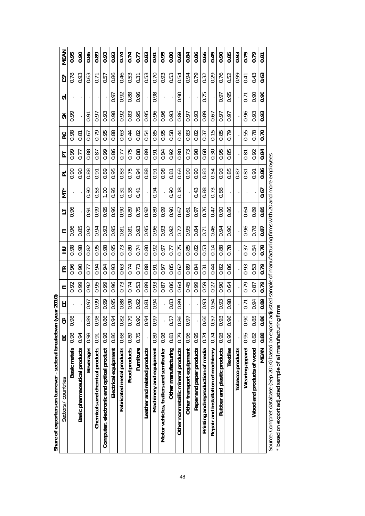| 0.86<br>0.66<br>0.89<br>0.93<br>0.93<br>0.95<br>0.80<br>0.69<br>0.86<br>0.45<br>0.90<br>0.93<br>0.75<br>0.95<br>0.90<br>0.74<br>0.74<br>0.83<br>0.84<br>0.85<br>0.79<br>0.91<br>0.77<br>0.81<br>0.63<br>0.63<br>0.86<br>0.46<br>0.53<br>0.53<br>0.79<br>0.76<br>0.78<br>0.93<br>0.53<br>0.70<br>0.93<br>0.32<br>0.54<br>0.94<br>0.29<br>0.52<br>0.99<br>0.43<br>0.57<br>$\overline{0.71}$<br>0.31<br>0.41<br>0.88<br>0.90<br>0.96<br>0.98<br>0.75<br>0.95<br>0.90<br>0.90<br>0.92<br>0.97<br>0.97<br>$\overline{0.71}$<br>0.93<br>0.83<br>0.96<br>0.98<br>0.92<br>0.95<br>0.95<br>0.96<br>0.93<br>0.86<br>0.93<br>0.96<br>0.93<br>0.93<br>0.89<br>0.99<br>0.97<br>0.67<br>6.0<br>0.97<br>(6.0<br>0.91<br>0.85<br>0.88<br>0.44<br>0.58<br>0.15<br>0.98<br>0.79<br>0.95<br>0.63<br>0.95<br>0.44<br>0.83<br>0.82<br>0.85<br>0.79<br>0.55<br>0.78<br>0.70<br>0.67<br>0.82<br>0.54<br>0.37<br>0.81<br>0.75<br>0.88<br>0.86<br>0.98<br>0.68<br>0.95<br>0.85<br>0.99<br>0.99<br>0.88<br>0.89<br>0.94<br>0.92<br>0.73<br>0.30<br>0.84<br>0.80<br>0.92<br>0.91<br>0.77<br>0.77<br>0.87<br>0.81<br>0.86<br>0.88<br>0.95<br>0.75<br>0.88<br>0.83<br>0.94<br>0.98<br>0.83<br>0.93<br>0.85<br>0.89<br>0.69<br>0.90<br>0.90<br>0.54<br>0.90<br>0.90<br>0.91<br>0.91<br>0.81<br>0.87<br>0.91<br>0.81<br>0.95<br>0.38<br>0.18<br>0.43<br>0.88<br>0.88<br>0.90<br>0.53<br>$\frac{8}{1}$<br>0.90<br>0.73<br>0.67<br>0.94<br>$\overline{0}31$<br>0.41<br>0.85<br>0.96<br>0.89<br>0.95<br>0.89<br>0.75<br>0.76<br>0.96<br>0.99<br>0.99<br>0.90<br>0.86<br>0.64<br>0.89<br>0.90<br>0.92<br>0.90<br>0.67<br>0.97<br>0.91<br>0.61<br>0.47<br>0.96<br>0.96<br>0.92<br>0.95<br>0.95<br>0.95<br>0.46<br>0.96<br>0.78<br>0.85<br>0.94<br>0.93<br>0.93<br>0.93<br>0.92<br>0.72<br>0.84<br>0.94<br>0.87<br>0.90<br>0.81<br>0.81<br>71<br>0.78<br>0.82<br>0.98<br>0.98<br>0.95<br>0.98<br>0.95<br>0.73<br>0.92<br>0.85<br>0.82<br>0.88<br>0.80<br>0.74<br>0.80<br>0.75<br>0.53<br>0.14<br>0.78<br>0.54<br>0.37<br>0.97<br>0.77<br>0.74<br>0.79<br>0.94<br>0.94<br>0.93<br>0.63<br>0.73<br>0.88<br>0.85<br>0.62<br>0.84<br>0.44<br>0.86<br>0.96<br>0.90<br>0.77<br>0.89<br>0.82<br>0.93<br>0.53<br>0.91<br>0.97<br>0.31 | Share of exporters on turnover - sectoral breakdown<br>0.98<br>Ы<br>Basic metals |
|------------------------------------------------------------------------------------------------------------------------------------------------------------------------------------------------------------------------------------------------------------------------------------------------------------------------------------------------------------------------------------------------------------------------------------------------------------------------------------------------------------------------------------------------------------------------------------------------------------------------------------------------------------------------------------------------------------------------------------------------------------------------------------------------------------------------------------------------------------------------------------------------------------------------------------------------------------------------------------------------------------------------------------------------------------------------------------------------------------------------------------------------------------------------------------------------------------------------------------------------------------------------------------------------------------------------------------------------------------------------------------------------------------------------------------------------------------------------------------------------------------------------------------------------------------------------------------------------------------------------------------------------------------------------------------------------------------------------------------------------------------------------------------------------------------------------------------------------------------------------------------------------------------------------------------------------------------------------------------------------------------------------------------------------------------------------------------------------------------------------------------------------------------------------------------------|----------------------------------------------------------------------------------|
|                                                                                                                                                                                                                                                                                                                                                                                                                                                                                                                                                                                                                                                                                                                                                                                                                                                                                                                                                                                                                                                                                                                                                                                                                                                                                                                                                                                                                                                                                                                                                                                                                                                                                                                                                                                                                                                                                                                                                                                                                                                                                                                                                                                          | 0.92<br>98<br>$\bar{\circ}$                                                      |
|                                                                                                                                                                                                                                                                                                                                                                                                                                                                                                                                                                                                                                                                                                                                                                                                                                                                                                                                                                                                                                                                                                                                                                                                                                                                                                                                                                                                                                                                                                                                                                                                                                                                                                                                                                                                                                                                                                                                                                                                                                                                                                                                                                                          | 0.99<br>0.94                                                                     |
|                                                                                                                                                                                                                                                                                                                                                                                                                                                                                                                                                                                                                                                                                                                                                                                                                                                                                                                                                                                                                                                                                                                                                                                                                                                                                                                                                                                                                                                                                                                                                                                                                                                                                                                                                                                                                                                                                                                                                                                                                                                                                                                                                                                          | 0.92<br>0.97<br>0.89<br>0.98                                                     |
|                                                                                                                                                                                                                                                                                                                                                                                                                                                                                                                                                                                                                                                                                                                                                                                                                                                                                                                                                                                                                                                                                                                                                                                                                                                                                                                                                                                                                                                                                                                                                                                                                                                                                                                                                                                                                                                                                                                                                                                                                                                                                                                                                                                          | 0.95<br>0.99<br>98<br>$\rm \ddot{\circ}$<br>0.91                                 |
|                                                                                                                                                                                                                                                                                                                                                                                                                                                                                                                                                                                                                                                                                                                                                                                                                                                                                                                                                                                                                                                                                                                                                                                                                                                                                                                                                                                                                                                                                                                                                                                                                                                                                                                                                                                                                                                                                                                                                                                                                                                                                                                                                                                          | 0.99<br>0.99<br>0.86<br>0.98                                                     |
|                                                                                                                                                                                                                                                                                                                                                                                                                                                                                                                                                                                                                                                                                                                                                                                                                                                                                                                                                                                                                                                                                                                                                                                                                                                                                                                                                                                                                                                                                                                                                                                                                                                                                                                                                                                                                                                                                                                                                                                                                                                                                                                                                                                          | 0.96<br>0.95<br>$\overline{5}$<br>$\circ$<br>0.86                                |
|                                                                                                                                                                                                                                                                                                                                                                                                                                                                                                                                                                                                                                                                                                                                                                                                                                                                                                                                                                                                                                                                                                                                                                                                                                                                                                                                                                                                                                                                                                                                                                                                                                                                                                                                                                                                                                                                                                                                                                                                                                                                                                                                                                                          | 0.73<br>0.88<br>0.82<br>0.68                                                     |
|                                                                                                                                                                                                                                                                                                                                                                                                                                                                                                                                                                                                                                                                                                                                                                                                                                                                                                                                                                                                                                                                                                                                                                                                                                                                                                                                                                                                                                                                                                                                                                                                                                                                                                                                                                                                                                                                                                                                                                                                                                                                                                                                                                                          | 0.74<br>0.90<br>79<br>ö<br>0.89                                                  |
|                                                                                                                                                                                                                                                                                                                                                                                                                                                                                                                                                                                                                                                                                                                                                                                                                                                                                                                                                                                                                                                                                                                                                                                                                                                                                                                                                                                                                                                                                                                                                                                                                                                                                                                                                                                                                                                                                                                                                                                                                                                                                                                                                                                          | 0.53<br>0.92<br>0.90<br>0.75                                                     |
|                                                                                                                                                                                                                                                                                                                                                                                                                                                                                                                                                                                                                                                                                                                                                                                                                                                                                                                                                                                                                                                                                                                                                                                                                                                                                                                                                                                                                                                                                                                                                                                                                                                                                                                                                                                                                                                                                                                                                                                                                                                                                                                                                                                          | 0.89<br>0.81<br>$\overline{5}$<br>$\bar{\circ}$                                  |
|                                                                                                                                                                                                                                                                                                                                                                                                                                                                                                                                                                                                                                                                                                                                                                                                                                                                                                                                                                                                                                                                                                                                                                                                                                                                                                                                                                                                                                                                                                                                                                                                                                                                                                                                                                                                                                                                                                                                                                                                                                                                                                                                                                                          | 0.93<br>0.94<br>0.97<br>0.89                                                     |
|                                                                                                                                                                                                                                                                                                                                                                                                                                                                                                                                                                                                                                                                                                                                                                                                                                                                                                                                                                                                                                                                                                                                                                                                                                                                                                                                                                                                                                                                                                                                                                                                                                                                                                                                                                                                                                                                                                                                                                                                                                                                                                                                                                                          | 0.87<br>0.98                                                                     |
|                                                                                                                                                                                                                                                                                                                                                                                                                                                                                                                                                                                                                                                                                                                                                                                                                                                                                                                                                                                                                                                                                                                                                                                                                                                                                                                                                                                                                                                                                                                                                                                                                                                                                                                                                                                                                                                                                                                                                                                                                                                                                                                                                                                          | 0.86<br>0.83<br>0.57<br>0.83                                                     |
|                                                                                                                                                                                                                                                                                                                                                                                                                                                                                                                                                                                                                                                                                                                                                                                                                                                                                                                                                                                                                                                                                                                                                                                                                                                                                                                                                                                                                                                                                                                                                                                                                                                                                                                                                                                                                                                                                                                                                                                                                                                                                                                                                                                          | 0.64<br>0.89<br>0.86<br>0.79                                                     |
|                                                                                                                                                                                                                                                                                                                                                                                                                                                                                                                                                                                                                                                                                                                                                                                                                                                                                                                                                                                                                                                                                                                                                                                                                                                                                                                                                                                                                                                                                                                                                                                                                                                                                                                                                                                                                                                                                                                                                                                                                                                                                                                                                                                          | 0.45<br>5<br>$\bar{\circ}$<br>0.96                                               |
|                                                                                                                                                                                                                                                                                                                                                                                                                                                                                                                                                                                                                                                                                                                                                                                                                                                                                                                                                                                                                                                                                                                                                                                                                                                                                                                                                                                                                                                                                                                                                                                                                                                                                                                                                                                                                                                                                                                                                                                                                                                                                                                                                                                          | 0.99<br>0.95                                                                     |
|                                                                                                                                                                                                                                                                                                                                                                                                                                                                                                                                                                                                                                                                                                                                                                                                                                                                                                                                                                                                                                                                                                                                                                                                                                                                                                                                                                                                                                                                                                                                                                                                                                                                                                                                                                                                                                                                                                                                                                                                                                                                                                                                                                                          | 59<br>Ö<br>0.93<br>$\infty$<br>Ö<br>0.74                                         |
|                                                                                                                                                                                                                                                                                                                                                                                                                                                                                                                                                                                                                                                                                                                                                                                                                                                                                                                                                                                                                                                                                                                                                                                                                                                                                                                                                                                                                                                                                                                                                                                                                                                                                                                                                                                                                                                                                                                                                                                                                                                                                                                                                                                          | 0.27<br>0.54<br>0.57<br>0.74                                                     |
|                                                                                                                                                                                                                                                                                                                                                                                                                                                                                                                                                                                                                                                                                                                                                                                                                                                                                                                                                                                                                                                                                                                                                                                                                                                                                                                                                                                                                                                                                                                                                                                                                                                                                                                                                                                                                                                                                                                                                                                                                                                                                                                                                                                          | 0.90<br>0.93<br>S,<br>Ö<br>0.93                                                  |
|                                                                                                                                                                                                                                                                                                                                                                                                                                                                                                                                                                                                                                                                                                                                                                                                                                                                                                                                                                                                                                                                                                                                                                                                                                                                                                                                                                                                                                                                                                                                                                                                                                                                                                                                                                                                                                                                                                                                                                                                                                                                                                                                                                                          | 0.64<br>0.98<br>96<br>$\bar{\circ}$<br>0.96                                      |
|                                                                                                                                                                                                                                                                                                                                                                                                                                                                                                                                                                                                                                                                                                                                                                                                                                                                                                                                                                                                                                                                                                                                                                                                                                                                                                                                                                                                                                                                                                                                                                                                                                                                                                                                                                                                                                                                                                                                                                                                                                                                                                                                                                                          |                                                                                  |
|                                                                                                                                                                                                                                                                                                                                                                                                                                                                                                                                                                                                                                                                                                                                                                                                                                                                                                                                                                                                                                                                                                                                                                                                                                                                                                                                                                                                                                                                                                                                                                                                                                                                                                                                                                                                                                                                                                                                                                                                                                                                                                                                                                                          | 0.79<br>0.71<br>0.90<br>0.95                                                     |
|                                                                                                                                                                                                                                                                                                                                                                                                                                                                                                                                                                                                                                                                                                                                                                                                                                                                                                                                                                                                                                                                                                                                                                                                                                                                                                                                                                                                                                                                                                                                                                                                                                                                                                                                                                                                                                                                                                                                                                                                                                                                                                                                                                                          | 0.87<br>0.94<br>0.85<br> 0.82                                                    |
|                                                                                                                                                                                                                                                                                                                                                                                                                                                                                                                                                                                                                                                                                                                                                                                                                                                                                                                                                                                                                                                                                                                                                                                                                                                                                                                                                                                                                                                                                                                                                                                                                                                                                                                                                                                                                                                                                                                                                                                                                                                                                                                                                                                          | 0.79<br>0.89<br>0.86<br> 0.88                                                    |

 $\bar{P}$  $\frac{2}{5}$ our comprise data and the sample of all manufacturing firms.<br>\* based on export adjusted sample of all manufacturing firms based on export adjusted sample of all manufacturing firms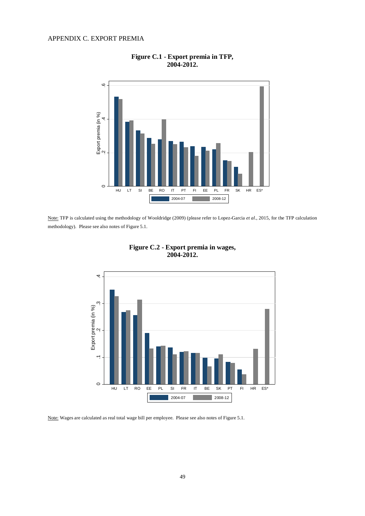# APPENDIX C. EXPORT PREMIA



**Figure C.1 - Export premia in TFP, 2004-2012.** 

Note: TFP is calculated using the methodology of Wooldridge (2009) (please refer to Lopez-Garcia *et al*., 2015, for the TFP calculation methodology). Please see also notes of Figure 5.1.



**Figure C.2 - Export premia in wages, 2004-2012.** 

Note: Wages are calculated as real total wage bill per employee. Please see also notes of Figure 5.1.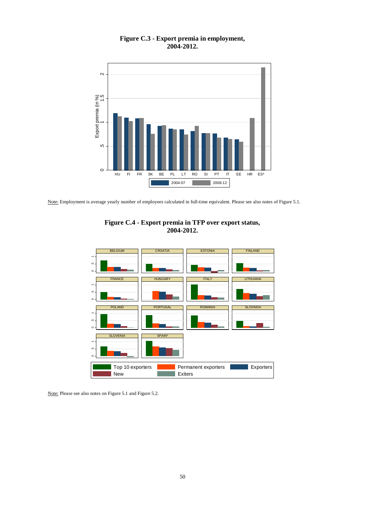



Note: Employment is average yearly number of employees calculated in full-time equivalent. Please see also notes of Figure 5.1.





Note: Please see also notes on Figure 5.1 and Figure 5.2.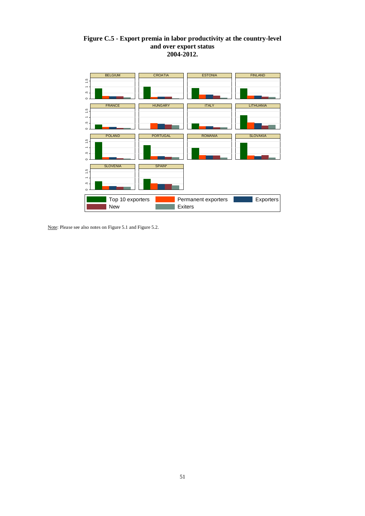# **Figure C.5 - Export premia in labor productivity at the country-level and over export status 2004-2012.**



Note: Please see also notes on Figure 5.1 and Figure 5.2.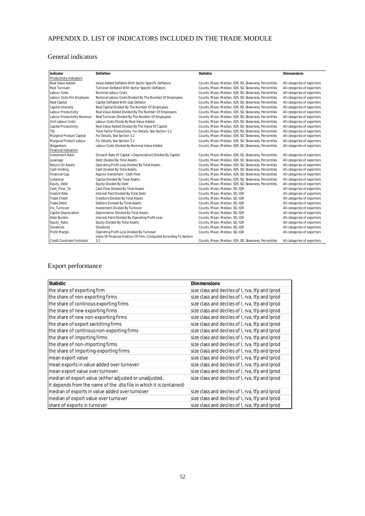# APPENDIX D. LIST OF INDICATORS INCLUDED IN THE TRADE MODULE

# General indicators

| Indicator                   | Definition                                                         | <b>Statistics</b>                                    | <b>Dimmensions</b>          |
|-----------------------------|--------------------------------------------------------------------|------------------------------------------------------|-----------------------------|
| Productivity indicators     |                                                                    |                                                      |                             |
| <b>Real Value Added</b>     | Value Added Deflated With Sector Specific Deflators                | Counts, Mean, Median, IQR, SD, Skewness, Percentiles | All categories of exporters |
| Real Turnover               | Turnover Deflated With Sector Specific Deflators                   | Counts, Mean, Median, IQR, SD, Skewness, Percentiles | All categories of exporters |
| Labour Costs                | Nominal Labour Costs                                               | Counts, Mean, Median, IQR, SD, Skewness, Percentiles | All categories of exporters |
| Labour Costs Per Employee   | Nominal Labour Costs Divided By The Number Of Employees            | Counts, Mean, Median, IQR, SD, Skewness, Percentiles | All categories of exporters |
| Real Capital                | Capital Deflated With Gdp Deflator                                 | Counts, Mean, Median, IQR, SD, Skewness, Percentiles | All categories of exporters |
| Capital Intensity           | Real Capital Divided By The Number Of Employees                    | Counts, Mean, Median, IQR, SD, Skewness, Percentiles | All categories of exporters |
| Labour Productivity         | Real Value Added Divided By The Number Of Employees                | Counts, Mean, Median, IQR, SD, Skewness, Percentiles | All categories of exporters |
| Labour Productivity Revenue | Real Turnover Divided By The Number Of Employees                   | Counts, Mean, Median, IQR, SD, Skewness, Percentiles | All categories of exporters |
| <b>Unit Labour Costs</b>    | Labour Costs Divide By Real Value Added                            | Counts, Mean, Median, IQR, SD, Skewness, Percentiles | All categories of exporters |
| <b>Capital Productivity</b> | Real Value Added Divided By The Value Of Capital                   | Counts, Mean, Median, IQR, SD, Skewness, Percentiles | All categories of exporters |
| Tfp                         | Total Factor Productivity. For Details, See Section 3.2            | Counts, Mean, Median, IQR, SD, Skewness, Percentiles | All categories of exporters |
| Marginal Product Capital    | For Details, See Section 3.2                                       | Counts, Mean, Median, IQR, SD, Skewness, Percentiles | All categories of exporters |
| Marginal Product Labour     | For Details, See Section 3.2                                       | Counts, Mean, Median, IQR, SD, Skewness, Percentiles | All categories of exporters |
| Wageshare                   | Labour Costs Divided By Nominal Value Added                        | Counts, Mean, Median, IQR, SD, Skewness, Percentiles | All categories of exporters |
| Financial indicators        |                                                                    |                                                      |                             |
| <b>Investment Ratio</b>     | (Growth Rate Of Capital + Depreciation) Divided By Capital         | Counts, Mean, Median, IQR, SD, Skewness, Percentiles | All categories of exporters |
| Leverage                    | Debt Divided By Total Assets                                       | Counts, Mean, Median, IQR, SD, Skewness, Percentiles | All categories of exporters |
| Return On Assets            | Operating Profit-Loss Divided By Total Assets                      | Counts, Mean, Median, IQR, SD, Skewness, Percentiles | All categories of exporters |
| Cash Holding                | Cash Divided By Total Assets                                       | Counts, Mean, Median, IQR, SD, Skewness, Percentiles | All categories of exporters |
| <b>Financial Gap</b>        | Approx Investment - Cash Flow                                      | Counts, Mean, Median, IQR, SD, Skewness, Percentiles | All categories of exporters |
| Collateral                  | Capital Divided By Total Assets                                    | Counts, Mean, Median, IQR, SD, Skewness, Percentiles | All categories of exporters |
| Equity_Debt                 | <b>Equity Divided By Debt</b>                                      | Counts, Mean, Median, IQR, SD, Skewness, Percentiles | All categories of exporters |
| Cash Flow Ta                | Cash Flow Divided By Total Assets                                  | Counts, Mean, Median, SD, IQR                        | All categories of exporters |
| <b>Implicit Rate</b>        | Interest Paid Divided By Total Debt                                | Counts, Mean, Median, SD, IQR                        | All categories of exporters |
| <b>Trade Credit</b>         | <b>Creditors Divided By Total Assets</b>                           | Counts, Mean, Median, SD, IQR                        | All categories of exporters |
| <b>Trade Debit</b>          | Debtors Divided By Total Assets                                    | Counts, Mean, Median, SD, IQR                        | All categories of exporters |
| Inv_Turnover                | Investment Divided By Turnover                                     | Counts, Mean, Median, SD, IQR                        | All categories of exporters |
| <b>Capital Depreciation</b> | Depreciation Divided By Total Assets                               | Counts, Mean, Median, SD, IQR                        | All categories of exporters |
| Debt Burden                 | Interest Paird Divided By Operating Profit-Loss                    | Counts, Mean, Median, SD, IQR                        | All categories of exporters |
| Equity_Ratio                | <b>Equity Divided By Total Assets</b>                              | Counts, Mean, Median, SD, IQR                        | All categories of exporters |
| <b>Dividends</b>            | <b>Dividends</b>                                                   | Counts, Mean, Median, SD, IQR                        | All categories of exporters |
| Profit Margin               | Operating Profit-Loss Divided By Turnover                          | Counts, Mean, Median, SD, IQR                        | All categories of exporters |
|                             | Index Of Financial Position Of Firm, Computed According To Section |                                                      |                             |
| Credit Constraint Indicator | 3.2                                                                | Counts, Mean, Median, IQR, SD, Skewness, Percentiles | All categories of exporters |

# Export performance

| <b>Statistic</b>                                                    | <b>Dimmensions</b>                              |
|---------------------------------------------------------------------|-------------------------------------------------|
| the share of exporting firm                                         | size class and deciles of I, rva, tfp and Iprod |
| the share of non-exporting firms                                    | size class and deciles of I, rva, tfp and Iprod |
| the share of continous exporting firms                              | size class and deciles of I, rva, tfp and Iprod |
| the share of new exporting firms                                    | size class and deciles of I, rva, tfp and Iprod |
| the share of new non-exporting firms                                | size class and deciles of I, rva, tfp and Iprod |
| the share of export switching firms                                 | size class and deciles of I, rva, tfp and Iprod |
| the share of continous non-exporting firms                          | size class and deciles of I, rva, tfp and Iprod |
| the share of importing firms                                        | size class and deciles of I, rva, tfp and Iprod |
| the share of non-importing firms                                    | size class and deciles of I, rva, tfp and Iprod |
| the share of importing-exporting firms                              | size class and deciles of I, rva, tfp and Iprod |
| mean export value                                                   | size class and deciles of I, rva, tfp and Iprod |
| mean exports in value added over turnover                           | size class and deciles of I, rva, tfp and Iprod |
| mean export value over turnover                                     | size class and deciles of I, rva, tfp and Iprod |
| median of export value (either adjusted or unadjusted,              | size class and deciles of I, rva, tfp and Iprod |
| it depends from the name of the .dta file in which it is contained) |                                                 |
| median of exports in value added over turnover                      | size class and deciles of I, rva, tfp and Iprod |
| median of export value over turnover                                | size class and deciles of I, rva, tfp and Iprod |
| share of exports in turnover                                        | size class and deciles of I, rva, tfp and Iprod |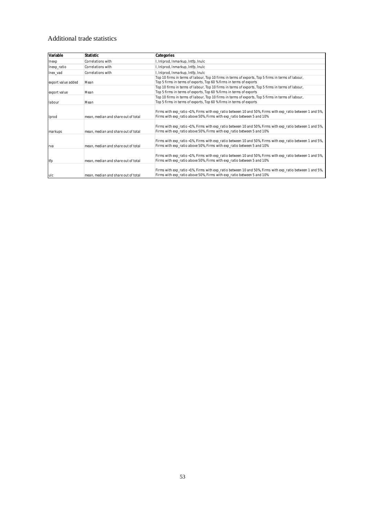# Additional trade statistics

| Variable           | Statistic                           | Categories                                                                                                |
|--------------------|-------------------------------------|-----------------------------------------------------------------------------------------------------------|
| Inexp              | Correlations with                   | I, InIprod, Inmarkup, Intfp, Inulc                                                                        |
| Inexp_ratio        | Correlations with                   | I, InIprod, Inmarkup, Intfp, Inulc                                                                        |
| Inex vad           | Correlations with                   | I, InIprod, Inmarkup, Intfp, Inulc                                                                        |
|                    |                                     | Top 10 firms in terms of labour, Top 10 firms in terms of exports, Top 5 firms in terms of labour,        |
| export value added | Mean                                | Top 5 firms in terms of exports, Top 60 % firms in terms of exports                                       |
|                    |                                     | Top 10 firms in terms of labour, Top 10 firms in terms of exports, Top 5 firms in terms of labour,        |
| export value       | Mean                                | Top 5 firms in terms of exports, Top 60 % firms in terms of exports                                       |
|                    |                                     | Top 10 firms in terms of labour, Top 10 firms in terms of exports, Top 5 firms in terms of labour,        |
| labour             | Mean                                | Top 5 firms in terms of exports, Top 60 % firms in terms of exports                                       |
|                    |                                     |                                                                                                           |
|                    |                                     | Firms with exp_ratio <1%, Firms with exp_ratio between 10 and 50%, Firms with exp_ratio between 1 and 5%, |
| Iprod              | mean, median and share out of total | Firms with exp ratio above 50%, Firms with exp ratio between 5 and 10%                                    |
|                    |                                     |                                                                                                           |
|                    |                                     | Firms with exp_ratio <1%, Firms with exp_ratio between 10 and 50%, Firms with exp_ratio between 1 and 5%, |
| markups            | mean, median and share out of total | Firms with exp ratio above 50%, Firms with exp ratio between 5 and 10%                                    |
|                    |                                     |                                                                                                           |
|                    |                                     | Firms with exp_ratio <1%, Firms with exp_ratio between 10 and 50%, Firms with exp_ratio between 1 and 5%, |
| rva                | mean, median and share out of total | Firms with exp ratio above 50%, Firms with exp ratio between 5 and 10%                                    |
|                    |                                     |                                                                                                           |
|                    |                                     | Firms with exp_ratio <1%, Firms with exp_ratio between 10 and 50%, Firms with exp_ratio between 1 and 5%, |
| tfp                | mean, median and share out of total | Firms with exp_ratio above 50%, Firms with exp_ratio between 5 and 10%                                    |
|                    |                                     |                                                                                                           |
|                    |                                     | Firms with exp_ratio <1%, Firms with exp_ratio between 10 and 50%, Firms with exp_ratio between 1 and 5%, |
| ulc                | mean, median and share out of total | Firms with exp_ratio above 50%, Firms with exp_ratio between 5 and 10%                                    |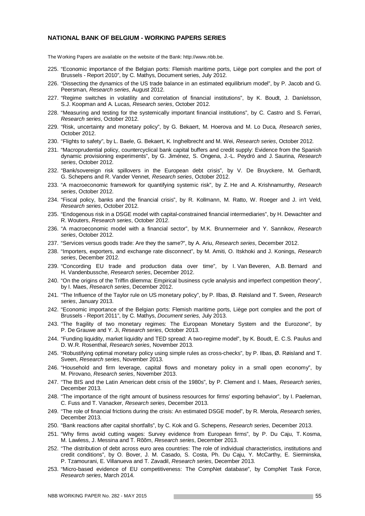#### **NATIONAL BANK OF BELGIUM - WORKING PAPERS SERIES**

The Working Papers are available on the website of the Bank: http://www.nbb.be.

- 225. "Economic importance of the Belgian ports: Flemish maritime ports, Liège port complex and the port of Brussels - Report 2010", by C. Mathys, Document series, July 2012.
- 226. "Dissecting the dynamics of the US trade balance in an estimated equilibrium model", by P. Jacob and G. Peersman, *Research series*, August 2012.
- 227. "Regime switches in volatility and correlation of financial institutions", by K. Boudt, J. Daníelsson, S.J. Koopman and A. Lucas, *Research series*, October 2012.
- 228. "Measuring and testing for the systemically important financial institutions", by C. Castro and S. Ferrari, *Research series*, October 2012.
- 229. "Risk, uncertainty and monetary policy", by G. Bekaert, M. Hoerova and M. Lo Duca*, Research series*, October 2012.
- 230. "Flights to safety", by L. Baele, G. Bekaert, K. Inghelbrecht and M. Wei, *Research series*, October 2012.
- 231. "Macroprudential policy, countercyclical bank capital buffers and credit supply: Evidence from the Spanish dynamic provisioning experiments", by G. Jiménez, S. Ongena, J.-L. Peydró and J. Saurina, *Research series*, October 2012.
- 232. "Bank/sovereign risk spillovers in the European debt crisis", by V. De Bruyckere, M. Gerhardt, G. Schepens and R. Vander Vennet, *Research series*, October 2012.
- 233. "A macroeconomic framework for quantifying systemic risk", by Z. He and A. Krishnamurthy, *Research series*, October 2012.
- 234. "Fiscal policy, banks and the financial crisis", by R. Kollmann, M. Ratto, W. Roeger and J. in't Veld, *Research series*, October 2012.
- 235. "Endogenous risk in a DSGE model with capital-constrained financial intermediaries", by H. Dewachter and R. Wouters, *Research series*, October 2012.
- 236. "A macroeconomic model with a financial sector", by M.K. Brunnermeier and Y. Sannikov, *Research series*, October 2012.
- 237. "Services versus goods trade: Are they the same?", by A. Ariu, *Research series*, December 2012.
- 238. "Importers, exporters, and exchange rate disconnect", by M. Amiti, O. Itskhoki and J. Konings, *Research series*, December 2012.
- 239. "Concording EU trade and production data over time", by I. Van Beveren, A.B. Bernard and H. Vandenbussche, *Research series*, December 2012.
- 240. "On the origins of the Triffin dilemma: Empirical business cycle analysis and imperfect competition theory", by I. Maes, *Research series*, December 2012.
- 241. "The Influence of the Taylor rule on US monetary policy", by P. Ilbas, Ø. Røisland and T. Sveen, *Research series*, January 2013.
- 242. "Economic importance of the Belgian ports: Flemish maritime ports, Liège port complex and the port of Brussels - Report 2011", by C. Mathys, *Document series,* July 2013.
- 243. "The fragility of two monetary regimes: The European Monetary System and the Eurozone", by P. De Grauwe and Y. Ji, *Research series*, October 2013.
- 244. "Funding liquidity, market liquidity and TED spread: A two-regime model", by K. Boudt, E. C.S. Paulus and D. W.R. Rosenthal, *Research series*, November 2013.
- 245. "Robustifying optimal monetary policy using simple rules as cross-checks", by P. Ilbas, Ø. Røisland and T. Sveen, *Research series*, November 2013.
- 246. "Household and firm leverage, capital flows and monetary policy in a small open economy", by M. Pirovano, *Research series*, November 2013.
- 247. "The BIS and the Latin American debt crisis of the 1980s", by P. Clement and I. Maes, *Research series*, December 2013.
- 248. "The importance of the right amount of business resources for firms' exporting behavior", by I. Paeleman, C. Fuss and T. Vanacker, *Research series*, December 2013.
- 249. "The role of financial frictions during the crisis: An estimated DSGE model", by R. Merola, *Research series*, December 2013.
- 250. "Bank reactions after capital shortfalls", by C. Kok and G. Schepens, *Research series*, December 2013.
- 251. "Why firms avoid cutting wages: Survey evidence from European firms", by P. Du Caju, T. Kosma, M. Lawless, J. Messina and T. Rõõm, *Research series*, December 2013.
- 252. "The distribution of debt across euro area countries: The role of individual characteristics, institutions and credit conditions", by O. Bover, J. M. Casado, S. Costa, Ph. Du Caju, Y. McCarthy, E. Sierminska, P. Tzamourani, E. Villanueva and T. Zavadil, *Research series*, December 2013.
- 253. "Micro-based evidence of EU competitiveness: The CompNet database", by CompNet Task Force, *Research series*, March 2014.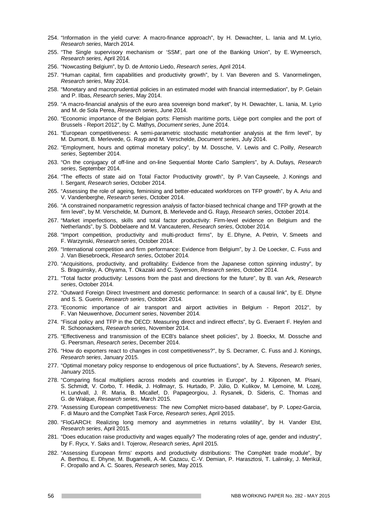- 254. "Information in the yield curve: A macro-finance approach", by H. Dewachter, L. Iania and M. Lyrio, *Research series*, March 2014.
- 255. "The Single supervisory mechanism or 'SSM', part one of the Banking Union", by E. Wymeersch, *Research series*, April 2014.
- 256. "Nowcasting Belgium", by D. de Antonio Liedo, *Research series*, April 2014.
- 257. "Human capital, firm capabilities and productivity growth", by I. Van Beveren and S. Vanormelingen, *Research series*, May 2014.
- 258. "Monetary and macroprudential policies in an estimated model with financial intermediation", by P. Gelain and P. Ilbas, *Research series*, May 2014.
- 259. "A macro-financial analysis of the euro area sovereign bond market", by H. Dewachter, L. Iania, M. Lyrio and M. de Sola Perea, *Research series*, June 2014.
- 260. "Economic importance of the Belgian ports: Flemish maritime ports, Liège port complex and the port of Brussels - Report 2012", by C. Mathys, *Document series*, June 2014.
- 261. "European competitiveness: A semi-parametric stochastic metafrontier analysis at the firm level", by M. Dumont, B. Merlevede, G. Rayp and M. Verschelde, *Document series*, July 2014.
- 262. "Employment, hours and optimal monetary policy", by M. Dossche, V. Lewis and C. Poilly, *Research series*, September 2014.
- 263. "On the conjugacy of off-line and on-line Sequential Monte Carlo Samplers", by A. Dufays, *Research series*, September 2014.
- 264. "The effects of state aid on Total Factor Productivity growth", by P. Van Cayseele, J. Konings and I. Sergant, *Research series*, October 2014.
- 265. "Assessing the role of ageing, feminising and better-educated workforces on TFP growth", by A. Ariu and V. Vandenberghe, *Research series*, October 2014.
- 266. "A constrained nonparametric regression analysis of factor-biased technical change and TFP growth at the firm level", by M. Verschelde, M. Dumont, B. Merlevede and G. Rayp, *Research series*, October 2014.
- 267. "Market imperfections, skills and total factor productivity: Firm-level evidence on Belgium and the Netherlands", by S. Dobbelaere and M. Vancauteren, *Research series*, October 2014.
- 268. "Import competition, productivity and multi-product firms", by E. Dhyne, A. Petrin, V. Smeets and F. Warzynski, *Research series*, October 2014.
- 269. "International competition and firm performance: Evidence from Belgium", by J. De Loecker, C. Fuss and J. Van Biesebroeck, *Research series*, October 2014.
- 270. "Acquisitions, productivity, and profitability: Evidence from the Japanese cotton spinning industry", by S. Braguinsky, A. Ohyama, T. Okazaki and C. Syverson, *Research series*, October 2014.
- 271. "Total factor productivity: Lessons from the past and directions for the future", by B. van Ark, *Research series*, October 2014.
- 272. "Outward Foreign Direct Investment and domestic performance: In search of a causal link", by E. Dhyne and S. S. Guerin, *Research series*, October 2014.
- 273. "Economic importance of air transport and airport activities in Belgium Report 2012", by F. Van Nieuwenhove, *Document series*, November 2014.
- 274. "Fiscal policy and TFP in the OECD: Measuring direct and indirect effects", by G. Everaert F. Heylen and R. Schoonackers, *Research series*, November 2014.
- 275. "Effectiveness and transmission of the ECB's balance sheet policies", by J. Boeckx, M. Dossche and G. Peersman, *Research series*, December 2014.
- 276. "How do exporters react to changes in cost competitiveness?", by S. Decramer, C. Fuss and J. Konings, *Research series*, January 2015.
- 277. "Optimal monetary policy response to endogenous oil price fluctuations", by A. Stevens, *Research series*, January 2015.
- 278. "Comparing fiscal multipliers across models and countries in Europe", by J. Kilponen, M. Pisani, S. Schmidt, V. Corbo, T. Hledik, J. Hollmayr, S. Hurtado, P. Júlio, D. Kulikov, M. Lemoine, M. Lozej, H. Lundvall, J. R. Maria, B. Micallef, D. Papageorgiou, J. Rysanek, D. Sideris, C. Thomas and G. de Walque, *Research series*, March 2015.
- 279. "Assessing European competitiveness: The new CompNet micro-based database", by P. Lopez-Garcia, F. di Mauro and the CompNet Task Force, *Research series*, April 2015.
- 280. "FloGARCH: Realizing long memory and asymmetries in returns volatility", by H. Vander Elst, *Research series*, April 2015.
- 281. "Does education raise productivity and wages equally? The moderating roles of age, gender and industry", by F. Rycx, Y. Saks and I. Tojerow, *Research series,* April 2015*.*
- 282. "Assessing European firms' exports and productivity distributions: The CompNet trade module", by A. Berthou, E. Dhyne, M. Bugamelli, A.-M. Cazacu, C.-V. Demian, P. Harasztosi, T. Lalinsky, J. Merikül, F. Oropallo and A. C. Soares, *Research series,* May 2015*.*